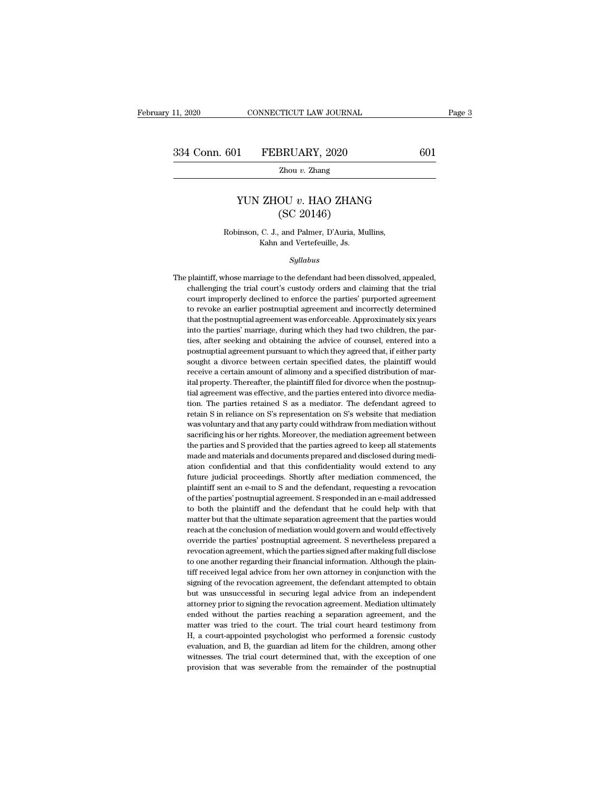### 1 FEBRUARY, 2020 601<br>
<sup>Zhou *v*. Zhang<br>
YUN ZHOU *v*. HAO ZHANG<br>
(SC 20146)</sup> SRUARY, 2020<br>
<u>Zhou v. Zhang</u><br>
OU v. HAO ZHANG<br>
(SC 20146)<br>
and Palmer, D'Auria, Mu XVIN ZHOU  $v$ . HAO ZHANG<br>
(SC 20146)<br>
Robinson, C. J., and Palmer, D'Auria, Mullins,<br>
Kahn and Vertefeuille, Js. **ZHOU**  $v$ **. HAO ZHANO**<br>
(SC 20146)<br>
C. J., and Palmer, D'Auria, Mu<br>
Kahn and Vertefeuille, Js.<br>
Sullabus

### *Syllabus*

Robinson, C. J., and Palmer, D'Auria, Mullins,<br>Kahn and Vertefeuille, Js.<br>Syllabus<br>The plaintiff, whose marriage to the defendant had been dissolved, appealed,<br>challenging the trial court's custody orders and claiming that Robinson, C. J., and Palmer, D'Auria, Mullins,<br>Kahn and Vertefeuille, Js.<br>Syllabus<br>plaintiff, whose marriage to the defendant had been dissolved, appealed,<br>challenging the trial court's custody orders and claiming that the Kahn and Vertefeuille, Js.<br>
Syllabus<br>
plaintiff, whose marriage to the defendant had been dissolved, appealed,<br>
challenging the trial court's custody orders and claiming that the trial<br>
court improperly declined to enforce Syllabus<br>plaintiff, whose marriage to the defendant had been dissolved, appealed,<br>challenging the trial court's custody orders and claiming that the trial<br>court improperly declined to enforce the parties' purported agreeme Syltabus<br>plaintiff, whose marriage to the defendant had been dissolved, appealed,<br>challenging the trial court's custody orders and claiming that the trial<br>court improperly declined to enforce the parties' purported agreeme plaintiff, whose marriage to the defendant had been dissolved, appealed, challenging the trial court's custody orders and claiming that the trial court improperly declined to enforce the parties' purported agreement to rev paramin, where the last court's custody orders and claiming that the trial court improperly declined to enforce the parties' purported agreement to revoke an earlier postnuptial agreement and incorrectly determined that th court improperly declined to enforce the parties' purported agreement to revoke an earlier postnuptial agreement and incorrectly determined that the postnuptial agreement was enforceable. Approximately six years into the p so the preference and excellent and incorrectly determined that the postnuptial agreement was enforceable. Approximately six years into the parties' marriage, during which they had two children, the parties, after seeking to revoke an earlier postnuptial agreement and incorrectly determined<br>that the postnuptial agreement was enforceable. Approximately six years<br>into the parties' marriage, during which they had two children, the par-<br>ties, a into the parties' marriage, during which they had two children, the parties, after seeking and obtaining the advice of counsel, entered into a postnuptial agreement pursuant to which they agreed that, if either party sough ties, after seeking and obtaining the advice of counsel, entered into a postmuptial agreement pursuant to which they agreed that, if either party sought a divorce between certain specified dates, the plaintiff would receive a certain amount of alimony and a specified distribution of marital pr Focult a divorce between certain specified dates, the plaintiff would<br>receive a certain amount of alimony and a specified distribution of mar-<br>ital property. Thereafter, the plaintiff filed for divorce when the postnup-<br>ti because a certain amount of alimony and a specified distribution of mar-<br>receive a certain amount of alimony and a specified distribution of mar-<br>tial property. Thereafter, the plaintiff filed for divorce when the postnupital property. Thereafter, the plaintiff filed for divorce when the postmuptial agreement was effective, and the parties entered into divorce mediation. The parties retained S as a mediator. The defendant agreed to retain tial agreement was effective, and the parties entered into divorce mediation. The parties retained S as a mediator. The defendant agreed to retain S in reliance on S's representation on S's website that mediation was volun retain S in reliance on S's representation on S's website that mediation was voluntary and that any party could withdraw from mediation without sacrificing his or her rights. Moreover, the mediation agreement between the p retain S in reliance on S's representation on S's website that mediation was voluntary and that any party could withdraw from mediation without sacrificing his or her rights. Moreover, the mediation agreement between the p was voluntary and that any party could withdraw from mediation without sacrificing his or her rights. Moreover, the mediation agreement between the parties and S provided that the parties agreed to keep all statements made sacrificing his or her rights. Moreover, the mediation agreement between<br>the parties and S provided that the parties agreed to keep all statements<br>made and materials and documents prepared and disclosed during mediation<br>co the parties and S provided that the parties agreed to keep all statements made and materials and documents prepared and disclosed during mediation confidential and that this confidentiality would extend to any future judic made and materials and documents prepared and disclosed during mediation confidential and that this confidentiality would extend to any future judicial proceedings. Shortly after mediation commenced, the plaintiff sent an ation confidential and that this confidentiality would extend to any<br>future judicial proceedings. Shortly after mediation commenced, the<br>plaintiff sent an e-mail to S and the defendant, requesting a revocation<br>of the parti future judicial proceedings. Shortly after mediation commenced, the plaintiff sent an e-mail to S and the defendant, requesting a revocation of the parties' postnuptial agreement. S responded in an e-mail addressed to both plaintiff sent an e-mail to S and the defendant, requesting a revocation<br>of the parties' postnuptial agreement. S responded in an e-mail addressed<br>to both the plaintiff and the defendant that he could help with that<br>matter of the parties' postnuptial agreement. S responded in an e-mail addressed<br>to both the plaintiff and the defendant that he could help with that<br>matter but that the ultimate separation agreement that the parties would<br>reach of the parties' postnuptial agreement. S responded in an e-mail addressed<br>to both the plaintiff and the defendant that he could help with that<br>matter but that the ultimate separation agreement that the parties would<br>reach matter but that the ultimate separation agreement that the parties would<br>reach at the conclusion of mediation would govern and would effectively<br>override the parties' postnuptial agreement. S nevertheless prepared a<br>revoca reach at the conclusion of mediation would govern and would effectively<br>override the parties' postnuptial agreement. S nevertheless prepared a<br>revocation agreement, which the parties signed after making full disclose<br>to on override the parties' postnuptial agreement. S nevertheless prepared a revocation agreement, which the parties signed after making full disclose to one another regarding their financial information. Although the plaintiff revocation agreement, which the parties signed after making full disclose<br>to one another regarding their financial information. Although the plain-<br>tiff received legal advice from her own attorney in conjunction with the<br>s to one another regarding their financial information. Although the plain-<br>tiff received legal advice from her own attorney in conjunction with the<br>signing of the revocation agreement, the defendant attempted to obtain<br>but tiff received legal advice from her own attorney in conjunction with the signing of the revocation agreement, the defendant attempted to obtain but was unsuccessful in securing legal advice from an independent attorney pri signing of the revocation agreement, the defendant attempted to obtain<br>but was unsuccessful in securing legal advice from an independent<br>attorney prior to signing the revocation agreement. Mediation ultimately<br>ended withou but was unsuccessful in securing legal advice from an independent attorney prior to signing the revocation agreement. Mediation ultimately ended without the parties reaching a separation agreement, and the matter was tried attorney prior to signing the revocation agreement. Mediation ultimately ended without the parties reaching a separation agreement, and the matter was tried to the court. The trial court heard testimony from H, a court-app ended without the parties reaching a separation agreement, and the matter was tried to the court. The trial court heard testimony from H, a court-appointed psychologist who performed a forensic custody evaluation, and B, t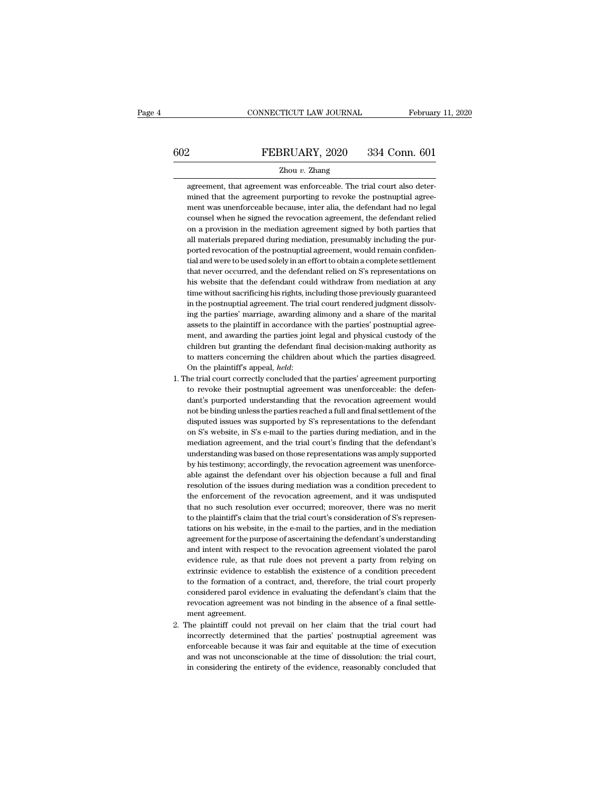# EXECUTE CONNECTICUT LAW JOURNAL February 11, 2020<br>
FEBRUARY, 2020 334 Conn. 601<br>
Zhou v. Zhang

### Zhou *v.* Zhang

FEBRUARY, 2020 334 Conn. 601<br>
2hou v. Zhang<br>
agreement, that agreement was enforceable. The trial court also deter-<br>
mined that the agreement purporting to revoke the postnuptial agree-FEBRUARY, 2020 334 Conn. 601<br>
2hou v. Zhang<br>
agreement, that agreement was enforceable. The trial court also deter-<br>
mined that the agreement purporting to revoke the postnuptial agree-<br>
ment was unenforceable because, int FEBRUARY, 2020 334 Conn. 601<br>
Zhou v. Zhang<br>
agreement, that agreement was enforceable. The trial court also deter-<br>
mined that the agreement purporting to revoke the postnuptial agreement<br>
ment was unenforceable because,  $\begin{minipage}[t]{0.7\textwidth} \begin{tabular}{p{0.8cm}} \textbf{Zhou $v$. Zhang} \end{tabular} \end{minipage} \begin{minipage}[t]{0.8cm}{\textwidth} \begin{tabular}{p{0.8cm}} \textbf{Zhou $v$.} \end{tabular} \end{minipage} \begin{minipage}[t]{0.8cm}{\textwidth} \begin{tabular}{p{0.8cm}} \textbf{Zhou $v$.} \end{tabular} \end{minipage} \begin{minipage}[t]{0.8cm}{\textwidth} \begin{tabular}{p{0.8cm}} \textbf{Zoums} & \textbf{Moums} & \textbf{Moums} & \$ Zhou  $v$ . Zhang<br>agreement, that agreement was enforceable. The trial court also deter-<br>mined that the agreement purporting to revoke the postnuptial agree-<br>ment was unenforceable because, inter alia, the defendant had no agreement, that agreement was enforceable. The trial court also determined that the agreement purporting to revoke the postnuptial agreement was unenforceable because, inter alia, the defendant had no legal counsel when he mined that the agreement purporting to revoke the postnuptial agreement was unenforceable because, inter alia, the defendant had no legal counsel when he signed the revocation agreement, the defendant relied on a provision ment was unenforceable because, inter alia, the defendant had no legal<br>counsel when he signed the revocation agreement, the defendant relied<br>on a provision in the mediation agreement signed by both parties that<br>all materia counsel when he signed the revocation agreement, the defendant relied<br>on a provision in the mediation agreement signed by both parties that<br>all materials prepared during mediation, presumably including the pur-<br>ported revo on a provision in the mediation agreement signed by both parties that all materials prepared during mediation, presumably including the purported revocation of the postnuptial agreement, would remain confidential and were all materials prepared during mediation, presumably including the purported revocation of the postnuptial agreement, would remain confidential and were to be used solely in an effort to obtain a complete settlement that ne ported revocation of the postnuptial agreement, would remain confidential and were to be used solely in an effort to obtain a complete settlement that never occurred, and the defendant relied on S's representations on his ial and were to be used solely in an effort to obtain a complete settlement<br>that never occurred, and the defendant relied on S's representations on<br>his website that the defendant could withdraw from mediation at any<br>time w that never occurred, and the defendant relied on S's representations on<br>his website that the defendant could withdraw from mediation at any<br>time without sacrificing his rights, including those previously guaranteed<br>in the his website that the defendant could withdraw from mediation at any<br>time without sacrificing his rights, including those previously guaranteed<br>in the postnuptial agreement. The trial court rendered judgment dissolv-<br>ing th time without sacrificing his rights, including those previously guaranteed<br>in the postnuptial agreement. The trial court rendered judgment dissolv-<br>ing the parties' marriage, awarding alimony and a share of the marital<br>ass in the postnuptial agreement. The trial court rendered judgment dissolving the parties' marriage, awarding alimony and a share of the marital assets to the plaintiff in accordance with the parties' postnuptial agreement, ing the parties' marriage, awarding alimony and a share of the marital assets to the plaintiff in accordance with the parties' postnuptial agreement, and awarding the parties joint legal and physical custody of the childre ment, and awarding the parties joint legal and physical custody of the children but granting the defendant final decision-making authority as to matters concerning the children about which the parties disagreed. On the pl

- children but granting the defendant final decision-making authority as<br>to matters concerning the children about which the parties disagreed.<br>On the plaintiff's appeal, *held*:<br>the trial court correctly concluded that the p to matters concerning the children about which the parties disagreed.<br>On the plaintiff's appeal, *held*:<br>the trial court correctly concluded that the parties' agreement purporting<br>to revoke their postnuptial agreement was On the plaintiff's appeal, *held*:<br>he trial court correctly concluded that the parties' agreement purporting<br>to revoke their postnuptial agreement was unenforceable: the defen-<br>dant's purported understanding that the revoc he trial court correctly concluded that the parties' agreement purporting<br>to revoke their postnuptial agreement was unenforceable: the defen-<br>dant's purported understanding that the revocation agreement would<br>not be bindin to revoke their postnuptial agreement was unenforceable: the defendant's purported understanding that the revocation agreement would not be binding unless the parties reached a full and final settlement of the disputed iss dant's purported understanding that the revocation agreement would<br>not be binding unless the parties reached a full and final settlement of the<br>disputed issues was supported by S's representations to the defendant<br>on S's w not be binding unless the parties reached a full and final settlement of the disputed issues was supported by S's representations to the defendant on S's website, in S's e-mail to the parties during mediation, and in the m disputed issues was supported by S's representations to the defendant<br>on S's website, in S's e-mail to the parties during mediation, and in the<br>mediation agreement, and the trial court's finding that the defendant's<br>unders on S's website, in S's e-mail to the parties during mediation, and in the mediation agreement, and the trial court's finding that the defendant's understanding was based on those representations was amply supported by his mediation agreement, and the trial court's finding that the defendant's understanding was based on those representations was amply supported by his testimony; accordingly, the revocation agreement was unenforceable against understanding was based on those representations was amply supported<br>by his testimony; accordingly, the revocation agreement was unenforce-<br>able against the defendant over his objection because a full and final<br>resolution by his testimony; accordingly, the revocation agreement was unenforceable against the defendant over his objection because a full and final resolution of the issues during mediation was a condition precedent to the enforce able against the defendant over his objection because a full and final<br>resolution of the issues during mediation was a condition precedent to<br>the enforcement of the revocation agreement, and it was undisputed<br>that no such resolution of the issues during mediation was a condition precedent to<br>the enforcement of the revocation agreement, and it was undisputed<br>that no such resolution ever occurred; moreover, there was no merit<br>to the plaintiff the enforcement of the revocation agreement, and it was undisputed<br>that no such resolution ever occurred; moreover, there was no merit<br>to the plaintiff's claim that the trial court's consideration of S's represen-<br>tations that no such resolution ever occurred; moreover, there was no merit<br>to the plaintiff's claim that the trial court's consideration of S's represen-<br>tations on his website, in the e-mail to the parties, and in the mediation<br> to the plaintiff's claim that the trial court's consideration of S's representations on his website, in the e-mail to the parties, and in the mediation agreement for the purpose of ascertaining the defendant's understandin tations on his website, in the e-mail to the parties, and in the mediation agreement for the purpose of ascertaining the defendant's understanding and intent with respect to the revocation agreement violated the parol evid agreement for the purpose of ascertaining the defendant's understanding<br>and intent with respect to the revocation agreement violated the parol<br>evidence rule, as that rule does not prevent a party from relying on<br>extrinsic agreement for the purpose of ascertaining the defendant's understanding and intent with respect to the revocation agreement violated the parol evidence rule, as that rule does not prevent a party from relying on extrinsic evidence rule, as that<br>extrinsic evidence to<br>to the formation of a<br>considered parol evid<br>revocation agreement<br>ment agreement.<br>The plaintiff could no extrinsic evidence to establish the existence of a condition precedent<br>to the formation of a contract, and, therefore, the trial court properly<br>considered parol evidence in evaluating the defendant's claim that the<br>revocat to the formation of a contract, and, therefore, the trial court properly considered parol evidence in evaluating the defendant's claim that the revocation agreement was not binding in the absence of a final settlement agre
- considered parol evidence in evaluating the defendant's claim that the revocation agreement was not binding in the absence of a final settlement agreement.<br>The plaintiff could not prevail on her claim that the trial court revocation agreement was not binding in the absence of a final settlement agreement.<br>The plaintiff could not prevail on her claim that the trial court had<br>incorrectly determined that the parties' postnuptial agreement was<br> ment agreement.<br>The plaintiff could not prevail on her claim that the trial court had<br>incorrectly determined that the parties' postnuptial agreement was<br>enforceable because it was fair and equitable at the time of executio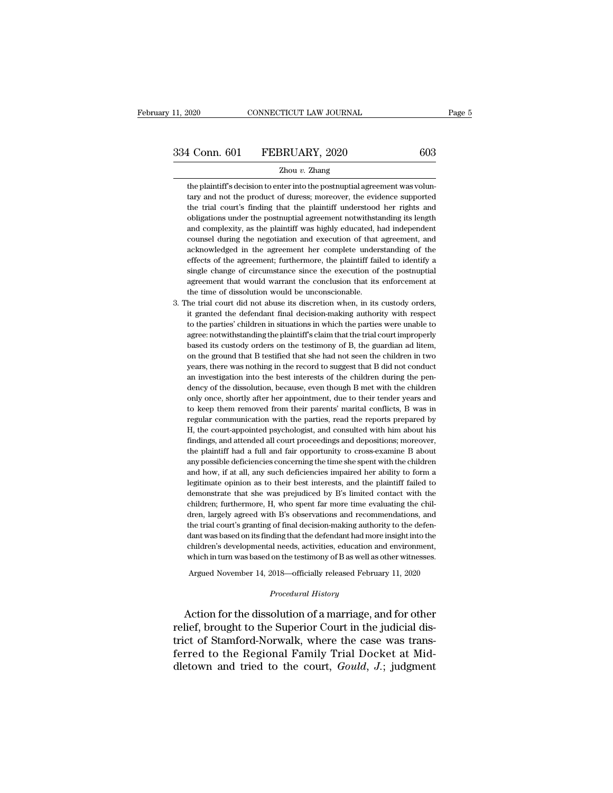334 Conn. 601 FEBRUARY, 2020 603<br>  $\frac{2 \text{hou } v. \text{ Zhang}}{2 \text{hou } v. \text{ Zhang}}$ <br>
the plaintiff's decision to enter into the postnuptial agreement was volun-<br>
tary and not the product of duress; moreover, the evidence supported<br>
the tr 1 Conn. 601 FEBRUARY, 2020 603<br>
2hou v. Zhang<br>
the plaintiff's decision to enter into the postnuptial agreement was voluntary<br>
tary and not the product of duress; moreover, the evidence supported<br>
the trial court's finding 1 Conn. 601 FEBRUARY, 2020 603<br>
2hou v. Zhang<br>
the plaintiff's decision to enter into the postnuptial agreement was volun-<br>
tary and not the product of duress; moreover, the evidence supported<br>
the trial court's finding th  $\blacksquare$ <br>  $\blacksquare$ <br>
The plaintiff's decision to enter into the postnuptial agreement was voluntary and not the product of duress; moreover, the evidence supported<br>
the trial court's finding that the plaintiff understood her r  $\label{eq:zhang}$  <br> The plaintiff's decision to enter into the postnuptial agreement was voluntary and not the product of duress; moreover, the evidence supported<br>the trial court's finding that the plaintiff understood her right the plaintiff's decision to enter into the postnuptial agreement was voluntary and not the product of duress; moreover, the evidence supported the trial court's finding that the plaintiff understood her rights and obligati tary and not the product of duress; moreover, the evidence supported<br>the trial court's finding that the plaintiff understood her rights and<br>obligations under the postnuptial agreement notwithstanding its length<br>and complex the trial court's finding that the plaintiff understood her rights and obligations under the postnuptial agreement notwithstanding its length and complexity, as the plaintiff was highly educated, had independent counsel du obligations under the postnuptial agreement notwithstanding its length<br>and complexity, as the plaintiff was highly educated, had independent<br>counsel during the negotiation and execution of that agreement, and<br>acknowledged and complexity, as the plaintiff was highly educated, had independent counsel during the negotiation and execution of that agreement, and acknowledged in the agreement her complete understanding of the effects of the agree and complexity, as the plaintiff was highly educated, had independent<br>counsel during the negotiation and execution of that agreement, and<br>acknowledged in the agreement her complete understanding of the<br>effects of the agree acknowledged in the agreement her complete understanding of the effects of the agreement; furthermore, the plaintiff failed to identify a single change of circumstance since the execution of the postnuptial agreement that effects of the agreement; furthermore, the plaintiff failed to identify a single change of circumstance since the execution of the postnuptial agreement that would warrant the conclusion that its enforcement at the time of

single change of circumstance since the execution of the postnuptial agreement that would warrant the conclusion that its enforcement at the time of dissolution would be unconscionable.<br>He trial court did not abuse its dis agreement that would warrant the conclusion that its enforcement at<br>the time of dissolution would be unconscionable.<br>he trial court did not abuse its discretion when, in its custody orders,<br>it granted the defendant final d the time of dissolution would be unconscionable.<br>he trial court did not abuse its discretion when, in its custody orders,<br>it granted the defendant final decision-making authority with respect<br>to the parties' children in si he trial court did not abuse its discretion when, in its custody orders, it granted the defendant final decision-making authority with respect to the parties' children in situations in which the parties were unable to agre it granted the defendant final decision-making authority with respect<br>to the parties' children in situations in which the parties were unable to<br>agree: notwithstanding the plaintiff's claim that the trial court improperly<br> to the parties' children in situations in which the parties were unable to agree: notwithstanding the plaintiff's claim that the trial court improperly based its custody orders on the testimony of B, the guardian ad litem agree: notwithstanding the plaintiff's claim that the trial court improperly based its custody orders on the testimony of B, the guardian ad litem, on the ground that B testified that she had not seen the children in two y based its custody orders on the testimony of B, the guardian ad litem, on the ground that B testified that she had not seen the children in two years, there was nothing in the record to suggest that B did not conduct an in on the ground that B testified that she had not seen the children in two<br>years, there was nothing in the record to suggest that B did not conduct<br>an investigation into the best interests of the children during the pen-<br>den years, there was nothing in the record to suggest that B did not conduct<br>an investigation into the best interests of the children during the pen-<br>dency of the dissolution, because, even though B met with the children<br>only an investigation into the best interests of the children during the pendency of the dissolution, because, even though B met with the children only once, shortly after her appointment, due to their tender years and to keep dency of the dissolution, because, even though B met with the children<br>only once, shortly after her appointment, due to their tender years and<br>to keep them removed from their parents' marital conflicts, B was in<br>regular co only once, shortly after her appointment, due to their tender years and to keep them removed from their parents' marital conflicts, B was in regular communication with the parties, read the reports prepared by H, the court to keep them removed from their parents' marital conflicts, B was in regular communication with the parties, read the reports prepared by H, the court-appointed psychologist, and consulted with him about his findings, and regular communication with the parties, read the reports prepared by H, the court-appointed psychologist, and consulted with him about his findings, and attended all court proceedings and depositions; moreover, the plainti H, the court-appointed psychologist, and consulted with him about his findings, and attended all court proceedings and depositions; moreover, the plaintiff had a full and fair opportunity to cross-examine B about any poss findings, and attended all court proceedings and depositions; moreover, the plaintiff had a full and fair opportunity to cross-examine B about any possible deficiencies concerning the time she spent with the children and h findings, and attended all court proceedings and depositions; moreover, the plaintiff had a full and fair opportunity to cross-examine B about any possible deficiencies concerning the time she spent with the children and any possible deficiencies concerning the time she spent with the children and how, if at all, any such deficiencies impaired her ability to form a legitimate opinion as to their best interests, and the plaintiff failed to and how, if at all, any such deficiencies impaired her ability to form a legitimate opinion as to their best interests, and the plaintiff failed to demonstrate that she was prejudiced by B's limited contact with the childr legitimate opinion as to their best interests, and the plaintiff failed to demonstrate that she was prejudiced by B's limited contact with the children; furthermore, H, who spent far more time evaluating the children, larg demonstrate that she was prejudiced by B's limited contact with the children; furthermore, H, who spent far more time evaluating the children, largely agreed with B's observations and recommendations, and the trial court's children; furthermore, H, who spent far more time evaluating the children, largely agreed with B's observations and recommendations, and the trial court's granting of final decision-making authority to the defendant was ba dren, largely agreed with B's observations and recommendations, and<br>the trial court's granting of final decision-making authority to the defen-<br>dant was based on its finding that the defendant had more insight into the<br>chi which in turn was based on the testimony of B as well as other witnesses.<br> *Argued November 14, 2018—officially released February 11, 2020*<br> *Procedural History*<br> **Action for the dissolution of a marriage, and for other** dant was based on its finding that the defendant had more insight into the children's developmental needs, activities, education and environment, which in turn was based on the testimony of B as well as other witnesses.<br>Ar

children's developmental needs, activities, education and environment,<br>which in turn was based on the testimony of B as well as other witnesses.<br>Argued November 14, 2018—officially released February 11, 2020<br>*Procedural Hi* Argued November 14, 2018—officially released February 11, 2020<br>*Procedural History*<br>Action for the dissolution of a marriage, and for other<br>relief, brought to the Superior Court in the judicial dis-<br>trict of Stamford-Norwa Argued November 14, 2018—officially released February 11, 2020<br> *Procedural History*<br>
Action for the dissolution of a marriage, and for other<br>
relief, brought to the Superior Court in the judicial dis-<br>
trict of Stamford-N *Procedural History*<br>Action for the dissolution of a marriage, and for other<br>relief, brought to the Superior Court in the judicial dis-<br>trict of Stamford-Norwalk, where the case was trans-<br>ferred to the Regional Family Tri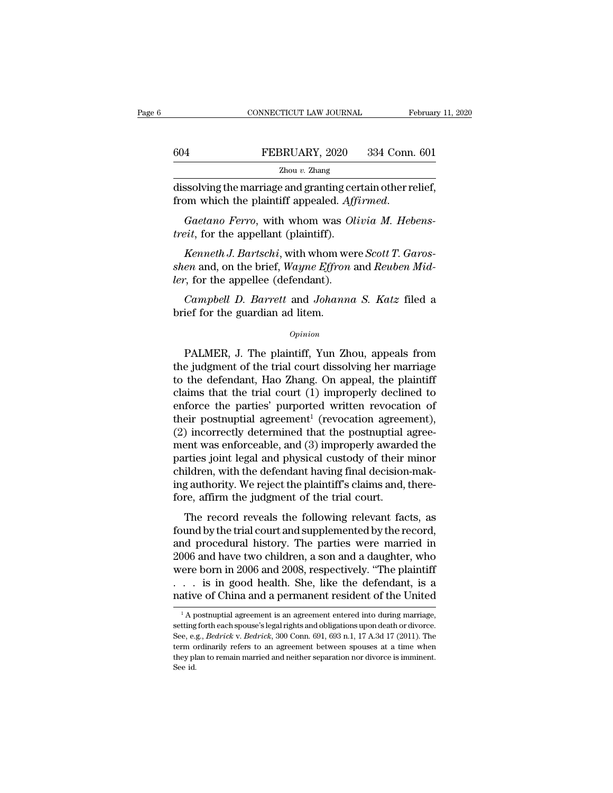|     | CONNECTICUT LAW JOURNAL                                                                                    | February 11, 2020 |
|-----|------------------------------------------------------------------------------------------------------------|-------------------|
|     |                                                                                                            |                   |
| 604 | FEBRUARY, 2020                                                                                             | 334 Conn. 601     |
|     | Zhou $v$ . Zhang                                                                                           |                   |
|     | dissolving the marriage and granting certain other relief,<br>from which the plaintiff appealed. Affirmed. |                   |
|     | <i>Gaetano Ferro, with whom was Olivia M. Hebens-</i><br><i>treit</i> , for the appellant (plaintiff).     |                   |

CONNECTICUT LAW JOURNAL February 11, 20<br>
FEBRUARY, 2020 334 Conn. 601<br>
Zhou v. Zhang<br>
dissolving the marriage and granting certain other relief,<br>
from which the plaintiff appealed. Affirmed. *the BRUARY, 2020*<br> *zhou v. Zhang*<br> *dissolving the marriage and granting cer*<br> *trom which the plaintiff appealed. Affice Gaetano Ferro, with whom was Olitreit, for the appellant (plaintiff).*<br> *Kenneth J. Bartschi, with* 

*Kenneth* J. Bartschill, with a prediction of the relief,<br> *Kenneth J. Bartschi*, with whom was *Olivia M. Hebens-*<br> *Kenneth J. Bartschi*, with whom were *Scott T. Garos-*<br> *Kenneth J. Bartschi*, with whom were *Scott T.* dissolving the marriage and granting certain other relief,<br>from which the plaintiff appealed. Affirmed.<br>*Gaetano Ferro*, with whom was *Olivia M. Hebens-*<br>*treit*, for the appellant (plaintiff).<br>*Kenneth J. Bartschi*, with from which the plaintiff appealed. Aff<br> *Gaetano Ferro*, with whom was Ol<br> *treit*, for the appellant (plaintiff).<br> *Kenneth J. Bartschi*, with whom wer<br> *shen* and, on the brief, *Wayne Effron a*<br> *ler*, for the appellee *Gaetano Ferro*, with whom was *Olivia M. Hebens-*<br>*eit*, for the appellant (plaintiff).<br>*Kenneth J. Bartschi*, with whom were *Scott T. Garos-*<br>*en* and, on the brief, *Wayne Effron* and *Reuben Mid-*<br>*campbell D. Barrett* treit, for the appellant (plaintiff).<br> *Kenneth J. Bartschi*, with whom w<br> *shen* and, on the brief, *Wayne Effron*<br> *ler*, for the appellee (defendant).<br> *Campbell D. Barrett* and *Johann*<br>
brief for the guardian ad litem

### *Opinion*

From the appellee (defendant).<br>  $\textit{Campbell}\ D. \textit{Barrett} \text{ and } \textit{Johanna}\ S. \textit{Katz} \text{ filed a}$ <br>
ief for the guardian ad litem.<br>  $\textit{Opinion}$ <br>
PALMER, J. The plaintiff, Yun Zhou, appeals from<br>
e judgment of the trial court dissolving her ma Campbell D. Barrett and Johanna S. Katz filed a<br>brief for the guardian ad litem.<br> $o_{pinion}$ <br>PALMER, J. The plaintiff, Yun Zhou, appeals from<br>the judgment of the trial court dissolving her marriage<br>to the defendant, Hao Zhang Campbell D. Barrett and Johanna S. Katz filed a<br>brief for the guardian ad litem.<br> $opinion$ <br>PALMER, J. The plaintiff, Yun Zhou, appeals from<br>the judgment of the trial court dissolving her marriage<br>to the defendant, Hao Zhang. O opinion<br>
opinion<br>
Copinion<br>
PALMER, J. The plaintiff, Yun Zhou, appeals from<br>
the judgment of the trial court dissolving her marriage<br>
to the defendant, Hao Zhang. On appeal, the plaintiff<br>
claims that the trial court (1) **ENET CONTINUMER, J. The plaintiff, Yun Zhou, appeals from**<br>the judgment of the trial court dissolving her marriage<br>to the defendant, Hao Zhang. On appeal, the plaintiff<br>claims that the trial court (1) improperly declined PALMER, J. The plaintiff, Yun Zhou, appeals from<br>the judgment of the trial court dissolving her marriage<br>to the defendant, Hao Zhang. On appeal, the plaintiff<br>claims that the trial court (1) improperly declined to<br>enforce PALMER, J. The plaintiff, Yun Zhou, appeals from<br>the judgment of the trial court dissolving her marriage<br>to the defendant, Hao Zhang. On appeal, the plaintiff<br>claims that the trial court (1) improperly declined to<br>enforce the judgment of the trial court dissolving her marriage<br>to the defendant, Hao Zhang. On appeal, the plaintiff<br>claims that the trial court (1) improperly declined to<br>enforce the parties' purported written revocation of<br>thei to the defendant, Hao Zhang. On appeal, the plaintiff<br>claims that the trial court (1) improperly declined to<br>enforce the parties' purported written revocation of<br>their postnuptial agreement<sup>1</sup> (revocation agreement),<br>(2) claims that the trial court (1) improperly declined to<br>enforce the parties' purported written revocation of<br>their postnuptial agreement<sup>1</sup> (revocation agreement),<br>(2) incorrectly determined that the postnuptial agree-<br>men enforce the parties' purported written revocation of<br>their postnuptial agreement<sup>1</sup> (revocation agreement),<br>(2) incorrectly determined that the postnuptial agree-<br>ment was enforceable, and (3) improperly awarded the<br>parti their postnuptial agreement<sup>1</sup> (revocation agreer (2) incorrectly determined that the postnuptial and ment was enforceable, and (3) improperly award<br>parties joint legal and physical custody of their children, with the defe metrically determined that the posthalpinal agree<br>
ent was enforceable, and (3) improperly awarded the<br>
rties joint legal and physical custody of their minor<br>
ildren, with the defendant having final decision-mak-<br>
gauthori from was emorecaste, and (b) improperty awarded are<br>parties joint legal and physical custody of their minor<br>children, with the defendant having final decision-mak-<br>ing authority. We reject the plaintiff's claims and, ther

paracs joint regar and physical custody of alternation-<br>children, with the defendant having final decision-mak-<br>ing authority. We reject the plaintiff's claims and, there-<br>fore, affirm the judgment of the trial court.<br>The ing authority. We reject the plaintiff's claims and, therefore, affirm the judgment of the trial court.<br>The record reveals the following relevant facts, as<br>found by the trial court and supplemented by the record,<br>and proce mg addronly. We reject the plaintiff scial start, therefore, affirm the judgment of the trial court.<br>The record reveals the following relevant facts, as<br>found by the trial court and supplemented by the record,<br>and procedur The record reveals the following relevant facts, as<br>found by the trial court and supplemented by the record,<br>and procedural history. The parties were married in<br>2006 and have two children, a son and a daughter, who<br>were bo The record reveals the following relevant facts, as<br>found by the trial court and supplemented by the record,<br>and procedural history. The parties were married in<br>2006 and have two children, a son and a daughter, who<br>were b 006 and have two children, a son and a daughter, who ere born in 2006 and 2008, respectively. "The plaintiff . . . is in good health. She, like the defendant, is a ative of China and a permanent resident of the United  $\frac$ were born in 2006 and 2008, respectively. "The plaintiff<br>
. . . is in good health. She, like the defendant, is a<br>
native of China and a permanent resident of the United<br>  $\frac{1}{A}$  postmuptial agreement is an agreement ent

See, e.g., *Bedrick* v. *Bedrick*, 300 Conn. 691, 693 n.1, 17 A.3d 17 (2011). The term ordinarily refers to an agreement between spouses at a time when **native of China and a permanent resident of the United**<br>
<sup>1</sup> A postmuptial agreement is an agreement entered into during marriage, setting forth each spouse's legal rights and obligations upon death or divorce. See, e.g. Tractive Of Critica and a perfinance in restdent Of the Officed  $\frac{1}{2}$  A postmuptial agreement is an agreement entered into during marriage, setting forth each spouse's legal rights and obligations upon death or divorc  $\frac{1}{1}$ A p<br>setting<br>See, e.;<br>term o<br>they pl<br>See id.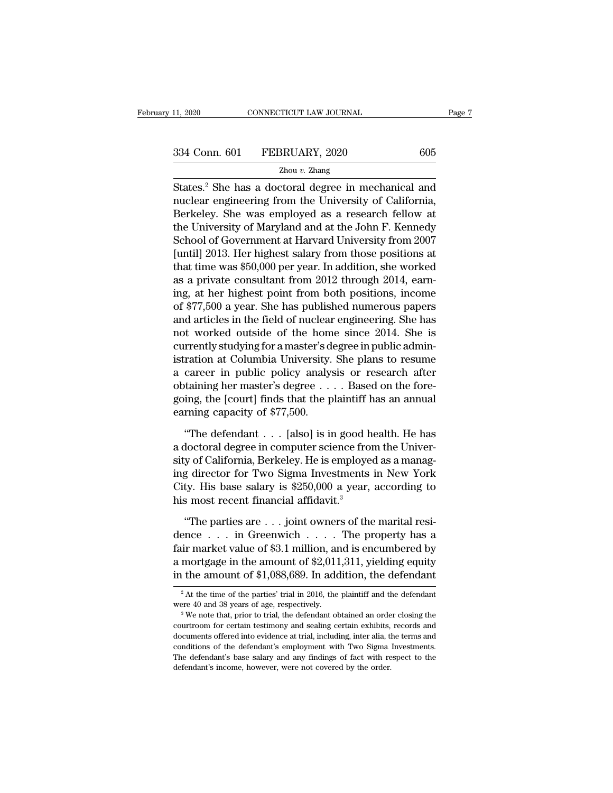EXERCTIFY 11, 2020 2014 Page 7<br>
States.<sup>2</sup> She has a doctoral degree in mechanical and<br>
States.<sup>2</sup> She has a doctoral degree in mechanical and<br>
nuclear engineering from the University of California,<br>
Rexkeley, She was empl 334 Conn. 601 FEBRUARY, 2020 605<br>  $\frac{2 \text{hou } v. \text{ Zhang}}{2 \text{hou } v. \text{ Zhang}}$ <br>
States.<sup>2</sup> She has a doctoral degree in mechanical and<br>
nuclear engineering from the University of California,<br>
Berkeley. She was employed as a research  $\frac{334 \text{ Conn. } 601 \qquad \text{FEBRUARY, } 2020 \qquad \qquad 605}{\text{Zhou v. Zhang}}$ <br>States.<sup>2</sup> She has a doctoral degree in mechanical and nuclear engineering from the University of California, Berkeley. She was employed as a research fellow at the 334 Conn. 601 FEBRUARY, 2020 605<br>  $\frac{Z_{\text{hou } v. \text{ Zhang}}}{Z_{\text{hou } v. \text{ Zhang}}}$ <br>
States.<sup>2</sup> She has a doctoral degree in mechanical and<br>
nuclear engineering from the University of California,<br>
Berkeley. She was employed as a researc  $\frac{Zhou v. Zhang}{Zhou v. Zhang}$ <br>
States.<sup>2</sup> She has a doctoral degree in mechanical and<br>
nuclear engineering from the University of California,<br>
Berkeley. She was employed as a research fellow at<br>
the University of Maryland and at the Example 21 and  $\overline{v}$ . Zhang<br>States.<sup>2</sup> She has a doctoral degree in mechanical and<br>nuclear engineering from the University of California,<br>Berkeley. She was employed as a research fellow at<br>the University of Maryland an States.<sup>2</sup> She has a doctoral degree in mechanical and<br>nuclear engineering from the University of California,<br>Berkeley. She was employed as a research fellow at<br>the University of Maryland and at the John F. Kennedy<br>School nuclear engineering from the University of California,<br>Berkeley. She was employed as a research fellow at<br>the University of Maryland and at the John F. Kennedy<br>School of Government at Harvard University from 2007<br>[until] 2 Berkeley. She was employed as a research fellow at<br>the University of Maryland and at the John F. Kennedy<br>School of Government at Harvard University from 2007<br>[until] 2013. Her highest salary from those positions at<br>that ti the University of Maryland and at the John F. Kennedy<br>School of Government at Harvard University from 2007<br>[until] 2013. Her highest salary from those positions at<br>that time was \$50,000 per year. In addition, she worked<br>as School of Government at Harvard University from 2007<br>[until] 2013. Her highest salary from those positions at<br>that time was \$50,000 per year. In addition, she worked<br>as a private consultant from 2012 through 2014, earn-<br>in [until] 2013. Her highest salary from those positions at<br>that time was \$50,000 per year. In addition, she worked<br>as a private consultant from 2012 through 2014, earn-<br>ing, at her highest point from both positions, income<br>o that time was \$50,000 per year. In addition, she worked<br>as a private consultant from 2012 through 2014, earn-<br>ing, at her highest point from both positions, income<br>of \$77,500 a year. She has published numerous papers<br>and a as a private consultant from 2012 through 2014, earning, at her highest point from both positions, income of \$77,500 a year. She has published numerous papers and articles in the field of nuclear engineering. She has not w ing, at her highest point from both positions, income<br>of \$77,500 a year. She has published numerous papers<br>and articles in the field of nuclear engineering. She has<br>not worked outside of the home since 2014. She is<br>current of \$77,500 a year. She has published numerous papers<br>and articles in the field of nuclear engineering. She has<br>not worked outside of the home since 2014. She is<br>currently studying for a master's degree in public admin-<br>is and articles in the field of nuclear engineering. She has<br>not worked outside of the home since 2014. She is<br>currently studying for a master's degree in public admin-<br>istration at Columbia University. She plans to resume<br>a not worked outside of the hom<br>currently studying for a master's d<br>istration at Columbia University.<br>a career in public policy analy:<br>obtaining her master's degree...<br>going, the [court] finds that the p<br>earning capacity of Fraction at Columbia University. She plans to resume<br>
career in public policy analysis or research after<br>
taining her master's degree  $\dots$ . Based on the fore-<br>
ing, the [court] finds that the plaintiff has an annual<br>
rnin a career in public policy analysis or research after<br>obtaining her master's degree  $\dots$  . Based on the fore-<br>going, the [court] finds that the plaintiff has an annual<br>earning capacity of \$77,500.<br>"The defendant  $\dots$  [also

obtaining her master's degree  $\dots$ . Based on the foregoing, the [court] finds that the plaintiff has an annual<br>earning capacity of \$77,500.<br>"The defendant  $\dots$  [also] is in good health. He has<br>a doctoral degree in compute going, the [court] finds that the plaintiff has an annual<br>earning capacity of \$77,500.<br>"The defendant . . . [also] is in good health. He has<br>a doctoral degree in computer science from the Univer-<br>sity of California, Berkel earning capacity of \$77,500.<br>
"The defendant  $\ldots$  [also] is in good health. He has<br>
a doctoral degree in computer science from the Univer-<br>
sity of California, Berkeley. He is employed as a manag-<br>
ing director for Two S "The defendant  $\ldots$  [also] is in good had doctoral degree in computer science from sity of California, Berkeley. He is employe ing director for Two Sigma Investments City. His base salary is \$250,000 a year, his most rec doctoral degree in computer science from the Univer-<br>y of California, Berkeley. He is employed as a manag-<br>g director for Two Sigma Investments in New York<br>ty. His base salary is \$250,000 a year, according to<br>s most recen sity of California, Berkeley. He is employed as a manag-<br>ing director for Two Sigma Investments in New York<br>City. His base salary is \$250,000 a year, according to<br>his most recent financial affidavit.<sup>3</sup><br>"The parties are .

ing director for Two Sigma Investments in New York<br>City. His base salary is \$250,000 a year, according to<br>his most recent financial affidavit.<sup>3</sup><br>"The parties are . . . joint owners of the marital resi-<br>dence . . . in Gre City. His base salary is \$250,000 a year, according to<br>his most recent financial affidavit.<sup>3</sup><br>"The parties are . . . joint owners of the marital resi-<br>dence . . . in Greenwich . . . . The property has a<br>fair market value his most recent financial affidavit.<sup>3</sup><br>
"The parties are . . . joint owners of the marital resi-<br>
dence . . . in Greenwich . . . . The property has a<br>
fair market value of \$3.1 million, and is encumbered by<br>
a mortgage i ence . . . . In Greenwich . . . . . The property has a<br>ir market value of \$3.1 million, and is encumbered by<br>mortgage in the amount of \$2,011,311, yielding equity<br>the amount of \$1,088,689. In addition, the defendant<br> $\frac{1$ fair market value of \$3.1 million, and is encumbered by<br>a mortgage in the amount of \$2,011,311, yielding equity<br>in the amount of \$1,088,689. In addition, the defendant<br> $\frac{1}{2}$ At the time of the parties' trial in 2016, t

in the amount of \$1,088,689. In addition, the defendant<br>
<sup>2</sup> At the time of the parties' trial in 2016, the plaintiff and the defendant<br>
were 40 and 38 years of age, respectively.<br>
<sup>3</sup> We note that, prior to trial, the de The differential of  $\phi$ **1**,000,009. In addition, the defendant<br><sup>2</sup> At the time of the parties' trial in 2016, the plaintiff and the defendant<br>were 40 and 38 years of age, respectively.<br><sup>3</sup> We note that, prior to trial, t <sup>2</sup> At the time of the parties' trial in 2016, the plaintiff and the defendant were 40 and 38 years of age, respectively.<br><sup>3</sup> We note that, prior to trial, the defendant obtained an order closing the courtroom for certain Were 40 and 38 years of age, respectively.<br><sup>3</sup> We note that, prior to trial, the defendant obtained an order closing the courtroom for certain testimony and sealing certain exhibits, records and documents offered into evid were 40 and 38 years of age, respectively.<br>
<sup>3</sup> We note that, prior to trial, the defendant obtained an order closing the courtroom for certain testimony and sealing certain exhibits, records and documents offered into ev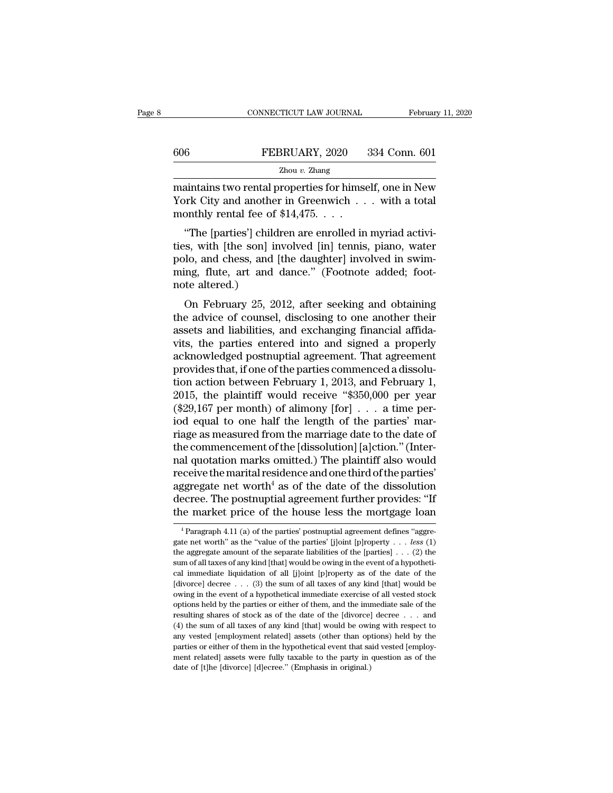|     | CONNECTICUT LAW JOURNAL | February 11, 2020 |
|-----|-------------------------|-------------------|
|     |                         |                   |
| 606 | FEBRUARY, 2020          | 334 Conn. 601     |
|     | Zhou $v$ . Zhang        |                   |

CONNECTICUT LAW JOURNAL February 11, 2020<br>
FEBRUARY, 2020 334 Conn. 601<br>
Zhou v. Zhang<br>
maintains two rental properties for himself, one in New<br>
York City and another in Greenwich . . . with a total<br>
monthly routel foo of FEBRUARY, 2020 334 Conn. 601<br>
<sup>Zhou v.</sup> Zhang<br>
maintains two rental properties for himself, one in New<br>
York City and another in Greenwich . . . with a total<br>
monthly rental fee of \$14,475. . . .  $\begin{tabular}{l} 606 & FEBRUARY, 2020 \\ \hline \hline \textbf{Zhou }v.\textbf{Zhang} \\ \hline \textbf{maintains two rental properties for himself} \\ \hline \textbf{York City and another in Greenwich} \ . \\ \hline \textbf{monthly rental fee of $14,475. . . .} \\ \hline \end{tabular}$ <sup>6</sup><br>
<sup>Zhou v. Zhang<br>
<sup>Zhou v. Zhang</sup><br>
aintains two rental properties for himself, one in New<br>
ork City and another in Greenwich . . . with a total<br>
onthly rental fee of \$14,475. . . .<br>
"The [parties'] children are enrolle</sup>

 $\frac{Zhou v. Zhang}{Zhou v. Zhang}$ <br>
maintains two rental properties for himself, one in New<br>
York City and another in Greenwich . . . with a total<br>
monthly rental fee of \$14,475. . . .<br>
"The [parties'] children are enrolled in myriad acti maintains two rental properties for himself, one in New<br>York City and another in Greenwich . . . with a total<br>monthly rental fee of \$14,475. . . .<br>"The [parties'] children are enrolled in myriad activi-<br>ties, with [the son maintains two rental properties for finisen, one in New<br>York City and another in Greenwich  $\dots$  with a total<br>monthly rental fee of \$14,475.  $\dots$ <br>"The [parties'] children are enrolled in myriad activi-<br>ties, with [the son] rork City and another<br>monthly rental fee of<br>"The [parties'] child<br>ties, with [the son] is<br>polo, and chess, and<br>ming, flute, art and<br>note altered.)<br>On February 25, 20 "The [parties'] children are enrolled in myriad activi-<br>s, with [the son] involved [in] tennis, piano, water<br>lo, and chess, and [the daughter] involved in swim-<br>ing, flute, art and dance." (Footnote added; foot-<br>te altered The [pattes] children are enfolled in hiyinad activi-<br>ties, with [the son] involved [in] tennis, piano, water<br>polo, and chess, and [the daughter] involved in swim-<br>ming, flute, art and dance." (Footnote added; foot-<br>note a

res, while the song involved [iii] tennis, plano, water<br>polo, and chess, and [the daughter] involved in swim-<br>ming, flute, art and dance." (Footnote added; foot-<br>note altered.)<br>On February 25, 2012, after seeking and obtai polo, and cliess, and [the daughter] involved in swint-<br>ming, flute, art and dance." (Footnote added; foot-<br>note altered.)<br>On February 25, 2012, after seeking and obtaining<br>the advice of counsel, disclosing to one another ming, ride, art and dance. (Poomote added, Poor-<br>note altered.)<br>On February 25, 2012, after seeking and obtaining<br>the advice of counsel, disclosing to one another their<br>assets and liabilities, and exchanging financial affi for Tebruary 25, 2012, after seeking and obtaining<br>the advice of counsel, disclosing to one another their<br>assets and liabilities, and exchanging financial affida-<br>vits, the parties entered into and signed a properly<br>acknow On February 25, 2012, after seeking and obtaining<br>the advice of counsel, disclosing to one another their<br>assets and liabilities, and exchanging financial affida-<br>vits, the parties entered into and signed a properly<br>acknow the advice of counsel, disclosing to one another their<br>assets and liabilities, and exchanging financial affida-<br>vits, the parties entered into and signed a properly<br>acknowledged postnuptial agreement. That agreement<br>provid assets and liabilities, and exchanging financial affidavits, the parties entered into and signed a properly acknowledged postnuptial agreement. That agreement provides that, if one of the parties commenced a dissolution a vits, the parties entered into and signed a properly<br>acknowledged postnuptial agreement. That agreement<br>provides that, if one of the parties commenced a dissolu-<br>tion action between February 1, 2013, and February 1,<br>2015, acknowledged postnuptial agreement. That agreement<br>provides that, if one of the parties commenced a dissolution<br>action between February 1, 2013, and February 1,<br>2015, the plaintiff would receive "\$350,000 per year<br>(\$29,167 provides that, if one of the parties commenced a dissolution action between February 1, 2013, and February 1, 2015, the plaintiff would receive "\$350,000 per year (\$29,167 per month) of alimony [for]  $\ldots$  a time period e tion action between February 1, 2013, and February 1, 2015, the plaintiff would receive "\$350,000 per year (\$29,167 per month) of alimony [for] . . . a time period equal to one half the length of the parties' marriage as 2015, the plaintiff would receive "\$350,000 per year (\$29,167 per month) of alimony [for] . . . a time period equal to one half the length of the parties' marriage as measured from the marriage date to the date of the com (\$29,167 per month) of alimony [for]  $\ldots$  a time per-<br>iod equal to one half the length of the parties' mar-<br>riage as measured from the marriage date to the date of<br>the commencement of the [dissolution] [a]ction." (Interiod equal to one half the length of the parties' marriage as measured from the marriage date to the date of the commencement of the [dissolution] [a]ction." (Internal quotation marks omitted.) The plaintiff also would rec riage as measured from the marriage date to the date of<br>the commencement of the [dissolution] [a]ction." (Inter-<br>nal quotation marks omitted.) The plaintiff also would<br>receive the marital residence and one third of the pa eceive the marital residence and one third of the parties'<br>ggregate net worth<sup>4</sup> as of the date of the dissolution<br>ecree. The postnuptial agreement further provides: "If<br>the market price of the house less the mortgage loa aggregate net worth<sup>4</sup> as of the date of the dissolution<br>decree. The postnuptial agreement further provides: "If<br>the market price of the house less the mortgage loan<br> $\frac{4}{1}$ Paragraph 4.11 (a) of the parties' postnuptial

decree. The postnuptial agreement further provides: "If<br>the market price of the house less the mortgage loan<br> $\frac{1}{4}$  Paragraph 4.11 (a) of the parties' postnuptial agreement defines "aggre-<br>gate net worth" as the "value decree. The postnuptial agreement further provides: "If<br>the market price of the house less the mortgage loan<br> $\frac{1}{1}$ <br> $\frac{1}{1}$ <br> $\frac{1}{1}$  (a) of the parties' postnuptial agreement defines "aggre-<br>gate net worth" as the " The market price of the house less the mortgage roand a property of the parties' postmuptial agreement defines "aggregate net worth" as the "value of the parties' [j]oint [p]roperty . . . less (1) the aggregate amount of <sup>4</sup> Paragraph 4.11 (a) of the parties' postnuptial agreement defines "aggregate net worth" as the "value of the parties' [j]oint [p]roperty . . . *less* (1) the aggregate amount of the separate liabilities of the [parties gate net worth" as the "value of the parties" [j]oint [p]roperty . . . less (1) the aggregate amount of the separate liabilities of the [parties] . . . (2) the sum of all taxes of any kind [that] would be owing in the eve the aggregate amount of the separate liabilities of the [parties]  $\ldots$  (2) the sum of all taxes of any kind [that] would be owing in the event of a hypothetical immediate liquidation of all [j]oint [p]roperty as of the d shares of shares of stock as of the date of the [divorce] decree ... (3) the sum of all taxes of any kind [that] would be owing in the event of a hypothetical immediate liquidation of all [j]oint [p]roperty as of the date cal immediate liquidation of all [j]oint [p]roperty as of the date of the [divorce] decree . . . (3) the sum of all taxes of any kind [that] would be owing in the event of a hypothetical immediate exercise of all vested s Furthermore and all taxes of any kind [that] would be owing in the event of a hypothetical immediate exercise of all vested stock options held by the parties or either of them, and the immediate sale of the resulting shar owing in the event of a hypothetical immediate exercise of all vested stock options held by the parties or either of them, and the immediate sale of the resulting shares of stock as of the date of the [divorce] decree  $\ld$ ontions held by the parties or either of them, and the immediate sale of the resulting shares of stock as of the date of the [divorce] decree  $\ldots$  and (4) the sum of all taxes of any kind [that] would be owing with respe resulting shares of stock as of the date of the [divorce] decree... and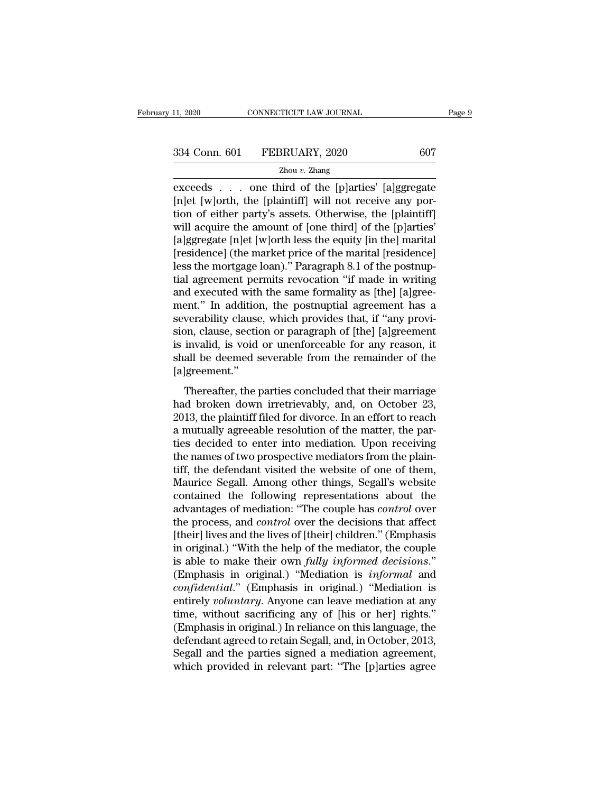Exceeds . . . one third of the [p]arties' [a]ggregate<br>
The form of cither netwice as the control of the control of the control of the control of the control of the control of cither netwice as and the control of cither net (a) 334 Conn. 601 FEBRUARY, 2020 607<br>
2hou v. Zhang<br>
exceeds . . . one third of the [p]arties' [a]ggregate<br>
[n]et [w]orth, the [plaintiff] will not receive any por-<br>
tion of either party's assets. Otherwise, the [plaintiff 334 Conn. 601 FEBRUARY, 2020 607<br>  $\frac{2\text{hou }v.\text{ Zhang}}{2\text{hou }v.\text{Zhang}}$ <br>  $\frac{2\text{Aou }v.\text{Zhang}}{2\text{Aou }v.\text{Zhang}}$ <br>
[n]et [w]orth, the [plaintiff] will not receive any portion of either party's assets. Otherwise, the [plaintiff]<br>
will 334 Conn. 601 FEBRUARY, 2020 607<br>  $\frac{2 \text{hou } v. \text{ Zhang}}{2 \text{hou } v. \text{Zhang}}$ <br>  $\frac{2 \text{Aou } v. \text{Zhang}}{2 \text{hou } v. \text{Zhang}}$ <br>  $\frac{2 \text{Aou } v. \text{Zhang}}{2 \text{Aou } v. \text{Zhang}}$ <br>  $\frac{2 \text{Aou } v. \text{Zhang}}{2 \text{Hence}}$ <br>  $\frac{2 \text{Aou } v. \text{Zhang}}{2 \text{Hence}}$ <br>  $\frac{2 \text{Aou } v. \text{Z$  $\frac{z_{\text{hou }v} \cdot z_{\text{hang}}}{z_{\text{hou }v} \cdot z_{\text{hang}}}$ <br>  $\frac{z_{\text{hou }v} \cdot z_{\text{hang}}}{z_{\text{blue}}}$ <br>
[n]et [w]orth, the [plaintiff] will not receive any por-<br>
tion of either party's assets. Otherwise, the [plaintiff]<br>
will acquire the amount of  $\frac{2 \text{h} \text{d} \vec{v}}{2 \text{h} \text{d} \vec{v}}$  and  $\vec{v}$  and  $\vec{v}$  and  $\vec{v}$  and  $\vec{v}$  and  $\vec{v}$  and  $\vec{v}$  are exceeds (h) et [w] orth, the [plaintiff] will not receive any portion of either party's assets. Otherwise, exceeds . . . one third of the [p]arties' [a]ggregate [n]et [w]orth, the [plaintiff] will not receive any portion of either party's assets. Otherwise, the [plaintiff] will acquire the amount of [one third] of the [p]arties [n]et [w]orth, the [plaintiff] will not receive any portion of either party's assets. Otherwise, the [plaintiff] will acquire the amount of [one third] of the [p]arties' [a]ggregate [n]et [w]orth less the equity [in the] m tion of either party's assets. Otherwise, the [plaintiff] will acquire the amount of [one third] of the [p]arties'<br>[a]ggregate [n]et [w]orth less the equity [in the] marital<br>[residence] (the market price of the marital [re will acquire the amount of [one third] of the [p]arties'<br>[a]ggregate [n]et [w]orth less the equity [in the] marital<br>[residence] (the market price of the marital [residence]<br>less the mortgage loan)." Paragraph 8.1 of the po [a]ggregate [n]et [w]orth less the equity [in the] marital [residence] (the market price of the marital [residence] less the mortgage loan)." Paragraph 8.1 of the postnuptial agreement permits revocation "if made in writin [residence] (the market price of the marital [residence]<br>less the mortgage loan)." Paragraph 8.1 of the postnup-<br>tial agreement permits revocation "if made in writing<br>and executed with the same formality as [the] [a]gree-<br> less the mortgage loan)." Paragraph 8.1 of the postnuptial agreement permits revocation "if made in writing<br>and executed with the same formality as [the] [a]greement." In addition, the postnuptial agreement has a<br>severabil tial agreement permits revocation "if made in writing<br>and executed with the same formality as [the] [a]gree-<br>ment." In addition, the postnuptial agreement has a<br>severability clause, which provides that, if "any provi-<br>sion [a]greement.'' Frace in a diamon, are possided a discussion into the verability clause, which provides that, if "any provident<br>invalid, is void or unenforceable for any reason, it<br>all be deemed severable from the remainder of the<br>greemen Eventually cause, which provides allah, if any provided side of the simulation, clause, section or paragraph of [the] [a]greement is invalid, is void or unenforceable for any reason, it shall be deemed severable from the r

2013, the plant of plant of particular files invalid, is void or unenforceable for any reason, it<br>shall be deemed severable from the remainder of the<br>[a]greement."<br>Thereafter, the parties concluded that their marriage<br>had a mutual, is vota or distributed<br>solve for day redsor, it shall be deemed severable from the remainder of the<br>[a]greement."<br>Thereafter, the parties concluded that their marriage<br>had broken down irretrievably, and, on Octob Frame to decided severals from the remainder of the falgreement."<br>Thereafter, the parties concluded that their marriage<br>had broken down irretrievably, and, on October 23,<br>2013, the plaintiff filed for divorce. In an effort Thereafter, the parties concluded that their marriage<br>had broken down irretrievably, and, on October 23,<br>2013, the plaintiff filed for divorce. In an effort to reach<br>a mutually agreeable resolution of the matter, the par-<br> Thereafter, the parties concluded that their marriage<br>had broken down irretrievably, and, on October 23,<br>2013, the plaintiff filed for divorce. In an effort to reach<br>a mutually agreeable resolution of the matter, the par-<br> had broken down irretrievably, and, on October 23,<br>2013, the plaintiff filed for divorce. In an effort to reach<br>a mutually agreeable resolution of the matter, the par-<br>ties decided to enter into mediation. Upon receiving<br>t 2013, the plaintiff filed for divorce. In an effort to reach<br>a mutually agreeable resolution of the matter, the par-<br>ties decided to enter into mediation. Upon receiving<br>the names of two prospective mediators from the plai a mutually agreeable resolution of the matter, the parties decided to enter into mediation. Upon receiving<br>the names of two prospective mediators from the plain-<br>tiff, the defendant visited the website of one of them,<br>Maur ties decided to enter into mediation. Upon receiving<br>the names of two prospective mediators from the plain-<br>tiff, the defendant visited the website of one of them,<br>Maurice Segall. Among other things, Segall's website<br>conta the names of two prospective mediators from the plaintiff, the defendant visited the website of one of them,<br>Maurice Segall. Among other things, Segall's website<br>contained the following representations about the<br>advantages tiff, the defendant visited the website of one of them,<br>Maurice Segall. Among other things, Segall's website<br>contained the following representations about the<br>advantages of mediation: "The couple has *control* over<br>the pro Maurice Segall. Among other things, Segall's website<br>contained the following representations about the<br>advantages of mediation: "The couple has *control* over<br>the process, and *control* over the decisions that affect<br>[thei contained the following representations about the<br>advantages of mediation: "The couple has *control* over<br>the process, and *control* over the decisions that affect<br>[their] lives and the lives of [their] children." (Emphasi advantages of mediation: "The couple has *control* over<br>the process, and *control* over the decisions that affect<br>[their] lives and the lives of [their] children." (Emphasis<br>in original.) "With the help of the mediator, th the process, and *control* over the decisions that affect<br>
[their] lives and the lives of [their] children." (Emphasis<br>
in original.) "With the help of the mediator, the couple<br>
is able to make their own *fully informed de* [their] lives and the lives of [their] children." (Emphasis<br>in original.) "With the help of the mediator, the couple<br>is able to make their own *fully informed decisions.*"<br>(Emphasis in original.) "Mediation is *informal* in original.) "With the help of the mediator, the couple<br>is able to make their own *fully informed decisions.*"<br>(Emphasis in original.) "Mediation is *informal* and<br>*confidential.*" (Emphasis in original.) "Mediation is<br>e is able to make their own *fully informed decisions.*"<br>(Emphasis in original.) "Mediation is *informal* and<br>con*fidential.*" (Emphasis in original.) "Mediation is<br>entirely *voluntary*. Anyone can leave mediation at any<br>tim (Emphasis in original.) "Mediation is *informal* and *confidential.*" (Emphasis in original.) "Mediation is entirely *voluntary*. Anyone can leave mediation at any time, without sacrificing any of [his or her] rights." (E confidential." (Emphasis in original.) "Mediation is<br>entirely voluntary. Anyone can leave mediation at any<br>time, without sacrificing any of [his or her] rights."<br>(Emphasis in original.) In reliance on this language, the<br>de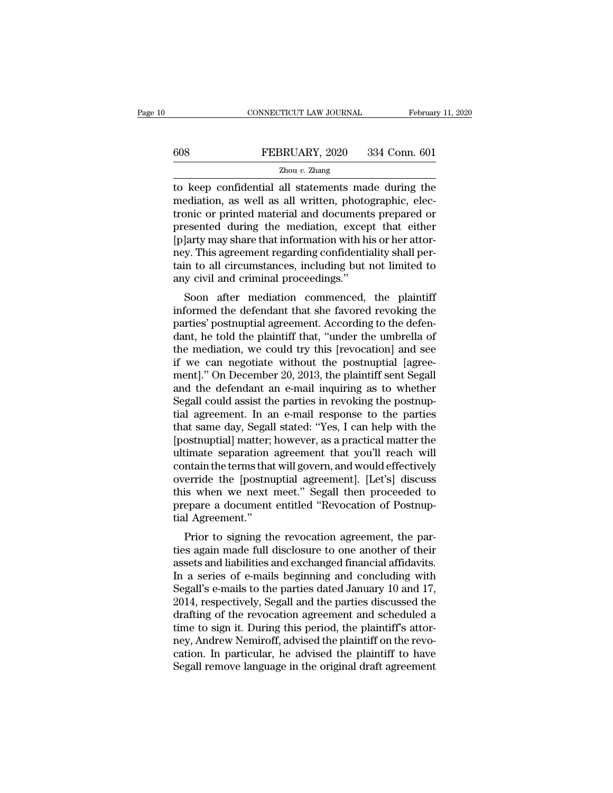# CONNECTICUT LAW JOURNAL February 11, 2020<br>608 FEBRUARY, 2020 334 Conn. 601<br>Zhou v. Zhang

### Zhou *v.* Zhang

TREBRUARY, 2020 S34 Conn. 601<br>
The Keep confidential all statements made during the<br>
The mediation, as well as all written, photographic, electronic or printed metorial and documents propored or 608 FEBRUARY, 2020 334 Conn. 601<br>
<sup>Zhou v.</sup> Zhang<br>
to keep confidential all statements made during the<br>
mediation, as well as all written, photographic, elec-<br>
tronic or printed material and documents prepared or<br>
presente FEBRUARY, 2020 334 Conn. 601<br>  $\frac{Z_{\text{hou }v. \text{ Zhang}}}{Z_{\text{hou }v. \text{Zhang}}}$ <br>
to keep confidential all statements made during the<br>
mediation, as well as all written, photographic, electronic or printed material and documents prepare FEBRUARY, 2020 334 Conn. 601<br>  $\frac{Z_{\text{hou }v. \text{ Zhang}}}{Z_{\text{hou }v. \text{Zhang}}}$ <br>
to keep confidential all statements made during the<br>
mediation, as well as all written, photographic, electronic or printed material and documents prepare  $\frac{p}{p}$ <br>  $\frac{p}{p}$   $\frac{p}{p}$ <br>
(b)  $\frac{p}{p}$   $\frac{p}{p}$ <br>
(c)  $\frac{p}{p}$  confidential all statements made during the<br>
mediation, as well as all written, photographic, electronic or printed material and documents prepared or <sup>2hou v.</sup> <sup>2hang</sup><br>to keep confidential all statements made during the<br>mediation, as well as all written, photographic, elec-<br>tronic or printed material and documents prepared or<br>presented during the mediation, except that to keep confidential all statements made during the<br>mediation, as well as all written, photographic, elec-<br>tronic or printed material and documents prepared or<br>presented during the mediation, except that either<br>[p]arty may mediation, as well as all written, photo<br>tronic or printed material and document<br>presented during the mediation, excep<br>[p]arty may share that information with hi<br>ney. This agreement regarding confidentiation<br>tain to all ci of prince material and documents prepared of<br>esented during the mediation, except that either<br>larty may share that information with his or her attor-<br>y. This agreement regarding confidentiality shall per-<br>in to all circums plesented during the mediation, except that entier<br>
[p]arty may share that information with his or her attor-<br>
ney. This agreement regarding confidentiality shall per-<br>
tain to all circumstances, including but not limited

party may share that information which is or her attor-<br>hey. This agreement regarding confidentiality shall per-<br>tain to all circumstances, including but not limited to<br>any civil and criminal proceedings."<br>Soon after media dependent regarding confidentially shall perturn to all circumstances, including but not limited to any civil and criminal proceedings."<br>Soon after mediation commenced, the plaintiff informed the defendant that she favored the mediation of minds of mediation<br>any civil and criminal proceedings."<br>Soon after mediation commenced, the plaintiff<br>informed the defendant that she favored revoking the<br>parties' postnuptial agreement. According to the d soon after mediation commenced, the plaintiff<br>informed the defendant that she favored revoking the<br>parties' postnuptial agreement. According to the defen-<br>dant, he told the plaintiff that, "under the umbrella of<br>the mediat Soon after mediation commenced, the plaintiff<br>informed the defendant that she favored revoking the<br>parties' postnuptial agreement. According to the defen-<br>dant, he told the plaintiff that, "under the umbrella of<br>the mediat informed the defendant that she favored revoking the<br>parties' postnuptial agreement. According to the defen-<br>dant, he told the plaintiff that, "under the umbrella of<br>the mediation, we could try this [revocation] and see<br>if parties' postnuptial agreement. According to the defendant, he told the plaintiff that, "under the umbrella of<br>the mediation, we could try this [revocation] and see<br>if we can negotiate without the postnuptial [agree-<br>ment] dant, he told the plaintiff that, "under the umbrella of<br>the mediation, we could try this [revocation] and see<br>if we can negotiate without the postnuptial [agree-<br>ment]." On December 20, 2013, the plaintiff sent Segall<br>and the mediation, we could try this [revocation] and see<br>if we can negotiate without the postnuptial [agree-<br>ment]." On December 20, 2013, the plaintiff sent Segall<br>and the defendant an e-mail inquiring as to whether<br>Segall c if we can negotiate without the postnuptial [agreement]." On December 20, 2013, the plaintiff sent Segall<br>and the defendant an e-mail inquiring as to whether<br>Segall could assist the parties in revoking the postnup-<br>tial ag ment]." On December 20, 2013, the plaintiff sent Segall<br>and the defendant an e-mail inquiring as to whether<br>Segall could assist the parties in revoking the postnup-<br>tial agreement. In an e-mail response to the parties<br>that and the defendant an e-mail inquiring as to whether<br>Segall could assist the parties in revoking the postnup-<br>tial agreement. In an e-mail response to the parties<br>that same day, Segall stated: "Yes, I can help with the<br>[pos Segall could assist the parties in revoking the postnuptial agreement. In an e-mail response to the parties<br>that same day, Segall stated: "Yes, I can help with the<br>[postnuptial] matter; however, as a practical matter the<br>u tial agreement. In an e-mail response to the parties<br>that same day, Segall stated: "Yes, I can help with the<br>[postnuptial] matter; however, as a practical matter the<br>ultimate separation agreement that you'll reach will<br>con that same day, Segall stated: "Yes, I can help with the [postnuptial] matter; however, as a practical matter the ultimate separation agreement that you'll reach will contain the terms that will govern, and would effectivel [postnuptial] matter;<br>ultimate separation<br>contain the terms that<br>override the [postnu<br>this when we next<br>prepare a document<br>tial Agreement."<br>Prior to signing th mate separation agreement that you'll reach will<br>matain the terms that will govern, and would effectively<br>erride the [postnuptial agreement]. [Let's] discuss<br>is when we next meet." Segall then proceeded to<br>epare a document Franchistan will govern, and would enectively<br>override the [postnuptial agreement]. [Let's] discuss<br>this when we next meet." Segall then proceeded to<br>prepare a document entitled "Revocation of Postnup-<br>tial Agreement."<br>Pri

by this when we next meet." Segall then proceeded to<br>prepare a document entitled "Revocation of Postnup-<br>tial Agreement."<br>Prior to signing the revocation agreement, the par-<br>ties again made full disclosure to one another o In a series of e-mails began then proceeded to<br>prepare a document entitled "Revocation of Postnup-<br>tial Agreement."<br>Prior to signing the revocation agreement, the par-<br>ties again made full disclosure to one another of thei prepare a document entitied Revocation or Postitup-<br>tial Agreement."<br>Prior to signing the revocation agreement, the par-<br>ties again made full disclosure to one another of their<br>assets and liabilities and exchanged financia Frior to signing the revocation agreement, the parties again made full disclosure to one another of their<br>assets and liabilities and exchanged financial affidavits.<br>In a series of e-mails beginning and concluding with<br>Sega Prior to signing the revocation agreement, the parties again made full disclosure to one another of their<br>assets and liabilities and exchanged financial affidavits.<br>In a series of e-mails beginning and concluding with<br>Sega ties again made full disclosure to one another of their<br>assets and liabilities and exchanged financial affidavits.<br>In a series of e-mails beginning and concluding with<br>Segall's e-mails to the parties dated January 10 and 1 assets and liabilities and exchanged financial affidavits.<br>In a series of e-mails beginning and concluding with<br>Segall's e-mails to the parties dated January 10 and 17,<br>2014, respectively, Segall and the parties discussed In a series of e-mails beginning and concluding with<br>Segall's e-mails to the parties dated January 10 and 17,<br>2014, respectively, Segall and the parties discussed the<br>drafting of the revocation agreement and scheduled a<br>ti Segall's e-mails to the parties dated January 10 and 17, 2014, respectively, Segall and the parties discussed the drafting of the revocation agreement and scheduled a time to sign it. During this period, the plaintiff's at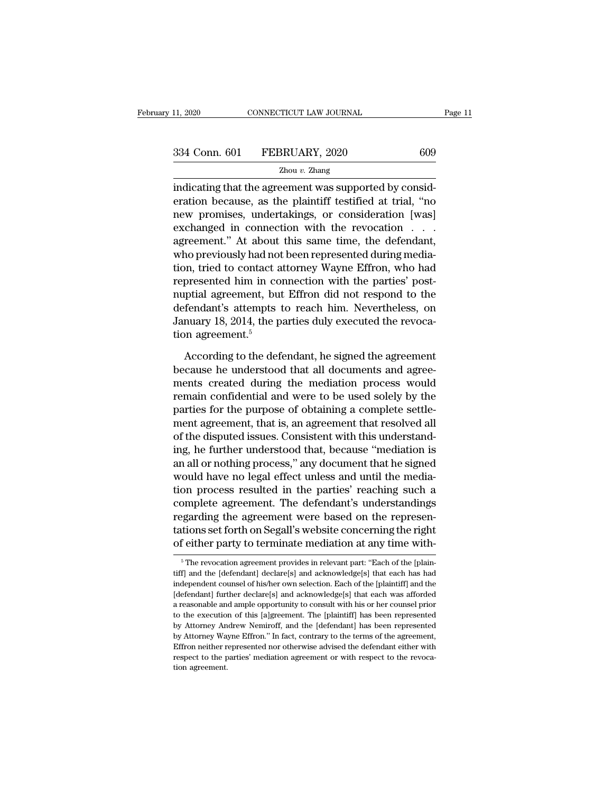II, 2020 CONNECTICUT LAW JOURNAL<br>
334 Conn. 601 FEBRUARY, 2020 609<br>
2hou v. Zhang<br>
indicating that the agreement was supported by consideration because, as the plaintiff testified at trial, "no 334 Conn. 601 FEBRUARY, 2020 609<br>  $Z_{\text{hou }v}$ . Zhang<br>
indicating that the agreement was supported by consideration because, as the plaintiff testified at trial, "no<br>
new promises, undertakings, or consideration [was]<br>
exc 334 Conn. 601 FEBRUARY, 2020 609<br>  $\frac{2\text{hou }v. \text{ Zhang}}{2\text{hou }v. \text{Zhang}}$ <br>
indicating that the agreement was supported by consideration because, as the plaintiff testified at trial, "no<br>
new promises, undertakings, or considera 334 Conn. 601 FEBRUARY, 2020 609<br>  $\frac{2 \text{hou } v. \text{ Zhang}}{2 \text{hou } v. \text{Zhang}}$ <br>
indicating that the agreement was supported by consideration because, as the plaintiff testified at trial, "no<br>
new promises, undertakings, or considera  $Zhou v. Zhang$ <br>
indicating that the agreement was supported by consideration because, as the plaintiff testified at trial, "no<br>
new promises, undertakings, or consideration [was]<br>
exchanged in connection with the revocation  $\ldots$ who previously had not been represented during mediaindicating that the agreement was supported by consideration because, as the plaintiff testified at trial, "no<br>new promises, undertakings, or consideration [was]<br>exchanged in connection with the revocation . . . .<br>agreemen eration because, as the plaintiff testified at trial, "no<br>new promises, undertakings, or consideration [was]<br>exchanged in connection with the revocation . . . .<br>agreement." At about this same time, the defendant,<br>who previ new promises, undertakings, or consideration [was]<br>exchanged in connection with the revocation . . .<br>agreement." At about this same time, the defendant,<br>who previously had not been represented during media-<br>tion, tried to exchanged in connection with the revocation . . . .<br>agreement." At about this same time, the defendant,<br>who previously had not been represented during media-<br>tion, tried to contact attorney Wayne Effron, who had<br>represent agreement." At about this same time, the defendant,<br>who previously had not been represented during media-<br>tion, tried to contact attorney Wayne Effron, who had<br>represented him in connection with the parties' post-<br>nuptial who previously had not<br>tion, tried to contact a<br>represented him in co<br>nuptial agreement, but<br>defendant's attempts<br>January 18, 2014, the p<br>tion agreement.<sup>5</sup><br>According to the def presented him in connection with the parties' post-<br>ptial agreement, but Effron did not respond to the<br>fendant's attempts to reach him. Nevertheless, on<br>nuary 18, 2014, the parties duly executed the revoca-<br>on agreement.<sup>5</sup> nuptial agreement, but Effron did not respond to the<br>defendant's attempts to reach him. Nevertheless, on<br>January 18, 2014, the parties duly executed the revoca-<br>tion agreement.<sup>5</sup><br>According to the defendant, he signed the

defendant's attempts to reach him. Nevertheless, on<br>January 18, 2014, the parties duly executed the revocation<br>agreement.<sup>5</sup><br>According to the defendant, he signed the agreement<br>because he understood that all documents and January 18, 2014, the parties duly executed the revocation agreement.<sup>5</sup><br>According to the defendant, he signed the agreement<br>because he understood that all documents and agreements created during the mediation process woul tion agreement.<sup>5</sup><br>According to the defendant, he signed the agreement<br>because he understood that all documents and agree-<br>ments created during the mediation process would<br>remain confidential and were to be used solely by According to the defendant, he signed the agreement<br>because he understood that all documents and agree-<br>ments created during the mediation process would<br>remain confidential and were to be used solely by the<br>parties for the According to the defendant, he signed the agreement<br>because he understood that all documents and agree-<br>ments created during the mediation process would<br>remain confidential and were to be used solely by the<br>parties for the because he understood that all documents and agreements created during the mediation process would<br>remain confidential and were to be used solely by the<br>parties for the purpose of obtaining a complete settle-<br>ment agreemen ments created during the mediation process would<br>remain confidential and were to be used solely by the<br>parties for the purpose of obtaining a complete settle-<br>ment agreement, that is, an agreement that resolved all<br>of the remain confidential and were to be used solely by the<br>parties for the purpose of obtaining a complete settle-<br>ment agreement, that is, an agreement that resolved all<br>of the disputed issues. Consistent with this understandparties for the purpose of obtaining a complete settle-<br>ment agreement, that is, an agreement that resolved all<br>of the disputed issues. Consistent with this understand-<br>ing, he further understood that, because "mediation i ment agreement, that is, an agreement that resolved all<br>of the disputed issues. Consistent with this understand-<br>ing, he further understood that, because "mediation is<br>an all or nothing process," any document that he signe of the disputed issues. Consistent with this understand-<br>ing, he further understood that, because "mediation is<br>an all or nothing process," any document that he signed<br>would have no legal effect unless and until the mediaing, he further understood that, because "mediation is<br>an all or nothing process," any document that he signed<br>would have no legal effect unless and until the media-<br>tion process resulted in the parties' reaching such a<br>co an all or nothing process," any document that he signed<br>would have no legal effect unless and until the media-<br>tion process resulted in the parties' reaching such a<br>complete agreement. The defendant's understandings<br>regard complete agreement. The defendant's understandings<br>regarding the agreement were based on the represen-<br>tations set forth on Segall's website concerning the right<br>of either party to terminate mediation at any time with-<br> $\frac$ regarding the agreement were based on the representations set forth on Segall's website concerning the right of either party to terminate mediation at any time with-<br><sup>5</sup> The revocation agreement provides in relevant part:

tations set forth on Segall's website concerning the right<br>of either party to terminate mediation at any time with-<br><sup>5</sup>The revocation agreement provides in relevant part: "Each of the [plaintiff] and the [defendant] declar of either party to terminate mediation at any time with-<br>  $\frac{1}{6}$ The revocation agreement provides in relevant part: "Each of the [plaintiff] and the [defendant] declare[s] and acknowledge[s] that each has had independe tiff] and the [defendant] declare[s] and acknowledge[s] that each has had<br>independent counsel of his/her own selection. Each of the [plaintiff] and the<br>[defendant] further declare[s] and acknowledge[s] that each was affor  $^\circ$  The revocation agreement provides in relevant part: "Each of the [plaintiff] and the [defendant] declare[s] and acknowledge[s] that each has had independent counsel of his/her own selection. Each of the [plaintiff] a tiff] and the [defendant] declare[s] and acknowledge[s] that each has had<br>independent counsel of his/her own selection. Each of the [plaintiff] and the<br>[defendant] further declare[s] and acknowledge[s] that each was afford independent counsel of his/her own selection. Each of the [plaintiff] and the [defendant] further declare[s] and acknowledge[s] that each was afforded a reasonable and ample opportunity to consult with his or her counsel p Interpretative mether declare is and acknowledge is that each was afforded a reasonable and ample opportunity to consult with his or her counsel prior to the execution of this [a]greement. The [plaintiff] has been represen a reasonable and ample opportunity to consult with his or her counsel prior to the execution of this [a]greement. The [plaintiff] has been represented by Attorney Mayne Effron." In fact, contrary to the terms of the agreem to the execution of this [a]greement. The [plaintiff] has been represented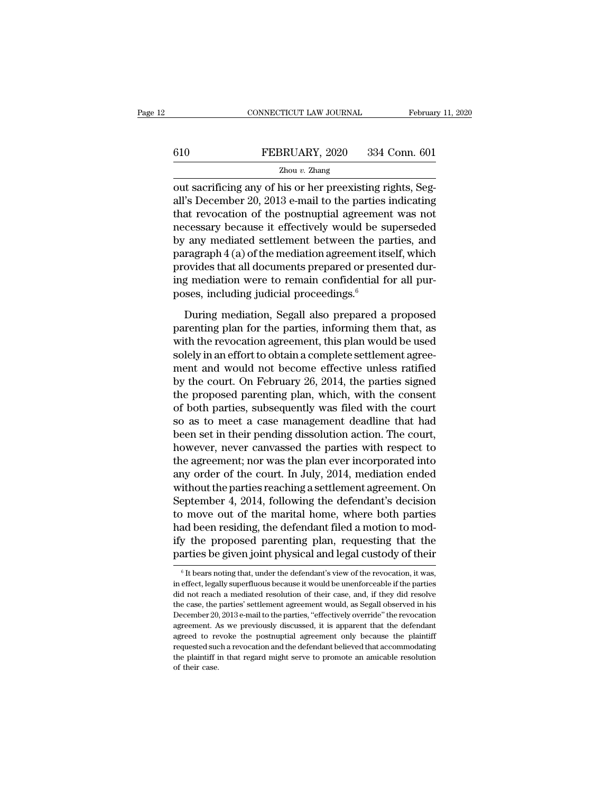|         | CONNECTICUT LAW JOURNAL | February 11, 2020 |
|---------|-------------------------|-------------------|
|         |                         |                   |
| $610\,$ | FEBRUARY, 2020          | 334 Conn. 601     |
|         | Zhou $v$ . Zhang        |                   |

CONNECTICUT LAW JOURNAL Februar<br>
610 FEBRUARY, 2020 334 Conn. 601<br>
<sup>Zhou v.</sup> Zhang<br>
out sacrificing any of his or her preexisting rights, Seg-<br>
all's December 20, 2013 e-mail to the parties indicating<br>
that reveation of th FEBRUARY, 2020 334 Conn. 601<br>
<sup>Zhou v. Zhang</sup><br>
out sacrificing any of his or her preexisting rights, Segall's December 20, 2013 e-mail to the parties indicating<br>
that revocation of the postnuptial agreement was not FEBRUARY, 2020 334 Conn. 601<br>  $\frac{Z_{\text{hou }v. \text{ Zhang}}}{Z_{\text{hou }v. \text{Zhang}}}$ <br>
out sacrificing any of his or her preexisting rights, Segall's December 20, 2013 e-mail to the parties indicating<br>
that revocation of the postnuptial agre FEBRUARY, 2020 334 Conn. 601<br>
Zhou v. Zhang<br>
out sacrificing any of his or her preexisting rights, Seg-<br>
all's December 20, 2013 e-mail to the parties indicating<br>
that revocation of the postnuptial agreement was not<br>
nece  $\frac{Zhou v. Zhang}{Zhou v. Zhang}$ <br>
out sacrificing any of his or her preexisting rights, Segall's December 20, 2013 e-mail to the parties indicating<br>
that revocation of the postnuptial agreement was not<br>
necessary because it effectively  $\frac{21000 \text{ } v. \text{ Zhang}}{2000 \text{ } v. \text{ A} \cdot \text{A} \cdot \text{B}}$  out sacrificing any of his or her preexisting rights, Segall's December 20, 2013 e-mail to the parties indicating that revocation of the postnuptial agreement was not ne out sacrificing any of his or her preexisting rights, Segall's December 20, 2013 e-mail to the parties indicating<br>that revocation of the postnuptial agreement was not<br>necessary because it effectively would be superseded<br>b all's December 20, 2013 e-mail to the parties indicating<br>that revocation of the postnuptial agreement was not<br>necessary because it effectively would be superseded<br>by any mediated settlement between the parties, and<br>paragra that revocation of the postnuptial agreemen<br>necessary because it effectively would be st<br>by any mediated settlement between the pa<br>paragraph  $4$  (a) of the mediation agreement its<br>provides that all documents prepared or p may mediated settlement between the parties, and<br>ragraph  $4$  (a) of the mediation agreement itself, which<br>ovides that all documents prepared or presented dur-<br>g mediation were to remain confidential for all pur-<br>ses, incl paragraph 4 (a) of the mediation agreement itself, which<br>provides that all documents prepared or presented during mediation were to remain confidential for all pur-<br>poses, including judicial proceedings.<sup>6</sup><br>During mediati

provides that all documents prepared or presented during mediation were to remain confidential for all purposes, including judicial proceedings. $\overset{6}{\cdot}$ <br>During mediation, Segall also prepared a proposed parenting plan ing mediation were to remain confidential for all purposes, including judicial proceedings.<sup>6</sup><br>During mediation, Segall also prepared a proposed<br>parenting plan for the parties, informing them that, as<br>with the revocation poses, including judicial proceedings.<sup>6</sup><br>During mediation, Segall also prepared a proposed<br>parenting plan for the parties, informing them that, as<br>with the revocation agreement, this plan would be used<br>solely in an effor buring mediation, Segall also prepared a proposed<br>parenting plan for the parties, informing them that, as<br>with the revocation agreement, this plan would be used<br>solely in an effort to obtain a complete settlement agree-<br>me During mediation, Segall also prepared a proposed<br>parenting plan for the parties, informing them that, as<br>with the revocation agreement, this plan would be used<br>solely in an effort to obtain a complete settlement agree-<br>me parenting plan for the parties, informing them that, as<br>with the revocation agreement, this plan would be used<br>solely in an effort to obtain a complete settlement agree-<br>ment and would not become effective unless ratified<br> with the revocation agreement, this plan would be used<br>solely in an effort to obtain a complete settlement agree-<br>ment and would not become effective unless ratified<br>by the court. On February 26, 2014, the parties signed<br>t solely in an effort to obtain a complete settlement agreement and would not become effective unless ratified<br>by the court. On February 26, 2014, the parties signed<br>the proposed parenting plan, which, with the consent<br>of bo ment and would not become effective unless ratified<br>by the court. On February 26, 2014, the parties signed<br>the proposed parenting plan, which, with the consent<br>of both parties, subsequently was filed with the court<br>so as t by the court. On February 26, 2014, the parties signed<br>the proposed parenting plan, which, with the consent<br>of both parties, subsequently was filed with the court<br>so as to meet a case management deadline that had<br>been set the proposed parenting plan, which, with the consent<br>of both parties, subsequently was filed with the court<br>so as to meet a case management deadline that had<br>been set in their pending dissolution action. The court,<br>however of both parties, subsequently was filed with the court<br>so as to meet a case management deadline that had<br>been set in their pending dissolution action. The court,<br>however, never canvassed the parties with respect to<br>the agr so as to meet a case management deadline that had<br>been set in their pending dissolution action. The court,<br>however, never canvassed the parties with respect to<br>the agreement; nor was the plan ever incorporated into<br>any ord been set in their pending dissolution action. The court,<br>however, never canvassed the parties with respect to<br>the agreement; nor was the plan ever incorporated into<br>any order of the court. In July, 2014, mediation ended<br>wi however, never canvassed the parties with respect to<br>the agreement; nor was the plan ever incorporated into<br>any order of the court. In July, 2014, mediation ended<br>without the parties reaching a settlement agreement. On<br>Sep the agreement; nor was the plan ever incorporated into<br>any order of the court. In July, 2014, mediation ended<br>without the parties reaching a settlement agreement. On<br>September 4, 2014, following the defendant's decision<br>to any order of the court. In July, 2014, mediation ended<br>without the parties reaching a settlement agreement. On<br>September 4, 2014, following the defendant's decision<br>to move out of the marital home, where both parties<br>had b to move out of the marital home, where both parties<br>had been residing, the defendant filed a motion to mod-<br>ify the proposed parenting plan, requesting that the<br>parties be given joint physical and legal custody of their<br>had been residing, the defendant filed a motion to modify the proposed parenting plan, requesting that the parties be given joint physical and legal custody of their  $\frac{1}{6}$  It bears noting that, under the defendant's v

ify the proposed parenting plan, requesting that the parties be given joint physical and legal custody of their  $\frac{1}{10}$  and  $\frac{1}{10}$  and  $\frac{1}{10}$  and  $\frac{1}{10}$  and  $\frac{1}{10}$  and  $\frac{1}{10}$  and  $\frac{1}{10}$  are reso parties be given joint physical and legal custody of their  $\frac{1}{100}$  of the parties because it would be unenforceable if the parties did not reach a mediated resolution of their case, and, if they did resolve the case, parties be given joint physical and regal custody of their<br>
<sup>6</sup> It bears noting that, under the defendant's view of the revocation, it was,<br>
in effect, legally superfluous because it would be unenforceable if the parties<br> <sup>6</sup> It bears noting that, under the defendant's view of the revocation, it was, in effect, legally superfluous because it would be unenforceable if the parties did not reach a mediated resolution of their case, and, if th in effect, legally superfluous because it would be unenforceable if the parties<br>did not reach a mediated resolution of their case, and, if they did resolve<br>the case, the parties' settlement agreement would, as Segall obser revocation of their case, and, if they did resolve<br>the case, the parties' settlement agreement would, as Segall observed in his<br>December 20, 2013 e-mail to the parties, "effectively override" the revocation<br>agreement. As w the case, the parties' settlement agreement would, as Segall observed in his December 20, 2013 e-mail to the parties, "effectively override" the revocation agreement. As we previously discussed, it is apparent that the def December 20, 2013 e-mail to the parties, "effectively override" the revocation agreement. As we previously discussed, it is apparent that the defendant agreed to revoke the postnuptial agreement only because the plaintiff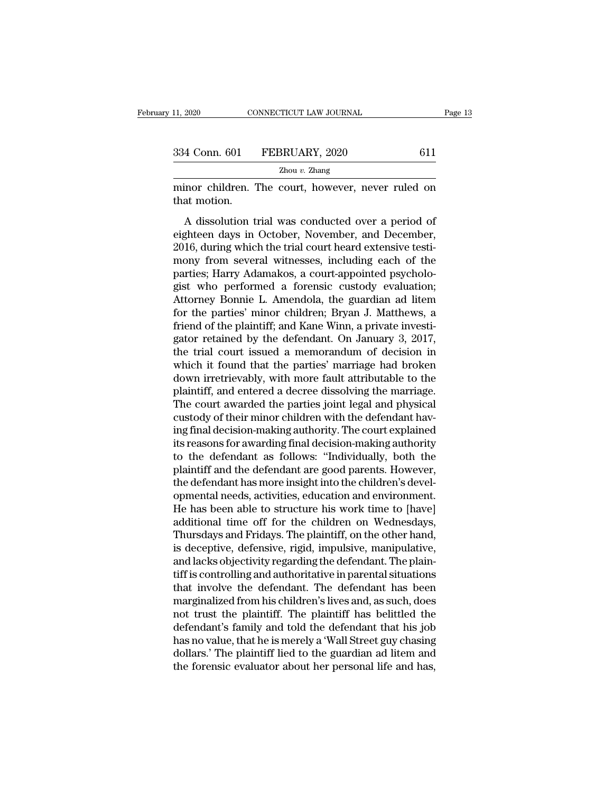| 11, 2020      | CONNECTICUT LAW JOURNAL | Page 13 |  |
|---------------|-------------------------|---------|--|
| 334 Conn. 601 | FEBRUARY, 2020          | 611     |  |
|               | Zhou $v$ . Zhang        |         |  |

minor children. The court, however, never ruled on<br>that motion.<br>The court, however, never ruled on<br>that motion. 334 Conn. 601<br>
That motion.<br>
A dissolution t

4 Conn. 601 FEBRUARY, 2020 611<br>
Zhou v. Zhang<br>
inor children. The court, however, never ruled on<br>
at motion.<br>
A dissolution trial was conducted over a period of<br>
ghteen days in October, November, and December,<br>
16 during w 334 Conn. 601 FEBRUARY, 2020 611<br>  $\frac{Z_{\text{hou }v. \text{ Zhang}}}{Z_{\text{hou }v. \text{Zhang}}}$ <br>
minor children. The court, however, never ruled on<br>
that motion.<br>
A dissolution trial was conducted over a period of<br>
eighteen days in October, Novemb  $\frac{Z_{\text{hou } v. \text{ Zhang}}}{Z_{\text{hou } v. \text{Zhang}}}$ <br>
2016, during which trial was conducted over a period of<br>
eighteen days in October, November, and December,<br>
2016, during which the trial court heard extensive testi-<br>
mony from several minor children. The court, however, never ruled on<br>that motion.<br>A dissolution trial was conducted over a period of<br>eighteen days in October, November, and December,<br>2016, during which the trial court heard extensive testimaked that motion.<br>
A dissolution trial was conducted over a period of<br>
eighteen days in October, November, and December,<br>
2016, during which the trial court heard extensive testi-<br>
mony from several witnesses, including e A dissolution trial was conducted over a period of<br>eighteen days in October, November, and December,<br>2016, during which the trial court heard extensive testi-<br>mony from several witnesses, including each of the<br>parties; Har A dissolution trial was conducted over a period of<br>eighteen days in October, November, and December,<br>2016, during which the trial court heard extensive testi-<br>mony from several witnesses, including each of the<br>parties; Har eighteen days in October, November, and December,<br>2016, during which the trial court heard extensive testi-<br>mony from several witnesses, including each of the<br>parties; Harry Adamakos, a court-appointed psycholo-<br>gist who p 2016, during which the trial court heard extensive testimony from several witnesses, including each of the parties; Harry Adamakos, a court-appointed psychologist who performed a forensic custody evaluation; Attorney Bonni mony from several witnesses, including each of the parties; Harry Adamakos, a court-appointed psychologist who performed a forensic custody evaluation;<br>Attorney Bonnie L. Amendola, the guardian ad litem<br>for the parties' mi parties; Harry Adamakos, a court-appointed psychologist who performed a forensic custody evaluation;<br>Attorney Bonnie L. Amendola, the guardian ad litem<br>for the parties' minor children; Bryan J. Matthews, a<br>friend of the pl gist who performed a forensic custody evaluation;<br>Attorney Bonnie L. Amendola, the guardian ad litem<br>for the parties' minor children; Bryan J. Matthews, a<br>friend of the plaintiff; and Kane Winn, a private investi-<br>gator re Attorney Bonnie L. Amendola, the guardian ad litem<br>for the parties' minor children; Bryan J. Matthews, a<br>friend of the plaintiff; and Kane Winn, a private investi-<br>gator retained by the defendant. On January 3, 2017,<br>the t for the parties' minor children; Bryan J. Matthews, a<br>friend of the plaintiff; and Kane Winn, a private investi-<br>gator retained by the defendant. On January 3, 2017,<br>the trial court issued a memorandum of decision in<br>which friend of the plaintiff; and Kane Winn, a private investigator retained by the defendant. On January 3, 2017, the trial court issued a memorandum of decision in which it found that the parties' marriage had broken down irr gator retained by the defendant. On January 3, 2017,<br>the trial court issued a memorandum of decision in<br>which it found that the parties' marriage had broken<br>down irretrievably, with more fault attributable to the<br>plaintiff the trial court issued a memorandum of decision in<br>which it found that the parties' marriage had broken<br>down irretrievably, with more fault attributable to the<br>plaintiff, and entered a decree dissolving the marriage.<br>The c which it found that the parties' marriage had broken<br>down irretrievably, with more fault attributable to the<br>plaintiff, and entered a decree dissolving the marriage.<br>The court awarded the parties joint legal and physical<br>c down irretrievably, with more fault attributable to the plaintiff, and entered a decree dissolving the marriage.<br>The court awarded the parties joint legal and physical custody of their minor children with the defendant hav plaintiff, and entered a decree dissolving the marriage.<br>The court awarded the parties joint legal and physical<br>custody of their minor children with the defendant hav-<br>ing final decision-making authority. The court explain The court awarded the parties joint legal and physical<br>custody of their minor children with the defendant hav-<br>ing final decision-making authority. The court explained<br>its reasons for awarding final decision-making authori custody of their minor children with the defendant having final decision-making authority. The court explained<br>its reasons for awarding final decision-making authority<br>to the defendant as follows: "Individually, both the<br>p ing final decision-making authority. The court explained<br>its reasons for awarding final decision-making authority<br>to the defendant as follows: "Individually, both the<br>plaintiff and the defendant are good parents. However,<br> its reasons for awarding final decision-making authority<br>to the defendant as follows: "Individually, both the<br>plaintiff and the defendant are good parents. However,<br>the defendant has more insight into the children's develto the defendant as follows: "Individually, both the plaintiff and the defendant are good parents. However, the defendant has more insight into the children's developmental needs, activities, education and environment. He plaintiff and the defendant are good parents. However,<br>the defendant has more insight into the children's devel-<br>opmental needs, activities, education and environment.<br>He has been able to structure his work time to [have]<br> the defendant has more insight into the children's developmental needs, activities, education and environment.<br>He has been able to structure his work time to [have]<br>additional time off for the children on Wednesdays,<br>Thurs opmental needs, activities, education and environment.<br>He has been able to structure his work time to [have]<br>additional time off for the children on Wednesdays,<br>Thursdays and Fridays. The plaintiff, on the other hand,<br>is d He has been able to structure his work time to [have]<br>additional time off for the children on Wednesdays,<br>Thursdays and Fridays. The plaintiff, on the other hand,<br>is deceptive, defensive, rigid, impulsive, manipulative,<br>an additional time off for the children on Wednesdays,<br>Thursdays and Fridays. The plaintiff, on the other hand,<br>is deceptive, defensive, rigid, impulsive, manipulative,<br>and lacks objectivity regarding the defendant. The plain Thursdays and Fridays. The plaintiff, on the other hand,<br>is deceptive, defensive, rigid, impulsive, manipulative,<br>and lacks objectivity regarding the defendant. The plain-<br>tiff is controlling and authoritative in parental is deceptive, defensive, rigid, impulsive, manipulative,<br>and lacks objectivity regarding the defendant. The plain-<br>tiff is controlling and authoritative in parental situations<br>that involve the defendant. The defendant has and lacks objectivity regarding the defendant. The plain-<br>tiff is controlling and authoritative in parental situations<br>that involve the defendant. The defendant has been<br>marginalized from his children's lives and, as such, tiff is controlling and authoritative in parental situations<br>that involve the defendant. The defendant has been<br>marginalized from his children's lives and, as such, does<br>not trust the plaintiff. The plaintiff has belittled that involve the defendant. The defendant has been<br>marginalized from his children's lives and, as such, does<br>not trust the plaintiff. The plaintiff has belittled the<br>defendant's family and told the defendant that his job<br>h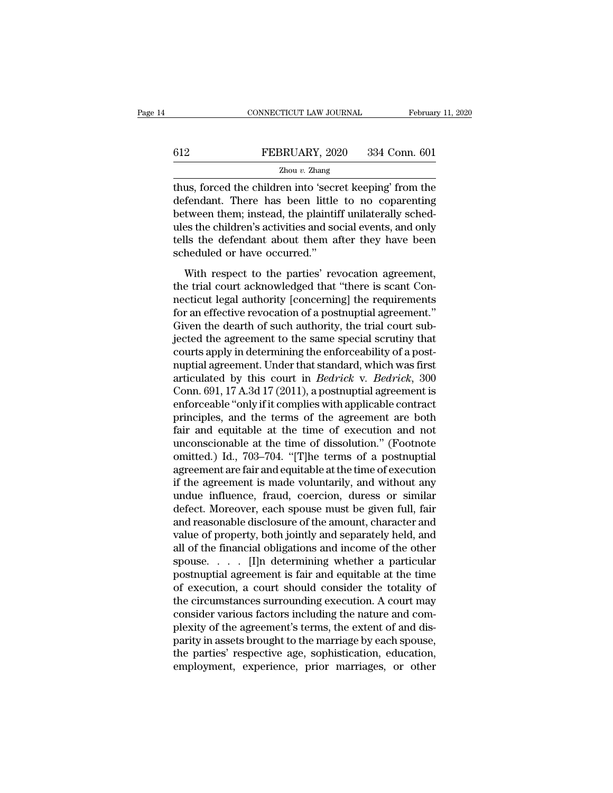### EXECUTE CONNECTICUT LAW JOURNAL February 11, 2020<br>
FEBRUARY, 2020 334 Conn. 601<br>
Zhou v. Zhang Zhou *v.* Zhang

CONNECTICUT LAW JOURNAL February 11, 2020<br>
FEBRUARY, 2020 334 Conn. 601<br>
Zhou v. Zhang<br>
Thus, forced the children into 'secret keeping' from the<br>
defendant. There has been little to no coparenting<br>
hotwoon them: instead th EEBRUARY, 2020 334 Conn. 601<br>
<sup>Zhou v. Zhang</sup><br>
thus, forced the children into 'secret keeping' from the<br>
defendant. There has been little to no coparenting<br>
between them; instead, the plaintiff unilaterally sched-<br>
where t **612** FEBRUARY, 2020 334 Conn. 601<br>  $\frac{Z_{\text{hou }v. \text{ Zhang}}}{Z_{\text{hou }v. \text{Zhang}}}$ <br>
thus, forced the children into 'secret keeping' from the<br>
defendant. There has been little to no coparenting<br>
between them; instead, the plaintiff u FEBRUARY, 2020 334 Conn. 601<br>  $\frac{Z_{\text{hou }v. \text{ Zhang}}}{Z_{\text{hou }v. \text{Zhang}}}$ <br>
thus, forced the children into 'secret keeping' from the<br>
defendant. There has been little to no coparenting<br>
between them; instead, the plaintiff unilate  $\frac{Z_{\text{hou }v. \text{ Zhang}}}{Z_{\text{hou }v. \text{ Zhang}}}$ <br>thus, forced the children into 'secret keeping' from the<br>defendant. There has been little to no coparenting<br>between them; instead, the plaintiff unilaterally sched-<br>ules the children's a zhou *v*. Zhang<br>thus, forced the children into 'secre<br>defendant. There has been little<br>between them; instead, the plaintii<br>ules the children's activities and so<br>tells the defendant about them a<br>scheduled or have occurred." Endant. There has been little to no coparenting<br>fendant. There has been little to no coparenting<br>tween them; instead, the plaintiff unilaterally sched-<br>es the children's activities and social events, and only<br>lis the defen the trial court acknowledged that there is step that the courted between them; instead, the plaintiff unilaterally schedules the children's activities and social events, and only tells the defendant about them after they h

nective the children's activities and social events, and only<br>tells the defendant about them after they have been<br>scheduled or have occurred."<br>With respect to the parties' revocation agreement,<br>the trial court acknowledged folls the defendant about them after they have been<br>scheduled or have occurred."<br>With respect to the parties' revocation agreement,<br>the trial court acknowledged that "there is scant Con-<br>necticut legal authority [concernin Scheduled or have occurred."<br>Scheduled or have occurred."<br>With respect to the parties' revocation agreement,<br>the trial court acknowledged that "there is scant Con-<br>necticut legal authority [concerning] the requirements<br>for With respect to the parties' revocation agreement,<br>the trial court acknowledged that "there is scant Con-<br>necticut legal authority [concerning] the requirements<br>for an effective revocation of a postnuptial agreement."<br>Give With respect to the parties' revocation agreement,<br>the trial court acknowledged that "there is scant Con-<br>necticut legal authority [concerning] the requirements<br>for an effective revocation of a post-uptial agreement."<br>Give the trial court acknowledged that "there is scant Connecticut legal authority [concerning] the requirements<br>for an effective revocation of a postnuptial agreement."<br>Given the dearth of such authority, the trial court sub-<br> necticut legal authority [concerning] the requirements<br>for an effective revocation of a postnuptial agreement."<br>Given the dearth of such authority, the trial court sub-<br>jected the agreement to the same special scrutiny tha for an effective revocation of a postnuptial agreement."<br>Given the dearth of such authority, the trial court sub-<br>jected the agreement to the same special scrutiny that<br>courts apply in determining the enforceability of a Given the dearth of such authority, the trial court sub-<br>jected the agreement to the same special scrutiny that<br>courts apply in determining the enforceability of a post-<br>nuptial agreement. Under that standard, which was fi jected the agreement to the same special scrutiny that<br>courts apply in determining the enforceability of a post-<br>nuptial agreement. Under that standard, which was first<br>articulated by this court in *Bedrick* v. *Bedrick*, courts apply in determining the enforceability of a post-<br>nuptial agreement. Under that standard, which was first<br>articulated by this court in *Bedrick* v. *Bedrick*, 300<br>Conn. 691, 17 A.3d 17 (2011), a postnuptial agreem nuptial agreement. Under that standard, which was first<br>articulated by this court in *Bedrick* v. *Bedrick*, 300<br>Conn. 691, 17 A.3d 17 (2011), a postnuptial agreement is<br>enforceable "only if it complies with applicable con articulated by this court in *Bedrick* v. *Bedrick*, 300<br>Conn. 691, 17 A.3d 17 (2011), a postnuptial agreement is<br>enforceable "only if it complies with applicable contract<br>principles, and the terms of the agreement are bot Conn. 691, 17 A.3d 17 (2011), a postnuptial agreement is<br>enforceable "only if it complies with applicable contract<br>principles, and the terms of the agreement are both<br>fair and equitable at the time of execution and not<br>unc enforceable "only if it complies with applicable contract<br>principles, and the terms of the agreement are both<br>fair and equitable at the time of execution and not<br>unconscionable at the time of dissolution." (Footnote<br>omitte principles, and the terms of the agreement are both<br>fair and equitable at the time of execution and not<br>unconscionable at the time of dissolution." (Footnote<br>omitted.) Id., 703–704. "[T]he terms of a postnuptial<br>agreement fair and equitable at the time of execution and not<br>unconscionable at the time of dissolution." (Footnote<br>omitted.) Id., 703–704. "[T]he terms of a postnuptial<br>agreement are fair and equitable at the time of execution<br>if t unconscionable at the time of dissolution." (Footnote omitted.) Id., 703–704. "[T]he terms of a postnuptial agreement are fair and equitable at the time of execution if the agreement is made voluntarily, and without any un omitted.) Id., 703–704. "[T]he terms of a postnuptial<br>agreement are fair and equitable at the time of execution<br>if the agreement is made voluntarily, and without any<br>undue influence, fraud, coercion, duress or similar<br>defe agreement are fair and equitable at the time of execution<br>if the agreement is made voluntarily, and without any<br>undue influence, fraud, coercion, duress or similar<br>defect. Moreover, each spouse must be given full, fair<br>and if the agreement is made voluntarily, and without any<br>undue influence, fraud, coercion, duress or similar<br>defect. Moreover, each spouse must be given full, fair<br>and reasonable disclosure of the amount, character and<br>value undue influence, fraud, coercion, duress or similar<br>defect. Moreover, each spouse must be given full, fair<br>and reasonable disclosure of the amount, character and<br>value of property, both jointly and separately held, and<br>al defect. Moreover, each spouse must be given full, fair<br>and reasonable disclosure of the amount, character and<br>value of property, both jointly and separately held, and<br>all of the financial obligations and income of the othe and reasonable disclosure of the amount, character and<br>value of property, both jointly and separately held, and<br>all of the financial obligations and income of the other<br>spouse. . . . . [I]n determining whether a particular value of property, both jointly and separately held, and<br>all of the financial obligations and income of the other<br>spouse.  $\ldots$  [I]n determining whether a particular<br>postnuptial agreement is fair and equitable at the time all of the financial obligations and income of the other<br>spouse. . . . . [I]n determining whether a particular<br>postnuptial agreement is fair and equitable at the time<br>of execution, a court should consider the totality of<br>t spouse.  $\ldots$  [I]n determining whether a particular postnuptial agreement is fair and equitable at the time of execution, a court should consider the totality of the circumstances surrounding execution. A court may consid postnuptial agreement is fair and equitable at the time<br>of execution, a court should consider the totality of<br>the circumstances surrounding execution. A court may<br>consider various factors including the nature and com-<br>plex of execution, a court should consider the totality of<br>the circumstances surrounding execution. A court may<br>consider various factors including the nature and com-<br>plexity of the agreement's terms, the extent of and dis-<br>par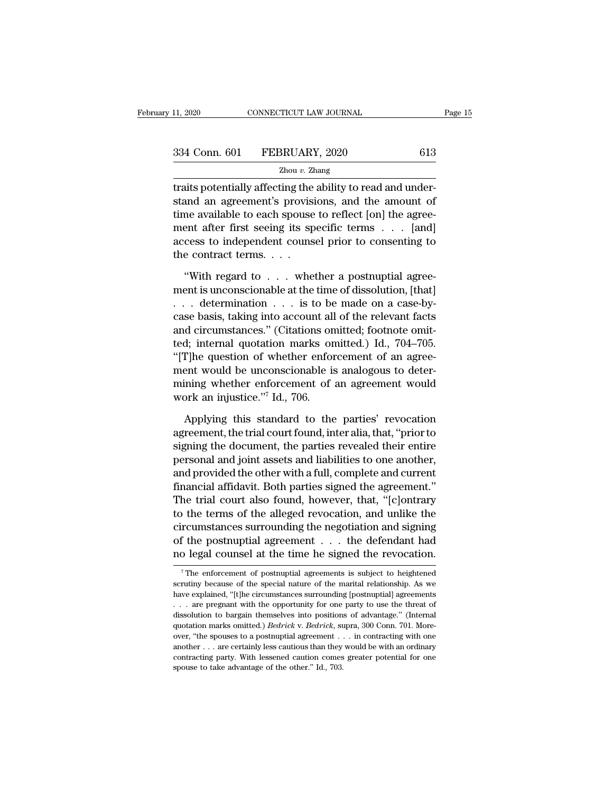| 11, 2020 | CONNECTICUT LAW JOURNAL      |     | Page 15 |
|----------|------------------------------|-----|---------|
|          |                              |     |         |
|          | 334 Conn. 601 FEBRUARY, 2020 | 613 |         |
|          | Zhou $v$ . Zhang             |     |         |

the 11, 2020 CONNECTICUT LAW JOURNAL<br>
334 Conn. 601 FEBRUARY, 2020 613<br>
7 Thou v. Zhang<br>
12 Thou v. Zhang<br>
13 Traits potentially affecting the ability to read and under-<br>
13 Thou v. Zhang<br>
13 Thou v. Zhang<br>
13 Thou v. Zhan  $334$  Conn. 601 FEBRUARY, 2020 613<br>  $\frac{2 \text{hou } v. \text{ Zhang}}{2 \text{hou } v. \text{ Zhang}}$ <br>
traits potentially affecting the ability to read and understand an agreement's provisions, and the amount of<br>
time available to each spouse to reflect 334 Conn. 601 FEBRUARY, 2020 613<br>  $\frac{Z_{\text{hou }v. \text{ Zhang}}}{Z_{\text{hou }v. \text{Zhang}}}$ <br>
traits potentially affecting the ability to read and under-<br>
stand an agreement's provisions, and the amount of<br>
time available to each spouse to refl 334 Conn. 601 FEBRUARY, 2020 613<br>  $\frac{2 \text{hou } v. \text{ Zhang}}{2 \text{hou } v. \text{Zhang}}$ <br>
traits potentially affecting the ability to read and under-<br>
stand an agreement's provisions, and the amount of<br>
time available to each spouse to reflec  $Zhou v. Zhang$ <br>traits potentially affecting the ability to read and under-<br>stand an agreement's provisions, and the amount of<br>time available to each spouse to reflect [on] the agree-<br>ment after first seeing its specific terms  $\d$  $\frac{2000 \text{ } c. \text{ Zt}}{2000 \text{ } c. \text{ Zt}}$ <br>traits potentially affecting the<br>stand an agreement's provisi<br>time available to each spouse<br>ment after first seeing its sp<br>access to independent couns<br>the contract terms. . . .<br>"With and an agreement's provisions, and the amount of<br>
the available to each spouse to reflect [on] the agree-<br>
ent after first seeing its specific terms . . . [and]<br>
cess to independent counsel prior to consenting to<br>
e contra time available to each spouse to reflect [on] the agreement after first seeing its specific terms . . . [and]<br>access to independent counsel prior to consenting to<br>the contract terms. . . .<br>"With regard to . . . whether a

ment after first seeing its specific terms . . . . [and]<br>access to independent counsel prior to consenting to<br>the contract terms. . . .<br>"With regard to . . . whether a postnuptial agree-<br>ment is unconscionable at the time access to independent counsel prior to consenting to<br>the contract terms....<br>"With regard to ... whether a postnuptial agree-<br>ment is unconscionable at the time of dissolution, [that]<br>... determination ... is to be made on the contract terms. . . .<br>
"With regard to . . . whether a postnuptial agreement is unconscionable at the time of dissolution, [that]<br>
. . . determination . . . is to be made on a case-by-<br>
case basis, taking into account "With regard to . . . whether a postnuptial agreement is unconscionable at the time of dissolution, [that]<br>
. . . determination . . . is to be made on a case-by-<br>
case basis, taking into account all of the relevant facts<br> "With regard to  $\dots$  whether a postnuptial agreement is unconscionable at the time of dissolution, [that]  $\dots$  determination  $\dots$  is to be made on a case-by-case basis, taking into account all of the relevant facts and ci ment is unconscionable at the time of dissolution, [that]<br>
... determination ... is to be made on a case-by-<br>
case basis, taking into account all of the relevant facts<br>
and circumstances." (Citations omitted; footnote omi ... determination ... is to be made on a case-by-<br>case basis, taking into account all of the relevant facts<br>and circumstances." (Citations omitted; footnote omit-<br>ted; internal quotation marks omitted.) Id., 704–705.<br>"[T] case basis, taking into account all<br>and circumstances." (Citations on<br>ted; internal quotation marks or<br>"[T]he question of whether enfor<br>ment would be unconscionable is<br>mining whether enforcement of<br>work an injustice."<sup>7</sup> I d; internal quotation marks omitted.) Id., 704–705.<br>
T]he question of whether enforcement of an agree-<br>
ent would be unconscionable is analogous to deter-<br>
ining whether enforcement of an agreement would<br>
ork an injustice. "[T]he question of whether enforcement of an agreement would be unconscionable is analogous to determining whether enforcement of an agreement would work an injustice.""  $\text{Id}$ , 706.<br>Applying this standard to the parties

ment would be unconscionable is analogous to deter-<br>mining whether enforcement of an agreement would<br>work an injustice."<sup>7</sup> Id., 706.<br>Applying this standard to the parties' revocation<br>agreement, the trial court found, inte mining whether enforcement of an agreement would<br>work an injustice."<sup>7</sup> Id., 706.<br>Applying this standard to the parties' revocation<br>agreement, the trial court found, inter alia, that, "prior to<br>signing the document, the pa work an injustice."<sup>7</sup> Id., 706.<br>Applying this standard to the parties' revocation<br>agreement, the trial court found, inter alia, that, "prior to<br>signing the document, the parties revealed their entire<br>personal and joint as Applying this standard to the parties' revocation<br>agreement, the trial court found, inter alia, that, "prior to<br>signing the document, the parties revealed their entire<br>personal and joint assets and liabilities to one anoth Applying this standard to the parties' revocation<br>agreement, the trial court found, inter alia, that, "prior to<br>signing the document, the parties revealed their entire<br>personal and joint assets and liabilities to one anoth agreement, the trial court found, inter alia, that, "prior to<br>signing the document, the parties revealed their entire<br>personal and joint assets and liabilities to one another,<br>and provided the other with a full, complete a signing the document, the parties revealed their entire<br>personal and joint assets and liabilities to one another,<br>and provided the other with a full, complete and current<br>financial affidavit. Both parties signed the agreem personal and joint assets and liabilities to one another,<br>and provided the other with a full, complete and current<br>financial affidavit. Both parties signed the agreement."<br>The trial court also found, however, that, "[c]ont and provided the other with a full, complete and current<br>financial affidavit. Both parties signed the agreement."<br>The trial court also found, however, that, "[c]ontrary<br>to the terms of the alleged revocation, and unlike th 7 The enforcement of postnuptial agreements is subject to heightened  $\frac{7}{10}$ . The enforcement of postnuptial agreements is subject to heightened  $\frac{7}{10}$ . circumstances surrounding the negotiation and signing<br>of the postnuptial agreement  $\dots$  the defendant had<br>no legal counsel at the time he signed the revocation.<br> $\overline{ }^7$ The enforcement of postnuptial agreements is subjec

of the postnuptial agreement . . . the defendant had<br>no legal counsel at the time he signed the revocation.<br> $\frac{1}{1}$ The enforcement of postnuptial agreements is subject to heightened<br>scrutiny because of the special natur no legal counsel at the time he signed the revocation.<br>The enforcement of postmuptial agreements is subject to heightened<br>scrutiny because of the special nature of the marital relationship. As we<br>have explained, "[t]he cir The enforcement of postmuptial agreements is subject to heightened<br>scrutiny because of the special nature of the marital relationship. As we<br>have explained, "[t]he circumstances surrounding [postmuptial] agreements<br> $\dots$  a The enforcement of postnuptial agreements is subject to heightened<br>scrutiny because of the special nature of the marital relationship. As we<br>have explained, "[t]he circumstances surrounding [postnuptial] agreements<br> $\ldots$  scrutiny because of the special nature of the marital relationship. As we have explained, "[t]he circumstances surrounding [postnuptial] agreements . . . are pregnant with the opportunity for one party to use the threat o bave explained, "[the circumstances surrounding [postnuptial] agreements . . . . are pregnant with the opportunity for one party to use the threat of dissolution to bargain themselves into positions of advantage." (Intern contracting party. With the opportunity for one party to use the threat of dissolution to bargain themselves into positions of advantage." (Internal quotation marks omitted.) *Bedrick* v. *Bedrick*, supra, 300 Conn. 701. ... are pregnant with the opportunity for one party to use the threat of dissolution to bargain themselves into positions of advantage." (Internal quotation marks omitted.) *Bedrick* v. *Bedrick*, supra, 300 Conn. 701. Mo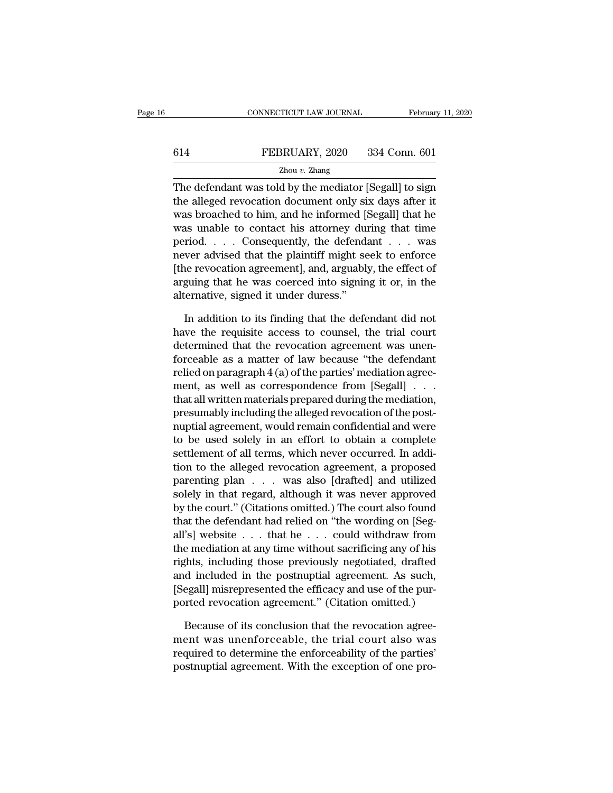### EXECUTE CONNECTICUT LAW JOURNAL February 11, 2020<br>
FEBRUARY, 2020 334 Conn. 601<br>
Zhou v. Zhang Zhou *v.* Zhang

CONNECTICUT LAW JOURNAL February 11, 2020<br>
FEBRUARY, 2020 334 Conn. 601<br>
Zhou v. Zhang<br>
The defendant was told by the mediator [Segall] to sign<br>
the alleged revocation document only six days after it<br>
was breached to bim, FEBRUARY, 2020 334 Conn. 601<br>  $\frac{Z_{\text{hou }v. \text{ Zhang}}}{Z_{\text{hou }v. \text{Zhang}}}$ <br>
The defendant was told by the mediator [Segall] to sign<br>
the alleged revocation document only six days after it<br>
was broached to him, and he informed [Seg EXEMBERUARY, 2020 334 Conn. 601<br>
<u>Zhou v. Zhang</u><br>
The defendant was told by the mediator [Segall] to sign<br>
the alleged revocation document only six days after it<br>
was broached to him, and he informed [Segall] that he<br>
was FEBRUARY, 2020 334 Conn. 601<br>  $\frac{Z_{\text{hou } v. \text{ Zhang}}}{Z_{\text{hou } v. \text{ Zhang}}}$ <br>
The defendant was told by the mediator [Segall] to sign<br>
the alleged revocation document only six days after it<br>
was broached to him, and he informed [Sega  $\frac{Z_{\text{hou } v. Z_{\text{hang}}}{Z_{\text{hou } v. Z_{\text{hang}}}}$ <br>The defendant was told by the mediator [Segall] to sign<br>the alleged revocation document only six days after it<br>was broached to him, and he informed [Segall] that he<br>was unable to co The defendant was told by the mediator [Segall] to sign<br>the alleged revocation document only six days after it<br>was broached to him, and he informed [Segall] that he<br>was unable to contact his attorney during that time<br>peri The defendant was told by the mediator [Segall] to sign<br>the alleged revocation document only six days after it<br>was broached to him, and he informed [Segall] that he<br>was unable to contact his attorney during that time<br>perio the alleged revocation document only six days after it<br>was broached to him, and he informed [Segall] that he<br>was unable to contact his attorney during that time<br>period....Consequently, the defendant ... was<br>never advised t was broached to him, and he informed  $\upharpoonright$ <br>was unable to contact his attorney dure<br>period. . . . Consequently, the defenda<br>never advised that the plaintiff might se<br>(the revocation agreement), and, arguably<br>arguing that Fiod. . . . Consequently, the defendant  $\ldots$  was<br>ver advised that the plaintiff might seek to enforce<br>ne revocation agreement], and, arguably, the effect of<br>guing that he was coerced into signing it or, in the<br>lernative, mever advised that the plaintiff might seek to enforce<br>
[the revocation agreement], and, arguably, the effect of<br>
arguing that he was coerced into signing it or, in the<br>
alternative, signed it under duress."<br>
In addition t

[the revocation agreement], and, arguably, the effect of arguing that he was coerced into signing it or, in the alternative, signed it under duress."<br>In addition to its finding that the defendant did not have the requisit arguing that he was coerced into signing it or, in the<br>alternative, signed it under duress."<br>In addition to its finding that the defendant did not<br>have the requisite access to counsel, the trial court<br>determined that the r alternative, signed it under duress."<br>In addition to its finding that the defendant did not<br>have the requisite access to counsel, the trial court<br>determined that the revocation agreement was unen-<br>forceable as a matter of In addition to its finding that the defendant did not<br>have the requisite access to counsel, the trial court<br>determined that the revocation agreement was unen-<br>forceable as a matter of law because "the defendant<br>relied on In addition to its finding that the defendant did not<br>have the requisite access to counsel, the trial court<br>determined that the revocation agreement was unen-<br>forceable as a matter of law because "the defendant<br>relied on have the requisite access to counsel, the trial court<br>determined that the revocation agreement was unen-<br>forceable as a matter of law because "the defendant<br>relied on paragraph 4 (a) of the parties' mediation agree-<br>ment, determined that the revocation agreement was unen-<br>forceable as a matter of law because "the defendant<br>relied on paragraph 4 (a) of the parties' mediation agree-<br>ment, as well as correspondence from [Segall] . . . .<br>that a forceable as a matter of law because "the defendant<br>relied on paragraph 4 (a) of the parties' mediation agree-<br>ment, as well as correspondence from [Segall] . . .<br>that all written materials prepared during the mediation,<br>p relied on paragraph 4 (a) of the parties' mediation agreement, as well as correspondence from [Segall] . . . .<br>that all written materials prepared during the mediation, presumably including the alleged revocation of the po ment, as well as correspondence from [Segall] . . .<br>that all written materials prepared during the mediation,<br>presumably including the alleged revocation of the post-<br>nuptial agreement, would remain confidential and were<br>t that all written materials prepared during the mediation,<br>presumably including the alleged revocation of the post-<br>nuptial agreement, would remain confidential and were<br>to be used solely in an effort to obtain a complete<br>s presumably including the alleged revocation of the post-<br>nuptial agreement, would remain confidential and were<br>to be used solely in an effort to obtain a complete<br>settlement of all terms, which never occurred. In addi-<br>tio nuptial agreement, would remain confidential and were<br>to be used solely in an effort to obtain a complete<br>settlement of all terms, which never occurred. In addi-<br>tion to the alleged revocation agreement, a proposed<br>parenti to be used solely in an effort to obtain a complete<br>settlement of all terms, which never occurred. In addi-<br>tion to the alleged revocation agreement, a proposed<br>parenting plan . . . was also [drafted] and utilized<br>solely i settlement of all terms, which never occurred. In addition to the alleged revocation agreement, a proposed parenting plan . . . was also [drafted] and utilized solely in that regard, although it was never approved by the c tion to the alleged revocation agreement, a proposed<br>parenting plan  $\dots$  was also [drafted] and utilized<br>solely in that regard, although it was never approved<br>by the court." (Citations omitted.) The court also found<br>that parenting plan . . . was also [drafted] and utilized<br>solely in that regard, although it was never approved<br>by the court." (Citations omitted.) The court also found<br>that the defendant had relied on "the wording on [Seg-<br>all solely in that regard, although it was never approved<br>by the court." (Citations omitted.) The court also found<br>that the defendant had relied on "the wording on [Seg-<br>all's] website . . . that he . . . could withdraw from<br>t by the court." (Citations omitted.) The court also found<br>that the defendant had relied on "the wording on [Seg-<br>all's] website . . . that he . . . could withdraw from<br>the mediation at any time without sacrificing any of hi that the defendant had relied on "the wording on [Seg-<br>all's] website  $\ldots$  that he  $\ldots$  could withdraw from<br>the mediation at any time without sacrificing any of his<br>rights, including those previously negotiated, drafted e mediation at any time without sacrificing any of his<br>fhts, including those previously negotiated, drafted<br>d included in the postnuptial agreement. As such,<br>egall] misrepresented the efficacy and use of the pur-<br>protectio rights, including those previously negotiated, drafted<br>and included in the postnuptial agreement. As such,<br>[Segall] misrepresented the efficacy and use of the pur-<br>ported revocation agreement." (Citation omitted.)<br>Because

and included in the postnuptial agreement. As such,<br>[Segall] misrepresented the efficacy and use of the pur-<br>ported revocation agreement." (Citation omitted.)<br>Because of its conclusion that the revocation agreement was une [Segall] misrepresented the efficacy and use of the purported revocation agreement." (Citation omitted.)<br>Because of its conclusion that the revocation agreement was unenforceable, the trial court also was<br>required to deter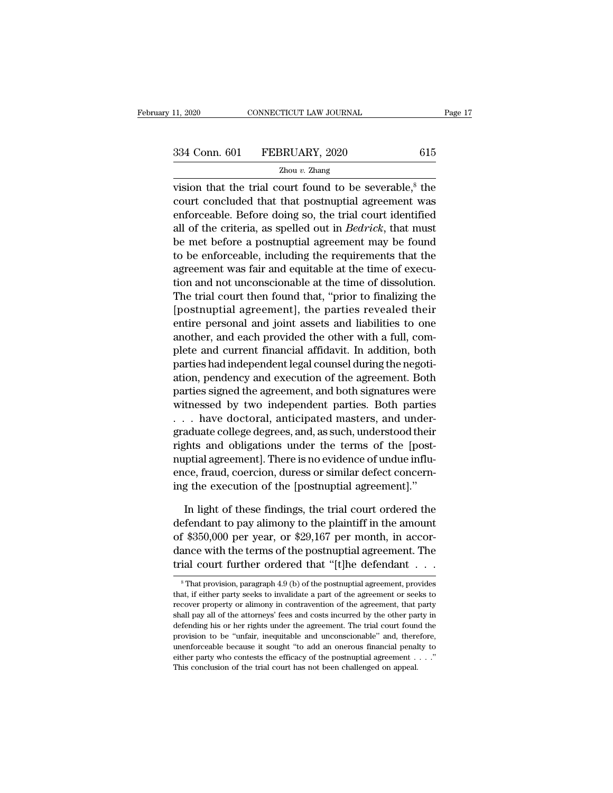vision that the trial court found to be severable,<sup>8</sup> the<br>
vision that the trial court found to be severable,<sup>8</sup> the<br>
vision that the trial court found to be severable,<sup>8</sup> the<br>
court concluded that that postnuptial agreem 334 Conn. 601 FEBRUARY, 2020 615<br>  $\frac{Z_{\text{hou }v. \text{ Zhang}}}{Z_{\text{hou }v. \text{ Zhang}}}$ <br>
vision that the trial court found to be severable,<sup>8</sup> the<br>
court concluded that that postnuptial agreement was<br>
enforceable. Before doing so, the trial 334 Conn. 601 FEBRUARY, 2020 615<br>  $\frac{Z_{\text{hou }v. \text{ Zhang}}}{Z_{\text{hou }v. \text{Zhang}}}$ <br>
vision that the trial court found to be severable,<sup>8</sup> the<br>
court concluded that that postnuptial agreement was<br>
enforceable. Before doing so, the tria 334 Conn. 601 FEBRUARY, 2020 615<br>  $\frac{Z_{\text{hou }v. \text{ Zhang}}}{Z_{\text{hou }v. \text{Zhang}}}$ <br>
vision that the trial court found to be severable,<sup>8</sup> the<br>
court concluded that that postnuptial agreement was<br>
enforceable. Before doing so, the tria  $\frac{Z_{\text{hou } v. Z_{\text{hang}}}{Z_{\text{hou } v. Z_{\text{hang}}}}$ <br>vision that the trial court found to be severable,<sup>8</sup> the<br>court concluded that that postnuptial agreement was<br>enforceable. Before doing so, the trial court identified<br>all of the cri  $\frac{2\pi \alpha}{\alpha}$ .  $\frac{2\pi \alpha}{\alpha}$ .  $\frac{2\pi \alpha}{\alpha}$  is  $\frac{2\pi \alpha}{\alpha}$  is the court concluded that that postnuptial agreement was enforceable. Before doing so, the trial court identified all of the criteria, as spelled out in vision that the trial court found to be severable,<sup> $\circ$ </sup> the court concluded that that postnuptial agreement was enforceable. Before doing so, the trial court identified all of the criteria, as spelled out in *Bedrick*, t court concluded that that postnuptial agreement was<br>enforceable. Before doing so, the trial court identified<br>all of the criteria, as spelled out in *Bedrick*, that must<br>be met before a postnuptial agreement may be found<br>to enforceable. Before dong so, the trial court identified<br>all of the criteria, as spelled out in *Bedrick*, that must<br>be met before a postnuptial agreement may be found<br>to be enforceable, including the requirements that the<br> all of the criteria, as spelled out in *Bedrick*, that must<br>be met before a postnuptial agreement may be found<br>to be enforceable, including the requirements that the<br>agreement was fair and equitable at the time of execu-<br>t be met before a posthuptial agreement may be found<br>to be enforceable, including the requirements that the<br>agreement was fair and equitable at the time of execu-<br>tion and not unconscionable at the time of dissolution.<br>The t to be entorceable, including the requirements that the<br>agreement was fair and equitable at the time of execu-<br>tion and not unconscionable at the time of dissolution.<br>The trial court then found that, "prior to finalizing th agreement was fair and equitable at the time of execution and not unconscionable at the time of dissolution.<br>The trial court then found that, "prior to finalizing the [postnuptial agreement], the parties revealed their<br>ent tion and not unconscionable at the time of dissolution.<br>The trial court then found that, "prior to finalizing the<br>[postnuptial agreement], the parties revealed their<br>entire personal and joint assets and liabilities to one<br> The trial court then found that, "prior to finalizing the<br>[postnuptial agreement], the parties revealed their<br>entire personal and joint assets and liabilities to one<br>another, and each provided the other with a full, com-<br>p [postnuptial agreement], the parties revealed their<br>entire personal and joint assets and liabilities to one<br>another, and each provided the other with a full, com-<br>plete and current financial affidavit. In addition, both<br>pa entire personal and joint assets and liabilities to one<br>another, and each provided the other with a full, com-<br>plete and current financial affidavit. In addition, both<br>parties had independent legal counsel during the negot another, and each provided the other with a full, complete and current financial affidavit. In addition, both<br>parties had independent legal counsel during the negoti-<br>ation, pendency and execution of the agreement. Both<br>pa plete and current financial affidavit. In addition, both<br>parties had independent legal counsel during the negoti-<br>ation, pendency and execution of the agreement. Both<br>parties signed the agreement, and both signatures were<br> parties had independent legal counsel during the negotiation, pendency and execution of the agreement. Both parties signed the agreement, and both signatures were witnessed by two independent parties. Both parties . . . ha ation, pendency and execution of the agreement. Both<br>parties signed the agreement, and both signatures were<br>witnessed by two independent parties. Both parties<br>... have doctoral, anticipated masters, and under-<br>graduate col parties signed the agreement, and both signatures were<br>witnessed by two independent parties. Both parties<br>...have doctoral, anticipated masters, and under-<br>graduate college degrees, and, as such, understood their<br>rights an witnessed by two independent parties. Both parties<br>
. . . have doctoral, anticipated masters, and under-<br>
graduate college degrees, and, as such, understood their<br>
rights and obligations under the terms of the [post-<br>
nupt aduate college degrees, and, as such, understood their<br>
fhts and obligations under the terms of the [post-<br>
ptial agreement]. There is no evidence of undue influ-<br>
ce, fraud, coercion, duress or similar defect concern-<br>
g rights and obligations under the terms of the [post-<br>nuptial agreement]. There is no evidence of undue influ-<br>ence, fraud, coercion, duress or similar defect concern-<br>ing the execution of the [postnuptial agreement]."<br>In l

nuptial agreement]. There is no evidence of undue influence, fraud, coercion, duress or similar defect concerning the execution of the [postnuptial agreement]."<br>In light of these findings, the trial court ordered the defen ence, fraud, coercion, duress or similar defect concerning the execution of the [postnuptial agreement]."<br>In light of these findings, the trial court ordered the<br>defendant to pay alimony to the plaintiff in the amount<br>of \$ ing the execution of the [postnuptial agreement]."<br>In light of these findings, the trial court ordered the<br>defendant to pay alimony to the plaintiff in the amount<br>of \$350,000 per year, or \$29,167 per month, in accor-<br>danc defendant to pay alimony to the plaintiff in the amount<br>of \$350,000 per year, or \$29,167 per month, in accor-<br>dance with the terms of the postnuptial agreement. The<br>trial court further ordered that "[t]he defendant  $\overline{\hs$ of \$350,000 per year, or \$29,167 per month, in accordance with the terms of the postnuptial agreement. The trial court further ordered that "[t]he defendant  $\dots$  s  $^8$ That provision, paragraph 4.9 (b) of the postnuptial

dance with the terms of the postnuptial agreement. The trial court further ordered that "[t]he defendant  $\ldots$  s  $\frac{}{\ }$  That provision, paragraph 4.9 (b) of the postnuptial agreement, provides that, if either party seeks trial court further ordered that "[t]he defendant  $\ldots$  shall provides that, if either party seeks to invalidate a part of the agreement or seeks to recover property or alimony in contravention of the agreement, that part The defending his or her rights under the agreement, provides that, if either party seeks to invalidate a part of the agreement or seeks to recover property or alimony in contravention of the agreement, that party shall p  $\,^8$ That provision, paragraph 4.9 (b) of the postnuptial agreement, provides that, if either party seeks to invalidate a part of the agreement or seeks to recover property or alimony in contravention of the agreement, t that, if either party seeks to invalidate a part of the agreement or seeks to recover property or alimony in contravention of the agreement, that party shall pay all of the attorneys' fees and costs incurred by the other recover property or alimony in contravention of the agreement, that party shall pay all of the attorneys' fees and costs incurred by the other party in defending his or her rights under the agreement. The trial court foun shall pay all of the attorneys' fees and costs incurred by the other party in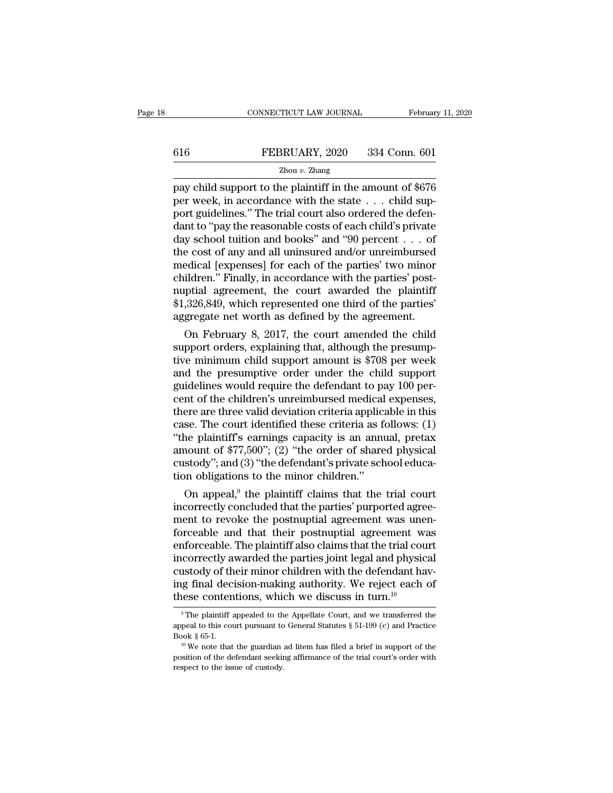# CONNECTICUT LAW JOURNAL February 11, 2020<br>616 FEBRUARY, 2020 334 Conn. 601<br>Zhou v. Zhang

### Zhou *v.* Zhang

cONNECTICUT LAW JOURNAL February 11, 2020<br>
FEBRUARY, 2020 334 Conn. 601<br>
Zhou v. Zhang<br>
pay child support to the plaintiff in the amount of \$676<br>
per week, in accordance with the state . . . child support quidelines." The 616 FEBRUARY, 2020 334 Conn. 601<br>  $\frac{Z_{\text{hou }v. \text{ Zhang}}}{2}$ <br>
pay child support to the plaintiff in the amount of \$676<br>
per week, in accordance with the state . . . child sup-<br>
port guidelines." The trial court also ordered t FEBRUARY, 2020 334 Conn. 601<br>  $\frac{Z_{\text{hou }v. \text{ Zhang}}}{Z_{\text{hou }v. \text{Zhang}}}$ <br>
pay child support to the plaintiff in the amount of \$676<br>
per week, in accordance with the state . . . child sup-<br>
port guidelines." The trial court also EXERUARY, 2020 334 Conn. 601<br>
Zhou v. Zhang<br>
pay child support to the plaintiff in the amount of \$676<br>
per week, in accordance with the state . . . child sup-<br>
port guidelines." The trial court also ordered the defen-<br>
da Expressive 1 Externed,  $\frac{1}{2000}$  w.  $\frac{2000}{2000}$  with  $\frac{1}{2000}$  and  $\frac{1}{2000}$  per week, in accordance with the state . . . child support guidelines." The trial court also ordered the defendant to "pay the reas  $\frac{2 \text{hou } v. \text{ Zhang}}{\text{Pay} \text{ child support to the plaintiff in the amount of $676}}$ <br>
per week, in accordance with the state . . . child sup-<br>
port guidelines." The trial court also ordered the defen-<br>
dant to "pay the reasonable costs of each child's private<br>
day pay child support to the plaintiff in the amount of \$676<br>per week, in accordance with the state . . . child sup-<br>port guidelines." The trial court also ordered the defen-<br>dant to "pay the reasonable costs of each child's per week, in accordance with the state . . . child support guidelines." The trial court also ordered the defendant to "pay the reasonable costs of each child's private day school tuition and books" and "90 percent . . . of port guidelines." The trial court also ordered the defendant to "pay the reasonable costs of each child's private<br>day school tuition and books" and "90 percent . . . of<br>the cost of any and all uninsured and/or unreimbursed dant to "pay the reasonable costs of each child's private<br>day school tuition and books" and "90 percent . . . of<br>the cost of any and all uninsured and/or unreimbursed<br>medical [expenses] for each of the parties' two minor<br>c day school tuition and books" and "90 percent . . . of<br>the cost of any and all uninsured and/or unreimbursed<br>medical [expenses] for each of the parties' two minor<br>children." Finally, in accordance with the parties' post-<br> e cost or any and all uninsured and/or unrelmoursed<br>edical [expenses] for each of the parties' two minor<br>ildren." Finally, in accordance with the parties' post-<br>ptial agreement, the court awarded the plaintiff<br>,326,849, wh meaical [expenses] for each of the parties two minor<br>children." Finally, in accordance with the parties' post-<br>nuptial agreement, the court awarded the plaintiff<br>\$1,326,849, which represented one third of the parties'<br>aggr

children." Finally, in accordance with the parties post-<br>nuptial agreement, the court awarded the plaintiff<br>\$1,326,849, which represented one third of the parties'<br>aggregate net worth as defined by the agreement.<br>On Februa mupual agreement, the court awarded the plaintiff<br>\$1,326,849, which represented one third of the parties'<br>aggregate net worth as defined by the agreement.<br>On February 8, 2017, the court amended the child<br>support orders, ex \$1,320,849, which represented one third of the parties<br>aggregate net worth as defined by the agreement.<br>On February 8, 2017, the court amended the child<br>support orders, explaining that, although the presump-<br>tive minimum c aggregate net worth as defined by the agreement.<br>
On February 8, 2017, the court amended the child<br>
support orders, explaining that, although the presump-<br>
tive minimum child support amount is \$708 per week<br>
and the presum On February 8, 2017, the court amended the child<br>support orders, explaining that, although the presump-<br>tive minimum child support amount is \$708 per week<br>and the presumptive order under the child support<br>guidelines would support orders, explaining that, although the presumptive minimum child support amount is \$708 per week<br>and the presumptive order under the child support<br>guidelines would require the defendant to pay 100 per-<br>cent of the tive minimum child support amount is \$708 per week<br>and the presumptive order under the child support<br>guidelines would require the defendant to pay 100 per-<br>cent of the children's unreimbursed medical expenses,<br>there are th and the presumptive order under the child support<br>guidelines would require the defendant to pay 100 per-<br>cent of the children's unreimbursed medical expenses,<br>there are three valid deviation criteria applicable in this<br>cas guidelines would require the defendant to pay 100 percent of the children's unreimbursed medical expenses, there are three valid deviation criteria applicable in this case. The court identified these criteria as follows: ( cent of the children's unreimbursed medical<br>there are three valid deviation criteria applic:<br>case. The court identified these criteria as f<br>"the plaintiff's earnings capacity is an annu<br>amount of \$77,500"; (2) "the order o ere are three valid deviation criteria applicable in this<br>se. The court identified these criteria as follows: (1)<br>ne plaintiff's earnings capacity is an annual, pretax<br>nount of \$77,500"; (2) "the order of shared physical<br>s case. The court identified these criteria as follows: (1)<br>
"the plaintiff's earnings capacity is an annual, pretax<br>
amount of \$77,500"; (2) "the order of shared physical<br>
custody"; and (3) "the defendant's private school

the plaintiff searnings capacity is an annual, pretax<br>amount of \$77,500"; (2) "the order of shared physical<br>custody"; and (3) "the defendant's private school educa-<br>tion obligations to the minor children."<br>On appeal,<sup>9</sup> t amount or  $\ast$ ( $\cdot$ ,500); ( $\angle$ ) the order or snared physical<br>custody"; and (3) "the defendant's private school educa-<br>tion obligations to the minor children."<br>On appeal,<sup>9</sup> the plaintiff claims that the trial court<br>incor custody ; and (3) the detendant s private school education obligations to the minor children."<br>On appeal,<sup>9</sup> the plaintiff claims that the trial court<br>incorrectly concluded that the parties' purported agreement to revoke tion obigations to the minor children.<br>
On appeal,<sup>9</sup> the plaintiff claims that the trial court<br>
incorrectly concluded that the parties' purported agreement<br>
to revoke the postnuptial agreement was<br>
unenforceable and that On appeal,<sup>9</sup> the plaintiff claims that the trial court<br>incorrectly concluded that the parties' purported agree-<br>ment to revoke the postnuptial agreement was unen-<br>forceable and that their postnuptial agreement was<br>enforc incorrectly concluded that the parties' purported agreement to revoke the postnuptial agreement was unenforceable and that their postnuptial agreement was enforceable. The plaintiff also claims that the trial court incorr ment to revoke the postnuptial agreement was une<br>forceable and that their postnuptial agreement was<br>enforceable. The plaintiff also claims that the trial cou<br>incorrectly awarded the parties joint legal and physic<br>custody correctly awarded the parties joint legal and physical<br>ustody of their minor children with the defendant hav-<br>g final decision-making authority. We reject each of<br>ese contentions, which we discuss in turn.<sup>10</sup><br><sup>9</sup>The plai custody of their minor children with the defendant having final decision-making authority. We reject each of these contentions, which we discuss in turn.<sup>10</sup><br><sup>9</sup> The plaintiff appealed to the Appellate Court, and we trans

ing final decision-making authority. We reject each of these contentions, which we discuss in turn.<sup>10</sup><br><sup>9</sup>The plaintiff appealed to the Appellate Court, and we transferred the appeal to this court pursuant to General Sta The definition of the defendant seeking affirmance of the trial court's order with respect to this court pursuant to General Statutes  $\S 51-199$  (c) and Practice Book  $\S 65-1$ .<br><sup>10</sup> We note that the guardian ad litem has <sup>9</sup> The plaintiff appealed to the appeal to this court pursuant to Book § 65-1.<br><sup>10</sup> We note that the guardian position of the defendant seekinespect to the issue of custody.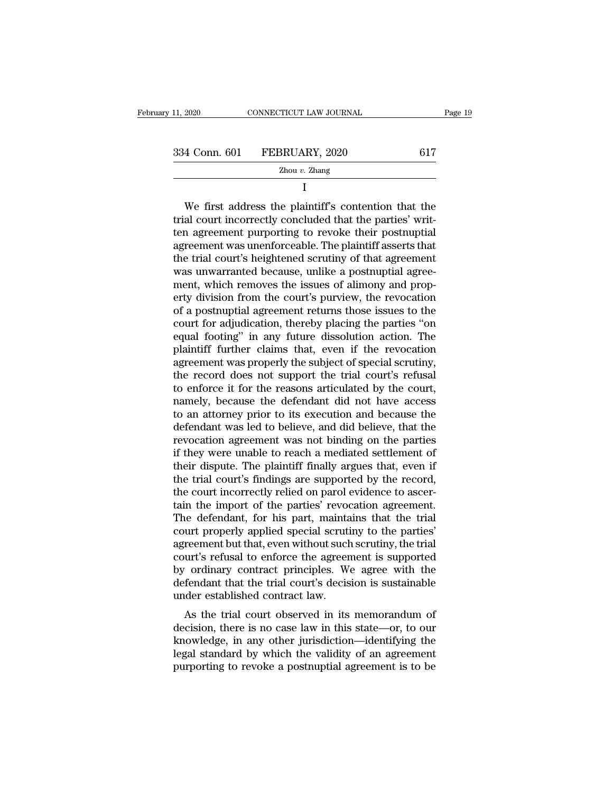| 11, 2020      | CONNECTICUT LAW JOURNAL | Page 19 |  |
|---------------|-------------------------|---------|--|
| 334 Conn. 601 | FEBRUARY, 2020          | 617     |  |
|               | Zhou $v$ . Zhang        |         |  |

I

4 Conn. 601 FEBRUARY, 2020 617<br>  $\frac{Z_{\text{hou } v. Zhang}}{I}$ <br>
We first address the plaintiff's contention that the<br>
al court incorrectly concluded that the parties' writ- $\begin{array}{r} \text{334 Conn. 601} \quad \text{FEBRUARY, 2020} \qquad \qquad \text{617} \ \text{7} \ \text{1} \ \text{1} \ \text{1} \ \text{1} \ \text{1} \ \text{1} \ \text{1} \ \text{2} \ \text{1} \ \text{2} \ \text{2} \ \text{2} \ \text{3} \ \text{3} \ \text{3} \ \text{4} \ \text{4} \ \text{4} \ \text{5} \ \text{6} \ \text{6} \ \text{6} \ \text{6} \ \text{6} \ \text{7} \ \text{8} \ \text{8} \ \text$ 334 Conn. 601 FEBRUARY, 2020 617<br>  $\frac{Z_{\text{hou }v. \text{ Zhang}}}{Z_{\text{hou }v. \text{Zhang}}}$ <br>  $I$ <br>
We first address the plaintiff's contention that the<br>
trial court incorrectly concluded that the parties' writ-<br>
ten agreement purporting to revo  $\frac{Z_{\text{hou } v. Z_{\text{hang}}}{I}$ <br>  $I$ <br>
We first address the plaintiff's contention that the<br>
trial court incorrectly concluded that the parties' writ-<br>
ten agreement purporting to revoke their postnuptial<br>
agreement was unenforce I<br>
We first address the plaintiff's contention that the<br>
trial court incorrectly concluded that the parties' writ-<br>
ten agreement purporting to revoke their postnuptial<br>
agreement was unenforceable. The plaintiff asserts t We first address the plaintiff's contention that the<br>trial court incorrectly concluded that the parties' writ-<br>ten agreement purporting to revoke their postnuptial<br>agreement was unenforceable. The plaintiff asserts that<br>th We first address the plaintiff's contention that the trial court incorrectly concluded that the parties' written agreement purporting to revoke their postnuptial agreement was unenforceable. The plaintiff asserts that the trial court incorrectly concluded that the parties' writ-<br>ten agreement purporting to revoke their postnuptial<br>agreement was unenforceable. The plaintiff asserts that<br>the trial court's heightened scrutiny of that agreement ten agreement purporting to revoke their postnuptial<br>agreement was unenforceable. The plaintiff asserts that<br>the trial court's heightened scrutiny of that agreement<br>was unwarranted because, unlike a postnuptial agree-<br>ment agreement was unenforceable. The plaintiff asserts that<br>the trial court's heightened scrutiny of that agreement<br>was unwarranted because, unlike a postnuptial agree-<br>ment, which removes the issues of alimony and prop-<br>erty the trial court's heightened scrutiny of that agreement<br>was unwarranted because, unlike a postnuptial agreement, which removes the issues of alimony and prop-<br>erty division from the court's purview, the revocation<br>of a pos was unwarranted because, unlike a postnuptial agreement, which removes the issues of alimony and property division from the court's purview, the revocation of a postnuptial agreement returns those issues to the court for a ment, which removes the issues of alimony and property division from the court's purview, the revocation<br>of a postnuptial agreement returns those issues to the<br>court for adjudication, thereby placing the parties "on<br>equal erty division from the court's purview, the revocation<br>of a postnuptial agreement returns those issues to the<br>court for adjudication, thereby placing the parties "on<br>equal footing" in any future dissolution action. The<br>pla of a postnuptial agreement returns those issues to the<br>court for adjudication, thereby placing the parties "on<br>equal footing" in any future dissolution action. The<br>plaintiff further claims that, even if the revocation<br>agre court for adjudication, thereby placing the parties "on<br>equal footing" in any future dissolution action. The<br>plaintiff further claims that, even if the revocation<br>agreement was properly the subject of special scrutiny,<br>the equal footing" in any future dissolution action. The plaintiff further claims that, even if the revocation agreement was properly the subject of special scrutiny, the record does not support the trial court's refusal to en plaintiff further claims that, even if the revocation<br>agreement was properly the subject of special scrutiny,<br>the record does not support the trial court's refusal<br>to enforce it for the reasons articulated by the court,<br>na agreement was properly the subject of special scrutiny,<br>the record does not support the trial court's refusal<br>to enforce it for the reasons articulated by the court,<br>namely, because the defendant did not have access<br>to an the record does not support the trial court's refusal<br>to enforce it for the reasons articulated by the court,<br>namely, because the defendant did not have access<br>to an attorney prior to its execution and because the<br>defendan to enforce it for the reasons articulated by the court,<br>namely, because the defendant did not have access<br>to an attorney prior to its execution and because the<br>defendant was led to believe, and did believe, that the<br>revoca namely, because the defendant did not have access<br>to an attorney prior to its execution and because the<br>defendant was led to believe, and did believe, that the<br>revocation agreement was not binding on the parties<br>if they we to an attorney prior to its execution and because the defendant was led to believe, and did believe, that the revocation agreement was not binding on the parties if they were unable to reach a mediated settlement of their defendant was led to believe, and did believe, that the revocation agreement was not binding on the parties if they were unable to reach a mediated settlement of their dispute. The plaintiff finally argues that, even if th revocation agreement was not binding on the parties<br>if they were unable to reach a mediated settlement of<br>their dispute. The plaintiff finally argues that, even if<br>the trial court's findings are supported by the record,<br>th if they were unable to reach a mediated settlement of<br>their dispute. The plaintiff finally argues that, even if<br>the trial court's findings are supported by the record,<br>the court incorrectly relied on parol evidence to asce their dispute. The plaintiff finally argues that, even if<br>the trial court's findings are supported by the record,<br>the court incorrectly relied on parol evidence to ascer-<br>tain the import of the parties' revocation agreemen the trial court's findings are supported by the record,<br>the court incorrectly relied on parol evidence to ascer-<br>tain the import of the parties' revocation agreement.<br>The defendant, for his part, maintains that the trial<br>c the court incorrectly relied on parol evidence to ascertain the import of the parties' revocation agreement.<br>The defendant, for his part, maintains that the trial<br>court properly applied special scrutiny to the parties'<br>agr tain the import of the parties' revocation agreement.<br>The defendant, for his part, maintains that the trial<br>court properly applied special scrutiny to the parties'<br>agreement but that, even without such scrutiny, the trial<br> The defendant, for his part, mainta<br>court properly applied special scruti<br>agreement but that, even without such<br>court's refusal to enforce the agreer<br>by ordinary contract principles. We<br>defendant that the trial court's dec Fraction and the trial court property applied special scrutiny to the parties<br>reement but that, even without such scrutiny, the trial<br>urt's refusal to enforce the agreement is supported<br>ordinary contract principles. We agr dependent but that, even whilout such scrutify, the that<br>court's refusal to enforce the agreement is supported<br>by ordinary contract principles. We agree with the<br>defendant that the trial court's decision is sustainable<br>und

knowledge, in any other inciples. We agree with the defendant that the trial court's decision is sustainable under established contract law.<br>As the trial court observed in its memorandum of decision, there is no case law i by ordinary contract principles. We agree with the defendant that the trial court's decision is sustainable under established contract law.<br>As the trial court observed in its memorandum of decision, there is no case law in definition that the trial court's decision is sustainable<br>under established contract law.<br>As the trial court observed in its memorandum of<br>decision, there is no case law in this state—or, to our<br>knowledge, in any other jur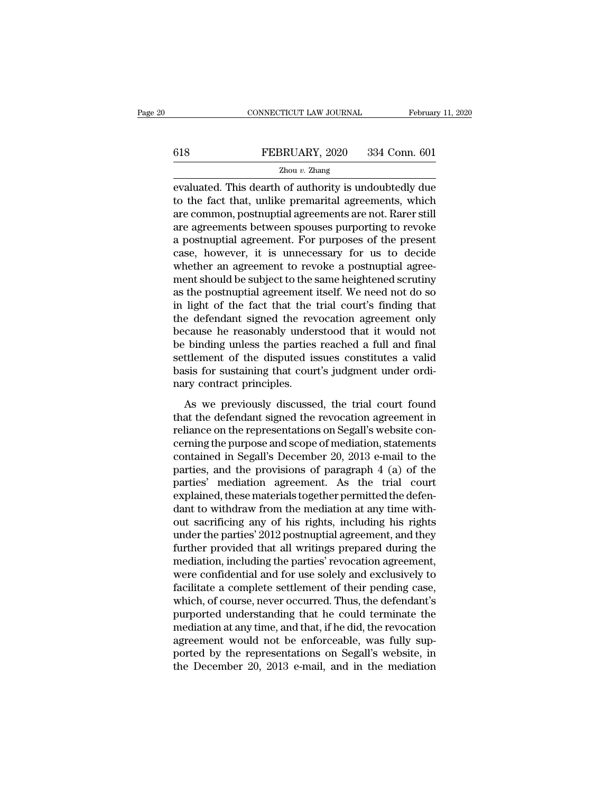# EXECUTE CONNECTICUT LAW JOURNAL February 11, 2020<br>
FEBRUARY, 2020 334 Conn. 601<br>
Zhou v. Zhang

### Zhou *v.* Zhang

EVALUARY, 2020 CONNECTICUT LAW JOURNAL February 11, 2020<br>
EVALUARY, 2020 334 Conn. 601<br>
Zhou v. Zhang<br>
EVALUATE CONNECTION CONNECTION CONNECTION CONNECTION CONNECTION CONNECTION CONNECTION CONNECTION CONNECTION CONNECTION  $\begin{tabular}{ll} \bf 618 & \bf FEBRUARY, 2020 & 334 Conn. 601 \\ \hline \textbf{Zhou }v. Zhang \\ \bf{evaluated. This death of authority is undoubtedly due to the fact that, unlike premarital agreements, which are common, postnuptial agreements are not. Rarer still are a stromonets between groups numerities to revole. \end{tabular}$ FEBRUARY, 2020 334 Conn. 601<br>  $\frac{Z_{\text{hou }v. \text{ Zhang}}}{Z_{\text{hou }v. \text{Zhang}}}$ <br>
evaluated. This dearth of authority is undoubtedly due<br>
to the fact that, unlike premarital agreements, which<br>
are common, postnuptial agreements are not. FEBRUARY, 2020 334 Conn. 601<br>  $\frac{Z_{\text{hou }v. \text{ Zhang}}}{Z_{\text{hou }v. \text{Zhang}}}$ <br>
evaluated. This dearth of authority is undoubtedly due<br>
to the fact that, unlike premarital agreements, which<br>
are common, postnuptial agreements are not.  $\frac{Z_{\text{hou }v. Z\text{hang}}}{Z_{\text{hou }v. Z\text{hang}}}$ <br>
evaluated. This dearth of authority is undoubtedly due<br>
to the fact that, unlike premarital agreements, which<br>
are common, postnuptial agreements are not. Rarer still<br>
are agreements  $\frac{2 \text{hou } v. \text{ Zhang}}{\text{evaluated.}}$  This dearth of authority is undoubtedly due to the fact that, unlike premarital agreements, which are common, postnuptial agreements are not. Rarer still are agreements between spouses purporting evaluated. This dearth of authority is undoubtedly due<br>to the fact that, unlike premarital agreements, which<br>are common, postnuptial agreements are not. Rarer still<br>are agreements between spouses purporting to revoke<br>a pos to the fact that, unlike premarital agreements, which<br>are common, postnuptial agreements are not. Rarer still<br>are agreements between spouses purporting to revoke<br>a postnuptial agreement. For purposes of the present<br>case, h are common, postnuptial agreements are not. Rarer still<br>are agreements between spouses purporting to revoke<br>a postnuptial agreement. For purposes of the present<br>case, however, it is unnecessary for us to decide<br>whether an are agreements between spouses purporting to revoke<br>a postnuptial agreement. For purposes of the present<br>case, however, it is unnecessary for us to decide<br>whether an agreement to revoke a postnuptial agree-<br>ment should be a postnuptial agreement. For purposes of the present<br>case, however, it is unnecessary for us to decide<br>whether an agreement to revoke a postnuptial agree-<br>ment should be subject to the same heightened scrutiny<br>as the postn case, however, it is unnecessary for us to decide<br>whether an agreement to revoke a postnuptial agreement should be subject to the same heightened scrutiny<br>as the postnuptial agreement itself. We need not do so<br>in light of whether an agreement to revoke a postnuptial agreement should be subject to the same heightened scrutiny<br>as the postnuptial agreement itself. We need not do so<br>in light of the fact that the trial court's finding that<br>the d ment should be subject to the same heightened scrutiny<br>as the postnuptial agreement itself. We need not do so<br>in light of the fact that the trial court's finding that<br>the defendant signed the revocation agreement only<br>beca as the postnuptial agreement itself. We need not do so<br>in light of the fact that the trial court's finding that<br>the defendant signed the revocation agreement only<br>because he reasonably understood that it would not<br>be bindi in light of the fact that the<br>the defendant signed the rev<br>because he reasonably under<br>be binding unless the parties<br>settlement of the disputed is<br>basis for sustaining that cour<br>nary contract principles.<br>As we previously d Exercisative signed are revocation agreement only<br>cause he reasonably understood that it would not<br>binding unless the parties reached a full and final<br>titlement of the disputed issues constitutes a valid<br>sis for sustaining the binding unless the parties reached a full and final<br>settlement of the disputed issues constitutes a valid<br>basis for sustaining that court's judgment under ordi-<br>nary contract principles.<br>As we previously discussed, the

reliance on the disputed issues constitutes a valid<br>basis for sustaining that court's judgment under ordi-<br>nary contract principles.<br>As we previously discussed, the trial court found<br>that the defendant signed the revocatio basis for sustaining that court's judgment under ordinary contract principles.<br>As we previously discussed, the trial court found<br>that the defendant signed the revocation agreement in<br>reliance on the representations on Seg East for sastaning and courts jaughtent ander order<br>hary contract principles.<br>As we previously discussed, the trial court found<br>that the defendant signed the revocation agreement in<br>reliance on the representations on Segal mary contact principles.<br>
As we previously discussed, the trial court found<br>
that the defendant signed the revocation agreement in<br>
reliance on the representations on Segall's website con-<br>
cerning the purpose and scope of As we previously discussed, the trial court found<br>that the defendant signed the revocation agreement in<br>reliance on the representations on Segall's website con-<br>cerning the purpose and scope of mediation, statements<br>contai that the defendant signed the revocation agreement in reliance on the representations on Segall's website concerning the purpose and scope of mediation, statements contained in Segall's December 20, 2013 e-mail to the part reliance on the representations on Segall's website concerning the purpose and scope of mediation, statements<br>contained in Segall's December 20, 2013 e-mail to the<br>parties, and the provisions of paragraph 4 (a) of the<br>part cerning the purpose and scope of mediation, statements<br>contained in Segall's December 20, 2013 e-mail to the<br>parties, and the provisions of paragraph 4 (a) of the<br>parties' mediation agreement. As the trial court<br>explained, contained in Segall's December 20, 2013 e-mail to the<br>parties, and the provisions of paragraph 4 (a) of the<br>parties' mediation agreement. As the trial court<br>explained, these materials together permitted the defen-<br>dant to parties, and the provisions of paragraph 4 (a) of the<br>parties' mediation agreement. As the trial court<br>explained, these materials together permitted the defen-<br>dant to withdraw from the mediation at any time with-<br>out sacr parties' mediation agreement. As the trial court<br>explained, these materials together permitted the defen-<br>dant to withdraw from the mediation at any time with-<br>out sacrificing any of his rights, including his rights<br>under explained, these materials together permitted the defendant to withdraw from the mediation at any time without sacrificing any of his rights, including his rights under the parties' 2012 postnuptial agreement, and they fur dant to withdraw from the mediation at any time with-<br>out sacrificing any of his rights, including his rights<br>under the parties' 2012 postnuptial agreement, and they<br>further provided that all writings prepared during the<br>m out sacrificing any of his rights, including his rights<br>under the parties' 2012 postnuptial agreement, and they<br>further provided that all writings prepared during the<br>mediation, including the parties' revocation agreement, under the parties' 2012 postnuptial agreement, and they<br>further provided that all writings prepared during the<br>mediation, including the parties' revocation agreement,<br>were confidential and for use solely and exclusively to further provided that all writings prepared during the<br>mediation, including the parties' revocation agreement,<br>were confidential and for use solely and exclusively to<br>facilitate a complete settlement of their pending case, mediation, including the parties' revocation agreement,<br>were confidential and for use solely and exclusively to<br>facilitate a complete settlement of their pending case,<br>which, of course, never occurred. Thus, the defendant' were confidential and for use solely and exclusively to<br>facilitate a complete settlement of their pending case,<br>which, of course, never occurred. Thus, the defendant's<br>purported understanding that he could terminate the<br>me facilitate a complete settlement of their pending case,<br>which, of course, never occurred. Thus, the defendant's<br>purported understanding that he could terminate the<br>mediation at any time, and that, if he did, the revocation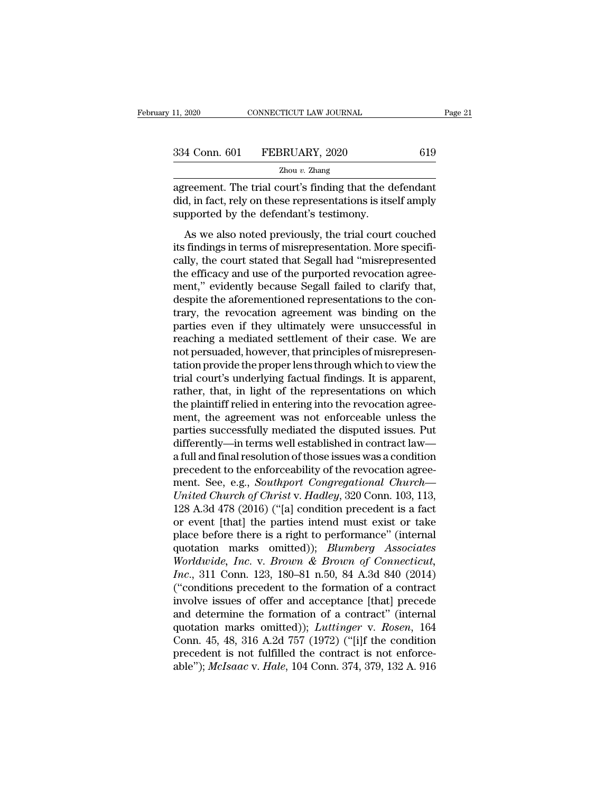| 11, 2020 | CONNECTICUT LAW JOURNAL      |     | Page 21 |
|----------|------------------------------|-----|---------|
|          | 334 Conn. 601 FEBRUARY, 2020 | 619 |         |
|          | Zhou $v$ . Zhang             |     |         |

11, 2020 CONNECTICUT LAW JOURNAL Page 2<br>
334 Conn. 601 FEBRUARY, 2020 619<br>
2hou v. Zhang<br>
agreement. The trial court's finding that the defendant<br>
did, in fact, rely on these representations is itself amply<br>
supported by t 334 Conn. 601 FEBRUARY, 2020 619<br>
<sup>Zhou v. Zhang</sup><br>
agreement. The trial court's finding that the defendant<br>
did, in fact, rely on these representations is itself amply<br>
supported by the defendant's testimony.  $\begin{tabular}{ll} \multicolumn{1}{l}{{334}\,\, \text{Conn.}\,\,601} & \multicolumn{1}{l}{\bf FEBRUARY,\,2020} \\ \hline \multicolumn{1}{l}{\text{Zhou $v$. Zhang}} \\ \hline \end{tabular}$  \begin{tabular}{l} \multicolumn{1}{l}{\text{agreement. The trial court's finding that the d} \\ \text{did, in fact, rely on these representations is its} \\ \text{supported by the defendant's testimony.} \\ \hline \end{tabular} \\ \text{As we also noted previously, the trial court} \end{tabular}

 $\frac{Z_{\text{hou }v. \text{ Zhang}}}{Z_{\text{hou }v. \text{Zhang}}}$ <br> **Example 19**<br> **Example 19**<br> **Example 19**<br> **Example 19**<br> **Example 19**<br> **Example 19**<br> **Example 19**<br> **Example 19**<br> **Example 19**<br> **Example 19**<br> **Example 19**<br> **Example 19**<br> **Example 19**<br> **E**  $\frac{Z_{\text{hou } v. Z_{\text{hang}}}{Z_{\text{hou } v. Z_{\text{hang}}}}$ <br>
agreement. The trial court's finding that the defendant<br>
did, in fact, rely on these representations is itself amply<br>
supported by the defendant's testimony.<br>
As we also noted prev agreement. The trial court's finding that the defendant<br>did, in fact, rely on these representations is itself amply<br>supported by the defendant's testimony.<br>As we also noted previously, the trial court couched<br>its findings did, in fact, rely on these representations is itself amply<br>supported by the defendant's testimony.<br>As we also noted previously, the trial court couched<br>its findings in terms of misrepresentation. More specifi-<br>cally, the ment, the defendant's testimony.<br>
As we also noted previously, the trial court couched<br>
its findings in terms of misrepresentation. More specifi-<br>
cally, the court stated that Segall had "misrepresented<br>
the efficacy and u As we also noted previously, the trial court couched<br>its findings in terms of misrepresentation. More specifi-<br>cally, the court stated that Segall had "misrepresented<br>the efficacy and use of the purported revocation agree As we also noted previously, the trial court couched<br>its findings in terms of misrepresentation. More specifi-<br>cally, the court stated that Segall had "misrepresented<br>the efficacy and use of the purported revocation agreeits findings in terms of misrepresentation. More specifically, the court stated that Segall had "misrepresented<br>the efficacy and use of the purported revocation agree-<br>ment," evidently because Segall failed to clarify that cally, the court stated that Segall had "misrepresented<br>the efficacy and use of the purported revocation agree-<br>ment," evidently because Segall failed to clarify that,<br>despite the aforementioned representations to the conthe efficacy and use of the purported revocation agreement," evidently because Segall failed to clarify that, despite the aforementioned representations to the contrary, the revocation agreement was binding on the parties ment," evidently because Segall failed to clarify that,<br>despite the aforementioned representations to the con-<br>trary, the revocation agreement was binding on the<br>parties even if they ultimately were unsuccessful in<br>reachin despite the aforementioned representations to the contrary, the revocation agreement was binding on the parties even if they ultimately were unsuccessful in reaching a mediated settlement of their case. We are not persuade trary, the revocation agreement was binding on the<br>parties even if they ultimately were unsuccessful in<br>reaching a mediated settlement of their case. We are<br>not persuaded, however, that principles of misrepresen-<br>tation pr parties even if they ultimately were unsuccessful in reaching a mediated settlement of their case. We are not persuaded, however, that principles of misrepresentation provide the proper lens through which to view the trial reaching a mediated settlement of their case. We are<br>not persuaded, however, that principles of misrepresen-<br>tation provide the proper lens through which to view the<br>trial court's underlying factual findings. It is apparen not persuaded, however, that principles of misrepresentation provide the proper lens through which to view the trial court's underlying factual findings. It is apparent, rather, that, in light of the representations on whi tation provide the proper lens through which to view the<br>trial court's underlying factual findings. It is apparent,<br>rather, that, in light of the representations on which<br>the plaintiff relied in entering into the revocatio trial court's underlying factual findings. It is apparent,<br>rather, that, in light of the representations on which<br>the plaintiff relied in entering into the revocation agree-<br>ment, the agreement was not enforceable unless t rather, that, in light of the representations on which<br>the plaintiff relied in entering into the revocation agree-<br>ment, the agreement was not enforceable unless the<br>parties successfully mediated the disputed issues. Put<br>d the plaintiff relied in entering into the revocation agreement, the agreement was not enforceable unless the parties successfully mediated the disputed issues. Put differently—in terms well established in contract law—<br>a f ment, the agreement was not enforceable unless the<br>parties successfully mediated the disputed issues. Put<br>differently—in terms well established in contract law—<br>a full and final resolution of those issues was a condition<br>p parties successfully mediated the disputed issues. Put<br>differently—in terms well established in contract law—<br>a full and final resolution of those issues was a condition<br>precedent to the enforceability of the revocation ag differently—in terms well established in contract law—<br>a full and final resolution of those issues was a condition<br>precedent to the enforceability of the revocation agree-<br>ment. See, e.g., *Southport Congregational Church* a full and final resolution of those issues was a condition<br>precedent to the enforceability of the revocation agree-<br>ment. See, e.g., *Southport Congregational Church—*<br>United Church of Christ v. Hadley, 320 Conn. 103, 113 precedent to the enforceability of the revocation agreement. See, e.g., *Southport Congregational Church—*<br>
United Church of Christ v. Hadley, 320 Conn. 103, 113,<br>
128 A.3d 478 (2016) ("[a] condition precedent is a fact<br>
o ment. See, e.g., *Southport Congregational Church—*<br>
United Church of Christ v. *Hadley*, 320 Conn. 103, 113,<br>
128 A.3d 478 (2016) ("[a] condition precedent is a fact<br>
or event [that] the parties intend must exist or take<br> *Inited Church of Christ* v. *Hadley*, 320 Conn. 103, 113, 128 A.3d 478 (2016) ("[a] condition precedent is a fact or event [that] the parties intend must exist or take place before there is a right to performance" (intern 128 A.3d 478 (2016) ("[a] condition precedent is a fact<br>or event [that] the parties intend must exist or take<br>place before there is a right to performance" (internal<br>quotation marks omitted)); *Blumberg Associates<br>Worldwi* or event [that] the parties intend must exist or take<br>place before there is a right to performance" (internal<br>quotation marks omitted)); *Blumberg Associates*<br>Worldwide, Inc. v. Brown & Brown of Connecticut,<br>Inc., 311 Conn place before there is a right to performance" (internal<br>quotation marks omitted)); *Blumberg Associates*<br>Worldwide, Inc. v. Brown & Brown of Connecticut,<br>Inc., 311 Conn. 123, 180–81 n.50, 84 A.3d 840 (2014)<br>("conditions pr quotation marks omitted)); *Blumberg Associates*<br>Worldwide, Inc. v. *Brown* & *Brown* of Connecticut,<br>Inc., 311 Conn. 123, 180–81 n.50, 84 A.3d 840 (2014)<br>("conditions precedent to the formation of a contract<br>involve issue Worldwide, Inc. v. Brown & Brown of Connecticut,<br>Inc., 311 Conn. 123, 180–81 n.50, 84 A.3d 840 (2014)<br>("conditions precedent to the formation of a contract<br>involve issues of offer and acceptance [that] precede<br>and determi *Inc.*, 311 Conn. 123, 180–81 n.50, 84 A.3d 840 (2014) ("conditions precedent to the formation of a contract involve issues of offer and acceptance [that] precede and determine the formation of a contract" (internal quotat ("conditions precedent to the formation of a contract<br>involve issues of offer and acceptance [that] precede<br>and determine the formation of a contract" (internal<br>quotation marks omitted)); *Luttinger* v. *Rosen*, 164<br>Conn.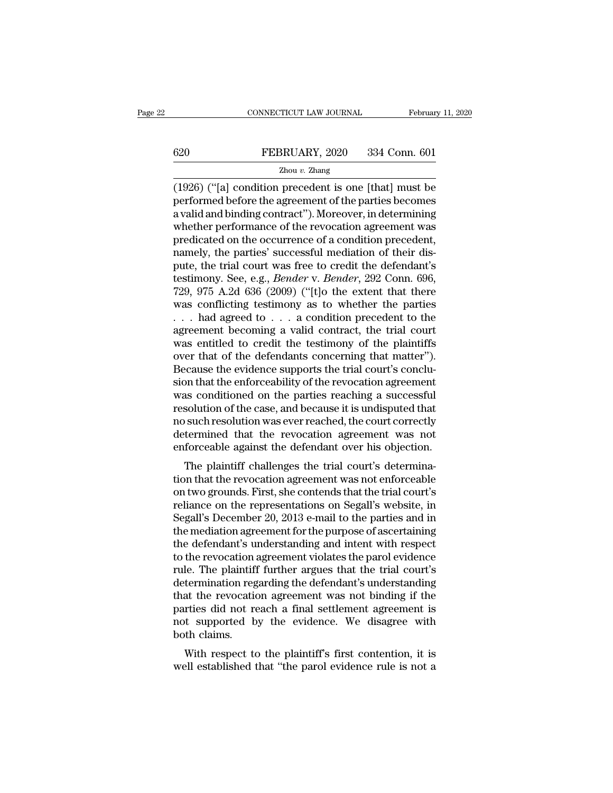# EXECUTE CONNECTICUT LAW JOURNAL February 11, 2020<br>
FEBRUARY, 2020 334 Conn. 601<br>
Zhou v. Zhang

### Zhou *v.* Zhang

CONNECTICUT LAW JOURNAL February 11, 2020<br>
FEBRUARY, 2020 334 Conn. 601<br>
Zhou v. Zhang<br>
(1926) ("[a] condition precedent is one [that] must be<br>
performed before the agreement of the parties becomes<br>
a valid and binding con  $\begin{tabular}{ll} \bf 620 & FEBRUARY, 2020 & 334 Conn. 601 \\ \hline \bf 2hou & Zhang \\ \hline \end{tabular}$ (1926) ("[a] condition precedent is one [that] must be performed before the agreement of the parties becomes a valid and binding contract"). Moreover, in determi 620 FEBRUARY, 2020 334 Conn. 601<br>  $\frac{Z_{\text{hou }v. \text{ Zhang}}}{Z_{\text{hou }v. \text{Zhang}}}$ <br>
(1926) ("[a] condition precedent is one [that] must be<br>
performed before the agreement of the parties becomes<br>
a valid and binding contract''). Moreov EBRUARY, 2020 334 Conn. 601<br>  $\frac{Z_{\text{hou }v. \text{ Zhang}}}{Z_{\text{hou }v. \text{Zhang}}}$ <br>
(1926) ("[a] condition precedent is one [that] must be<br>
performed before the agreement of the parties becomes<br>
a valid and binding contract"). Moreover, in  $\frac{Z_{\text{hou }v. Z\text{hang}}}{Z_{\text{hou }v. Z\text{hang}}}$ <br>
(1926) ("[a] condition precedent is one [that] must be<br>
performed before the agreement of the parties becomes<br>
a valid and binding contract"). Moreover, in determining<br>
whether perfor  $\frac{2 \text{hou } v. \text{ Zhang}}{(1926) \text{ ("[a] condition precedent is one [that] must be performed before the agreement of the parties becomes a valid and binding contract"). Moreover, in determining whether performance of the revocation agreement was predicted on the occurrence of a condition precedent, namely, the parties' successful mediation of their dispute, the trial court was free to credit the defendant's totentimony. So, 0.9. *Bender V. Bender* 202 Conn. 606$ (1926) ("[a] condition precedent is one [that] must be<br>performed before the agreement of the parties becomes<br>a valid and binding contract"). Moreover, in determining<br>whether performance of the revocation agreement was<br>pre performed before the agreement of the parties becomes<br>a valid and binding contract"). Moreover, in determining<br>whether performance of the revocation agreement was<br>predicated on the occurrence of a condition precedent,<br>name a valid and binding contract"). Moreover, in determining<br>whether performance of the revocation agreement was<br>predicated on the occurrence of a condition precedent,<br>namely, the parties' successful mediation of their dis-<br>pu whether performance of the revocation agreement was<br>predicated on the occurrence of a condition precedent,<br>namely, the parties' successful mediation of their dis-<br>pute, the trial court was free to credit the defendant's<br>t predicated on the occurrence of a condition precedent,<br>namely, the parties' successful mediation of their dis-<br>pute, the trial court was free to credit the defendant's<br>testimony. See, e.g., *Bender* v. *Bender*, 292 Conn. namely, the parties' successful mediation of their dis-<br>pute, the trial court was free to credit the defendant's<br>testimony. See, e.g., *Bender* v. *Bender*, 292 Conn. 696,<br>729, 975 A.2d 636 (2009) ("[t]o the extent that t pute, the trial court was free to credit the defendant's<br>testimony. See, e.g., *Bender* v. *Bender*, 292 Conn. 696,<br>729, 975 A.2d 636 (2009) ("[t]o the extent that there<br>was conflicting testimony as to whether the parties<br> testimony. See, e.g., *Bender* v. *Bender*, 292 Conn. 696, 729, 975 A.2d 636 (2009) ("[t]o the extent that there was conflicting testimony as to whether the parties  $\ldots$  had agreed to  $\ldots$  a condition precedent to the a 729, 975 A.2d 636 (2009) ("[t]o the extent that there was conflicting testimony as to whether the parties ... had agreed to ... a condition precedent to the agreement becoming a valid contract, the trial court was entitle was conflicting testimony as to whether the parties  $\ldots$  had agreed to  $\ldots$  a condition precedent to the agreement becoming a valid contract, the trial court was entitled to credit the testimony of the plaintiffs over t  $\dots$  had agreed to  $\dots$  a condition precedent to the agreement becoming a valid contract, the trial court was entitled to credit the testimony of the plaintiffs over that of the defendants concerning that matter"). Becaus agreement becoming a valid contract, the trial court<br>was entitled to credit the testimony of the plaintiffs<br>over that of the defendants concerning that matter").<br>Because the evidence supports the trial court's conclu-<br>sion was entitled to credit the testimony of the plaintiffs<br>over that of the defendants concerning that matter").<br>Because the evidence supports the trial court's conclu-<br>sion that the enforceability of the revocation agreement<br> over that of the defendants concerning that matter").<br>Because the evidence supports the trial court's conclusion that the enforceability of the revocation agreement<br>was conditioned on the parties reaching a successful<br>reso Because the evidence supports the trial court's conclusion that the enforceability of the revocation agreement<br>was conditioned on the parties reaching a successful<br>resolution of the case, and because it is undisputed that<br> In that the emorteability of the revocation agreement<br>as conditioned on the parties reaching a successful<br>solution of the case, and because it is undisputed that<br>is such resolution was ever reached, the court correctly<br>ter was conditioned on the parties reaching a successide<br>resolution of the case, and because it is undisputed that<br>no such resolution was ever reached, the court correctly<br>determined that the revocation agreement was not<br>enfor

resolution of the case, and because it is undisplued that<br>no such resolution was ever reached, the court correctly<br>determined that the revocation agreement was not<br>enforceable against the defendant over his objection.<br>The reliance on the revocation agreement was not<br>enforceable against the defendant over his objection.<br>The plaintiff challenges the trial court's determina-<br>tion that the revocation agreement was not enforceable<br>on two grounds determined that the revocation agreement was not<br>enforceable against the defendant over his objection.<br>The plaintiff challenges the trial court's determina-<br>tion that the revocation agreement was not enforceable<br>on two gro enforceable against the defendant over his objection.<br>The plaintiff challenges the trial court's determination that the revocation agreement was not enforceable<br>on two grounds. First, she contends that the trial court's<br>re The plaintiff challenges the trial court's determination that the revocation agreement was not enforceable<br>on two grounds. First, she contends that the trial court's<br>reliance on the representations on Segall's website, in<br> tion that the revocation agreement was not enforceable<br>on two grounds. First, she contends that the trial court's<br>reliance on the representations on Segall's website, in<br>Segall's December 20, 2013 e-mail to the parties and on two grounds. First, she contends that the trial court's<br>reliance on the representations on Segall's website, in<br>Segall's December 20, 2013 e-mail to the parties and in<br>the mediation agreement for the purpose of ascertai reliance on the representations on Segall's website, in<br>Segall's December 20, 2013 e-mail to the parties and in<br>the mediation agreement for the purpose of ascertaining<br>the defendant's understanding and intent with respect<br> Segall's December 20, 2013 e-mail to the parties and in<br>the mediation agreement for the purpose of ascertaining<br>the defendant's understanding and intent with respect<br>to the revocation agreement violates the parol evidence<br> the mediation agreement for the purpose of ascertaining<br>the defendant's understanding and intent with respect<br>to the revocation agreement violates the parol evidence<br>rule. The plaintiff further argues that the trial court' the defendant's understanding and intent with respect<br>to the revocation agreement violates the parol evidence<br>rule. The plaintiff further argues that the trial court's<br>determination regarding the defendant's understanding<br> to the revocation<br>rule. The plaintifi<br>determination reg<br>that the revocatio<br>parties did not re<br>not supported b<br>both claims.<br>With respect to Free First plantiff rather argues that the that court's<br>termination regarding the defendant's understanding<br>at the revocation agreement was not binding if the<br>rties did not reach a final settlement agreement is<br>t supported determination regarding the detendant sumderstanding<br>that the revocation agreement was not binding if the<br>parties did not reach a final settlement agreement is<br>not supported by the evidence. We disagree with<br>both claims.<br>W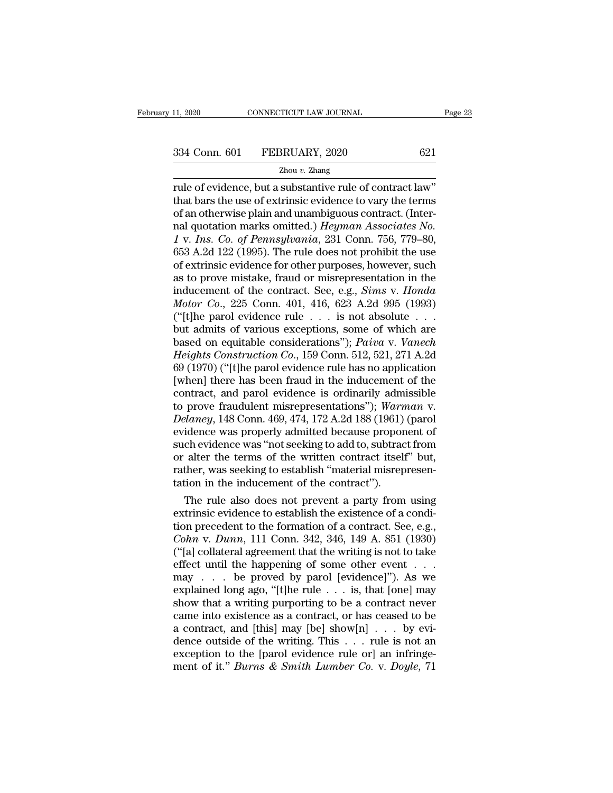rule of evidence, but a substantive rule of contract law''<br>
The use of evidence, but a substantive rule of contract law''<br>
that bars the use of extrinsic evidence to vary the terms<br>
of an otherwise plain and unambiguous co 334 Conn. 601 FEBRUARY, 2020 621<br>  $\frac{2 \text{hou } v. \text{ Zhang}}{2 \text{hou } v. \text{ Zhang}}$ <br>
That bars the use of extrinsic evidence to vary the terms<br>
of an otherwise plain and unambiguous contract. (Inter-<br>
and quotation marks omitted) *Herman* 334 Conn. 601 FEBRUARY, 2020 621<br>  $\frac{2 \text{hou } v. \text{ Zhang}}{2 \text{hou } v. \text{ Zhang}}$ <br>
Tule of evidence, but a substantive rule of contract law"<br>
that bars the use of extrinsic evidence to vary the terms<br>
of an otherwise plain and unambiguo 334 Conn. 601 FEBRUARY, 2020 621<br>
<sup>Zhou v. Zhang</sup><br>
rule of evidence, but a substantive rule of contract law"<br>
that bars the use of extrinsic evidence to vary the terms<br>
of an otherwise plain and unambiguous contract. (Inte  $\frac{251 \text{ GOL}}{2 \text{ hour } v. \text{ Zhang}}$ <br>
The v. *Zhang*<br>
That bars the use of extrinsic evidence to vary the terms<br>
of an otherwise plain and unambiguous contract. (Inter-<br>
nal quotation marks omitted.) *Heyman Associates No.*<br>
1 v. <sup>2hou v.</sup> 2hang<br>
rule of evidence, but a substantive rule of contract law"<br>
that bars the use of extrinsic evidence to vary the terms<br>
of an otherwise plain and unambiguous contract. (Inter-<br>
nal quotation marks omitted.) rule of evidence, but a substantive rule of contract law"<br>that bars the use of extrinsic evidence to vary the terms<br>of an otherwise plain and unambiguous contract. (Inter-<br>nal quotation marks omitted.) *Heyman Associates N* that bars the use of extrinsic evidence to vary the terms<br>of an otherwise plain and unambiguous contract. (Inter-<br>nal quotation marks omitted.) *Heyman Associates No.*<br>1 v. *Ins. Co. of Pennsylvania*, 231 Conn. 756, 779–8 of an otherwise plain and unambiguous contract. (Inter-<br>nal quotation marks omitted.) *Heyman Associates No.*<br>1 v. *Ins. Co. of Pennsylvania*, 231 Conn. 756, 779–80,<br>653 A.2d 122 (1995). The rule does not prohibit the use<br> real quotation marks omitted.) *Heyman Associates No.*<br>
1 v. Ins. Co. of Pennsylvania, 231 Conn. 756, 779–80,<br>
653 A.2d 122 (1995). The rule does not prohibit the use<br>
of extrinsic evidence for other purposes, however, suc 1 v. Ins. Co. of Pennsylvania, 231 Conn. 756, 779–80, 653 A.2d 122 (1995). The rule does not prohibit the use of extrinsic evidence for other purposes, however, such as to prove mistake, fraud or misrepresentation in the 653 A.2d 122 (1995). The rule does not prohibit the use<br>of extrinsic evidence for other purposes, however, such<br>as to prove mistake, fraud or misrepresentation in the<br>inducement of the contract. See, e.g., *Sims v. Honda* of extrinsic evidence for other purposes, however, such<br>as to prove mistake, fraud or misrepresentation in the<br>inducement of the contract. See, e.g., *Sims v. Honda*<br>*Motor Co.*, 225 Conn. 401, 416, 623 A.2d 995 (1993)<br>("[ as to prove mistake, fraud or misrepresentation in the<br>inducement of the contract. See, e.g., *Sims v. Honda*<br>*Motor Co.*, 225 Conn. 401, 416, 623 A.2d 995 (1993)<br>("[t]he parol evidence rule . . . is not absolute . . .<br>but inducement of the contract. See, e.g., *Sims v. Honda*<br> *Motor Co.*, 225 Conn. 401, 416, 623 A.2d 995 (1993)<br>
("[t]he parol evidence rule  $\ldots$  is not absolute  $\ldots$ <br>
but admits of various exceptions, some of which are<br>
b Motor Co., 225 Conn. 401, 416, 623 A.2d 995 (1993)<br>("[t]he parol evidence rule . . . is not absolute . . .<br>but admits of various exceptions, some of which are<br>based on equitable considerations"); *Paiva v. Vanech*<br>*Height* ("[t]he parol evidence rule . . . is not absolute . . . .<br>but admits of various exceptions, some of which are<br>based on equitable considerations"); *Paiva v. Vanech*<br>*Heights Construction Co.*, 159 Conn. 512, 521, 271 A.2d but admits of various exceptions, some of which are<br>based on equitable considerations"); *Paiva* v. *Vanech*<br>*Heights Construction Co.*, 159 Conn. 512, 521, 271 A.2d<br>69 (1970) ("[t]he parol evidence rule has no application based on equitable considerations"); *Paiva v. Vanech*<br>*Heights Construction Co.*, 159 Conn. 512, 521, 271 A.2d<br>69 (1970) ("[t]he parol evidence rule has no application<br>[when] there has been fraud in the inducement of the<br> Heights Construction Co., 159 Conn. 512, 521, 271 A.2d<br>69 (1970) ("[t]he parol evidence rule has no application<br>[when] there has been fraud in the inducement of the<br>contract, and parol evidence is ordinarily admissible<br>to 69 (1970) ("[t]he parol evidence rule has no application<br>[when] there has been fraud in the inducement of the<br>contract, and parol evidence is ordinarily admissible<br>to prove fraudulent misrepresentations"); *Warman v.<br>Dela* [when] there has been fraud in the inducement of the contract, and parol evidence is ordinarily admissible to prove fraudulent misrepresentations"); *Warman v. Delaney*, 148 Conn. 469, 474, 172 A.2d 188 (1961) (parol evide contract, and parol evidence is ordinarily admissible<br>to prove fraudulent misrepresentations"); Warman v.<br>Delaney, 148 Conn. 469, 474, 172 A.2d 188 (1961) (parol<br>evidence was properly admitted because proponent of<br>such evi to prove fraudulent misrepresentations"); Warn<br>Delaney, 148 Conn. 469, 474, 172 A.2d 188 (1961)<br>evidence was properly admitted because propor<br>such evidence was "not seeking to add to, subtrac<br>or alter the terms of the writ *Elaney*, 148 Conn. 469, 474, 172 A.2d 188 (1961) (parol<br>idence was properly admitted because proponent of<br>ch evidence was "not seeking to add to, subtract from<br>alter the terms of the written contract itself" but,<br>ther, w evidence was properly admitted because proponent of<br>such evidence was "not seeking to add to, subtract from<br>or alter the terms of the written contract itself" but,<br>rather, was seeking to establish "material misrepresen-<br>t

such evidence was "not seeking to add to, subtract from<br>or alter the terms of the written contract itself" but,<br>rather, was seeking to establish "material misrepresen-<br>tation in the inducement of the contract").<br>The rule or alter the terms of the written contract itself<sup>1</sup> but,<br>
rather, was seeking to establish "material misrepresen-<br>
tation in the inducement of the contract").<br>
The rule also does not prevent a party from using<br>
extrinsic Framer, was seeking to establish "material misrepresentation in the inducement of the contract").<br>
The rule also does not prevent a party from using<br>
extrinsic evidence to establish the existence of a condi-<br>
tion precede tation in the inducement of the contract ).<br>
The rule also does not prevent a party from using<br>
extrinsic evidence to establish the existence of a condi-<br>
tion precedent to the formation of a contract. See, e.g.,<br> *Cohn v* The rule also does not prevent a party from using<br>extrinsic evidence to establish the existence of a condi-<br>tion precedent to the formation of a contract. See, e.g.,<br>*Cohn* v. *Dunn*, 111 Conn. 342, 346, 149 A. 851 (1930) extrinsic evidence to establish the existence of a condition precedent to the formation of a contract. See, e.g., *Cohn v. Dunn*, 111 Conn. 342, 346, 149 A. 851 (1930) ("[a] collateral agreement that the writing is not to tion precedent to the formation of a contract. See, e.g.,<br> *Cohn v. Dunn*, 111 Conn. 342, 346, 149 A. 851 (1930)<br>
("[a] collateral agreement that the writing is not to take<br>
effect until the happening of some other event Cohn v. Dunn, 111 Conn. 342, 346, 149 A. 851 (1930)<br>("[a] collateral agreement that the writing is not to take<br>effect until the happening of some other event . . .<br>may . . . be proved by parol [evidence]"). As we<br>explaine ("[a] collateral agreement that the writing is not to take effect until the happening of some other event . . . may . . . be proved by parol [evidence]"). As we explained long ago, "[t]he rule . . . is, that [one] may sho effect until the happening of some other event . . . .<br>
may . . . be proved by parol [evidence]"). As we<br>
explained long ago, "[t]he rule . . . is, that [one] may<br>
show that a writing purporting to be a contract never<br>
ca may . . . be proved by parol [evidence]"). As we explained long ago, "[t]he rule . . . is, that [one] may show that a writing purporting to be a contract never came into existence as a contract, or has ceased to be a cont explained long ago, "[t]he rule . . . is, that [one] may show that a writing purporting to be a contract never came into existence as a contract, or has ceased to be a contract, and [this] may [be] show[n] . . . by eviden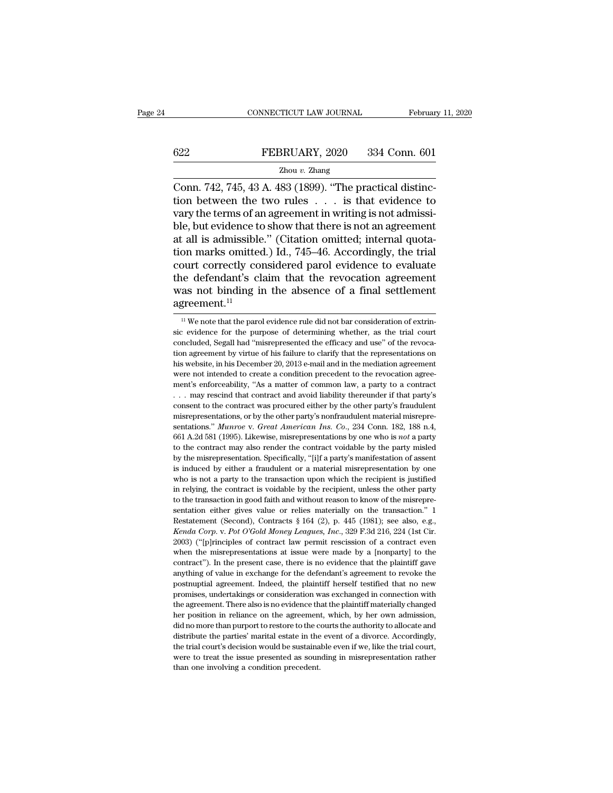# EXECUTE CONNECTICUT LAW JOURNAL February 11, 2020<br>
FEBRUARY, 2020 334 Conn. 601<br>
Zhou v. Zhang

### Zhou *v.* Zhang

CONNECTICUT LAW JOURNAL Februar<br>
FEBRUARY, 2020 334 Conn. 601<br>
Zhou v. Zhang<br>
Conn. 742, 745, 43 A. 483 (1899). "The practical distinc-<br>
tion between the two rules . . . is that evidence to<br>
vary the terms of an agroomant 622 FEBRUARY, 2020 334 Conn. 601<br>  $\frac{Z_{\text{hou }v. \text{ Zhang}}}{Z_{\text{hou }v. \text{ Zhang}}}$ <br>
Conn. 742, 745, 43 A. 483 (1899). "The practical distinction between the two rules . . . is that evidence to vary the terms of an agreement in writing EEBRUARY, 2020 334 Conn. 601<br>  $\frac{Z_{\text{hou }v. \text{ Zhang}}}{Z_{\text{Iou }v. \text{Yang}}}\$ <br>
Conn. 742, 745, 43 A. 483 (1899). "The practical distinction between the two rules . . . is that evidence to vary the terms of an agreement in writing is **EXECUARY, 2020** 334 Conn. 601<br> **EXECUARY, 2020** 334 Conn. 601<br> **EXECUARY, 2020** 334 Conn. 601<br> **EXECUARY** CONNECTED 2010 2. The practical distinction between the two rules . . . is that evidence to vary the terms of an a FERICALLY 2020 COME 031 COME 031<br>
Zhou v. Zhang<br>
Conn. 742, 745, 43 A. 483 (1899). "The practical distinc-<br>
tion between the two rules  $\ldots$  is that evidence to<br>
vary the terms of an agreement in writing is not admissible  $\frac{2 \text{hou } v. \text{ Zhang}}{\text{Conn. } 742, 745, 43 \text{ A. } 483 (1899). \text{ "The practical distinction between the two rules . . . is that evidence to vary the terms of an agreement in writing is not admissible, but evidence to show that there is not an agreement at all is admissible." (Citation omitted; internal quotation marks omitted.) Id., 745–46. Accordingly, the trial court correctly considered parol evidence to evaluate the defondant's claim that the revection agreement.$ Conn. 742, 745, 43 A. 483 (1899). "The practical distinction between the two rules  $\ldots$  is that evidence to vary the terms of an agreement in writing is not admissible, but evidence to show that there is not an agreement tion between the two rules  $\ldots$  is that evidence to<br>vary the terms of an agreement in writing is not admissi-<br>ble, but evidence to show that there is not an agreement<br>at all is admissible." (Citation omitted; internal qu wary the terms of an agreement in writing is not admissible, but evidence to show that there is not an agreement at all is admissible." (Citation omitted; internal quotation marks omitted.) Id., 745–46. Accordingly, the t agreement.<sup>11</sup> bourt correctly considered parol evidence to evaluate<br>the defendant's claim that the revocation agreement<br>as not binding in the absence of a final settlement<br>greement.<sup>11</sup><br>we note that the parol evidence rule did not bar c the defendant's claim that the revocation agreement<br>was not binding in the absence of a final settlement<br>agreement.<sup>11</sup><br> $\frac{11}{11}$  We note that the parol evidence rule did not bar consideration of extrin-<br>sic evidence fo

was not binding in the absence of a final settlement agreement.<sup>11</sup><br> $\mu$  we note that the parol evidence rule did not bar consideration of extrinsic evidence for the purpose of determining whether, as the trial court conc agreement.<sup>11</sup><br>
<sup>11</sup> We note that the parol evidence rule did not bar consideration of extrin-<br>
sic evidence for the purpose of determining whether, as the trial court<br>
concluded, Segall had "misrepresented the efficacy a  $\frac{1}{10}$  We note that the parol evidence rule did not bar consideration of extrinsic evidence for the purpose of determining whether, as the trial court concluded, Segall had "misrepresented the efficacy and use" of the were not intended to create a condition precedent to the revocation agreesic evidence for the purpose of determining whether, as the trial court concluded, Segall had "misrepresented the efficacy and use" of the revocation agreement by virtue of his failure to clarify that the representations concluded, Segall had "misrepresented the efficacy and use" of the revocation agreement by virtue of his failure to clarify that the representations on his website, in his December 20, 2013 e-mail and in the mediation agr consent to the contract was procured either by the other party's fraudulent miss website, in his December 20, 2013 e-mail and in the mediation agreement were not intended to create a condition precedent to the revocation his website, in his December 20, 2013 e-mail and in the mediation agreement's enforceability, "As a matter of common law, a party to a contract  $\ldots$  may rescind that contract and avoid liability thereunder if that party' sentations.<sup>1</sup> *Munroe Lotter 20, 2019 Chall distribute the revocation agreement's enforceability, "As a matter of common law, a party to a contract ... may rescind that contract and avoid liability thereunder if that* ment's enforceability, "As a matter of common law, a party to a contract<br>
... may rescind that contract and avoid liability thereunder if that party's<br>
consent to the contract was procured either by the other party's fraud the contract may rescind that contract and avoid liability thereunder if that party's consent to the contract was procured either by the other party's fraudulent misrepresentations, or by the other party's nonfraudulent m by the misrepresentation, or by the other party's fraudulent misrepresentations, or by the other party's nonfraudulent material misrepresentations." *Munroe* v. *Great American Ins. Co.*, 234 Conn. 182, 188 n.4, 661 A.2d emisrepresentations, or by the other party's norfraudulent material misrepresentations." *Munroe v. Great American Ins. Co.*, 234 Conn. 182, 188 n.4, 661 A.2d 581 (1995). Likewise, misrepresentations by one who is *not* a sentations." *Munroe v. Great American Ins. Co.*, 234 Conn. 182, 188 n.4, 661 A.2d 581 (1995). Likewise, misrepresentations by one who is *not* a party to the contract may also render the contract voidable by the party mis 661 A.2d 581 (1995). Likewise, misrepresentations by one who is *not* a party to the contract may also render the contract voidable by the party misled by the misrepresentation. Specifically, "[i]f a party's manifestation 661 A.2d 581 (1995). Likewise, misrepresentations by one who is *not* a party to the contract may also render the contract voidable by the party misled by the misrepresentation. Specifically, "[i]f a party's manifestation by the misrepresentation. Specifically, "[i]f a party's manifestation of assent is induced by either a fraudulent or a material misrepresentation by one who is not a party to the transaction upon which the recipient is ju Eq. and the statement (Second), the real misrepresentation by one who is not a party to the transaction upon which the recipient is justified in relying, the contract is voidable by the recipient, unless the other party t *Kenda Corp.* v. *Pot O'Gold Money Leagues, Inc.*, 329 F.3d 216, 224 (1st Cir. 2003) ("[p] principles of contract law permit resson to know of the misrepresentation either gives value or relies materially on the transactio in relying, the contract is voidable by the recipient, unless the other party<br>to the transaction in good faith and without reason to know of the misrepre-<br>sentation either gives value or relies materially on the transacti in Figures at the transaction in good faith and without reason to know of the misrepresentation either gives value or relies materially on the transaction." 1 Restatement (Second), Contracts § 164 (2), p. 445 (1981); see sentation either gives value or relies materially on the transaction." 1<br>Restatement (Second), Contracts § 164 (2), p. 445 (1981); see also, e.g.,<br> $Kenda\; Corp. v. Pot\; O'Gold\; Money\; League, Inc., 329\; F.3d\; 216, 224$  (1st Cir.<br>2003) ("[p]rincip Existement (Second), Contracts § 164 (2), p. 445 (1981); see also, e.g., *Kenda Corp.* v. *Pot O'Gold Money Leagues*, *Inc.*, 329 F.3d 216, 224 (1st Cir. 2003) ("[p]rinciples of contract law permit rescission of a contrac *Kenda Corp.* v. Pot O'Gold Money Leagues, Inc., 329 F.3d 216, 224 (1st Cir. 2003) ("[p]rinciples of contract law permit rescission of a contract even when the misrepresentations at issue were made by a [nonparty] to the 2003) ("[p]rinciples of contract law permit rescission of a contract even<br>when the misrepresentations at issue were made by a [nonparty] to the<br>contract"). In the present case, there is no evidence that the plaintiff gave<br> when the misrepresentations at issue were made by a [nonparty] to the contract"). In the present case, there is no evidence that the plaintiff gave anything of value in exchange for the defendant's agreement to revoke the contract"). In the present case, there is no evidence that the plaintiff gave contract"). In the present case, there is no evidence that the plaintiff gave anything of value in exchange for the defendant's agreement to rev anything of value in exchange for the defendant's agreement to revoke the postnuptial agreement. Indeed, the plaintiff herself testified that no new promises, undertakings or consideration was exchanged in connection with distribute the particular and the plaintiff herself testified that no new promises, undertakings or consideration was exchanged in connection with the agreement. There also is no evidence that the plaintiff materially chan promises, undertakings or consideration was exchanged in connection with<br>the agreement. There also is no evidence that the plaintiff materially changed<br>her position in reliance on the agreement, which, by her own admission the agreement. There also is no evidence that the plaintiff materially changed her position in reliance on the agreement, which, by her own admission,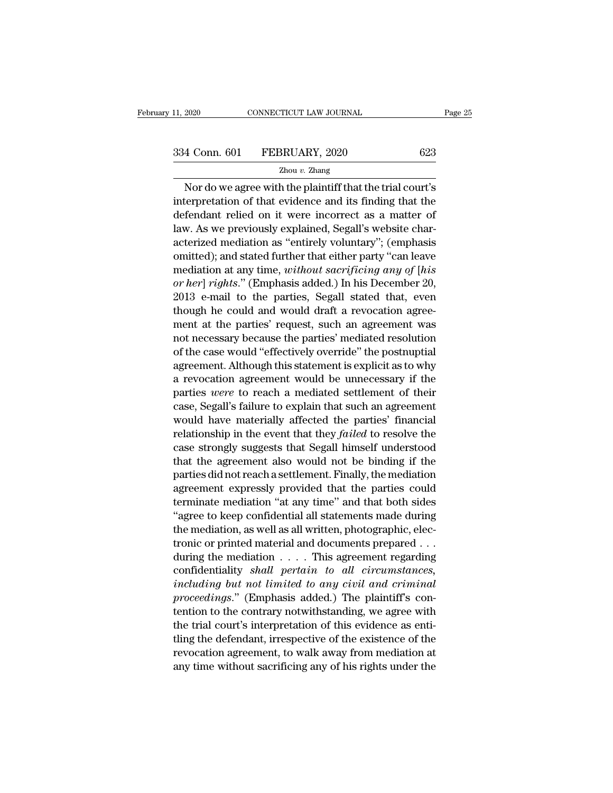CONNECTICUT LAW JOURNAL Page 25<br>
4 Conn. 601 FEBRUARY, 2020 623<br>
Zhou v. Zhang<br>
Nor do we agree with the plaintiff that the trial court's<br>
terpretation of that evidence and its finding that the<br>
fordant police on it were i 334 Conn. 601 FEBRUARY, 2020 623<br>  $\frac{2 \text{hou } v. \text{ Zhang}}{2 \text{hou } v. \text{ Zhang}}$ <br>
Nor do we agree with the plaintiff that the trial court's<br>
interpretation of that evidence and its finding that the<br>
defendant relied on it were incorrec  $\begin{array}{r} \text{334 Conn. 601} \quad \text{FEBRUARY, 2020} \quad \text{623} \ \text{2000} \quad \text{2010} \quad \text{2020} \quad \text{623} \ \text{2010} \quad \text{211} \quad \text{221} \quad \text{222} \quad \text{233} \quad \text{244} \quad \text{254} \quad \text{264} \quad \text{274} \quad \text{285} \quad \text{286} \quad \text{296} \quad \text{207} \quad \text{208} \quad \text{218} \quad$ 334 Conn. 601 FEBRUARY, 2020 623<br>  $\frac{Zhou v. Zhang}{Zhou v. Zhang}$ <br>
Nor do we agree with the plaintiff that the trial court's<br>
interpretation of that evidence and its finding that the<br>
defendant relied on it were incorrect as a matter o  $\frac{Zhou v. Zhang}{Zhou v. Zhang}$ <br>
Nor do we agree with the plaintiff that the trial court's<br>
interpretation of that evidence and its finding that the<br>
defendant relied on it were incorrect as a matter of<br>
law. As we previously explained Nor do we agree with the plaintiff that the trial court's<br>interpretation of that evidence and its finding that the<br>defendant relied on it were incorrect as a matter of<br>law. As we previously explained, Segall's website cha Nor do we agree with the plaintiff that the trial court's<br>interpretation of that evidence and its finding that the<br>defendant relied on it were incorrect as a matter of<br>law. As we previously explained, Segall's website char Interpretation of that evidence and its inding that the<br>defendant relied on it were incorrect as a matter of<br>law. As we previously explained, Segall's website char-<br>acterized mediation as "entirely voluntary"; (emphasis<br>om derendant relied on it were incorrect as a matter of<br>law. As we previously explained, Segall's website char-<br>acterized mediation as "entirely voluntary"; (emphasis<br>omitted); and stated further that either party "can leave<br> he could also website characterized mediation as "entirely voluntary"; (emphasis omitted); and stated further that either party "can leave mediation at any time, *without sacrificing any of [his or her] rights.*" (Emphasis acterized mediation as "entirely voluntary"; (emphasis<br>omitted); and stated further that either party "can leave<br>mediation at any time, *without sacrificing any of [his*<br>or her] rights." (Emphasis added.) In his December 2 omitted); and stated rurther that either party "can leave<br>mediation at any time, *without sacrificing any of [his*<br>or her] rights." (Emphasis added.) In his December 20,<br>2013 e-mail to the parties, Segall stated that, even mediation at any time, *without sacrificing any of*  $[ns]$  *or her] rights.*" (Emphasis added.) In his December 20, 2013 e-mail to the parties, Segall stated that, even though he could and would draft a revocation agreement or ner] rights." (Emphasis added.) in his December 20,<br>2013 e-mail to the parties, Segall stated that, even<br>though he could and would draft a revocation agree-<br>ment at the parties' request, such an agreement was<br>not necess 2013 e-mail to the parties, Segall stated that, even<br>though he could and would draft a revocation agree-<br>ment at the parties' request, such an agreement was<br>not necessary because the parties' mediated resolution<br>of the ca particular methods and would draft a revocation agreement at the parties' request, such an agreement was not necessary because the parties' mediated resolution of the case would "effectively override" the postnuptial agree ment at the parties' request, such an agreement was<br>not necessary because the parties' mediated resolution<br>of the case would "effectively override" the postnuptial<br>agreement. Although this statement is explicit as to why<br>a not necessary because the parties' mediated resolution<br>of the case would "effectively override" the postnuptial<br>agreement. Although this statement is explicit as to why<br>a revocation agreement would be unnecessary if the<br>p or the case would "effectively override" the posthuptial<br>agreement. Although this statement is explicit as to why<br>a revocation agreement would be unnecessary if the<br>parties *were* to reach a mediated settlement of their<br>ca agreement. Although this statement is explicit as to why<br>a revocation agreement would be unnecessary if the<br>parties *were* to reach a mediated settlement of their<br>case, Segall's failure to explain that such an agreement<br>w a revocation agreement would be unnecessary if the<br>parties *were* to reach a mediated settlement of their<br>case, Segall's failure to explain that such an agreement<br>would have materially affected the parties' financial<br>relat parties *were* to reach a mediated settlement of their<br>case, Segall's failure to explain that such an agreement<br>would have materially affected the parties' financial<br>relationship in the event that they *failed* to resolve case, segall s ralliure to explain that such an agreement<br>would have materially affected the parties' financial<br>relationship in the event that they *failed* to resolve the<br>case strongly suggests that Segall himself unders would have materially affected the parties' financial<br>relationship in the event that they *failed* to resolve the<br>case strongly suggests that Segall himself understood<br>that the agreement also would not be binding if the<br>p relationship in the event that they *jaued* to resolve the<br>case strongly suggests that Segall himself understood<br>that the agreement also would not be binding if the<br>parties did not reach a settlement. Finally, the mediatio case strongly suggests that Segall himself understood<br>that the agreement also would not be binding if the<br>parties did not reach a settlement. Finally, the mediation<br>agreement expressly provided that the parties could<br>termi that the agreement also would not be binding if the<br>parties did not reach a settlement. Finally, the mediation<br>agreement expressly provided that the parties could<br>terminate mediation "at any time" and that both sides<br>"agr parties did not reach a settlement. Finally, the mediation<br>agreement expressly provided that the parties could<br>terminate mediation "at any time" and that both sides<br>"agree to keep confidential all statements made during<br>t agreement expressly provided that the parties could<br>terminate mediation "at any time" and that both sides<br>"agree to keep confidential all statements made during<br>the mediation, as well as all written, photographic, elec-<br>tr *i*<br>*increase to keep confidential all statements made during***<br>***increase to keep confidential all statements made during***<br>the mediation, as well as all written, photographic, electronic or printed material and documents p** <sup>r</sup>agree to keep connominal all statements made during<br>the mediation, as well as all written, photographic, elec-<br>tronic or printed material and documents prepared . . .<br>during the mediation . . . . This agreement regardin the mediation, as well as all written, photographic, electronic or printed material and documents prepared . . .<br>during the mediation . . . . This agreement regarding<br>confidentiality *shall pertain to all circumstances*,<br> tronic or printed material and documents prepared  $\ldots$ <br>during the mediation  $\ldots$ . This agreement regarding<br>confidentiality *shall pertain to all circumstances*,<br>*including but not limited to any civil and criminal*<br>*pro* during the mediation . . . . . This agreement regarding<br>confidentiality *shall pertain to all circumstances*,<br>*including but not limited to any civil and criminal*<br>*proceedings.*" (Emphasis added.) The plaintiff's con-<br>ten confidentially *shall pertain to all circumstances*,<br>including but not limited to any civil and criminal<br>proceedings." (Emphasis added.) The plaintiff's con-<br>tention to the contrary notwithstanding, we agree with<br>the trial proceedings." (Emphasis added.) The plaintiff's contention to the contrary notwithstanding, we agree with the trial court's interpretation of this evidence as entiting the defendant, irrespective of the existence of the re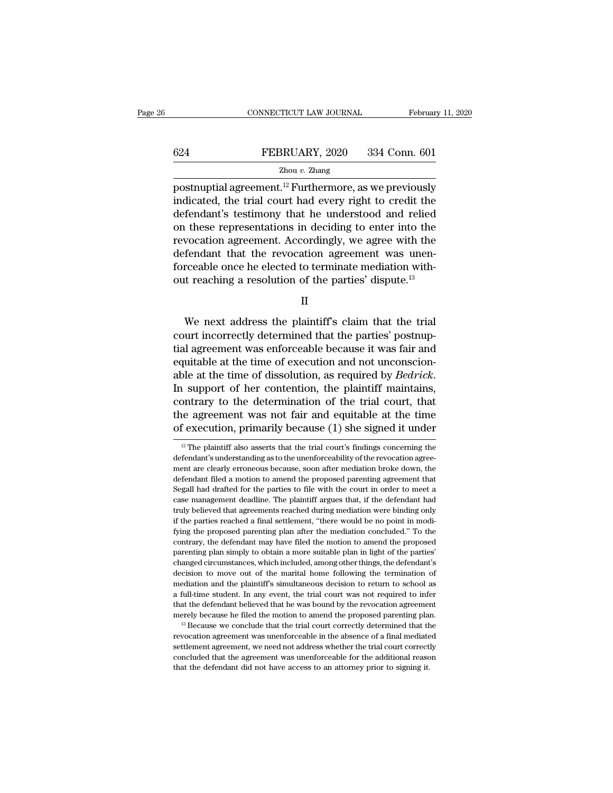|     | CONNECTICUT LAW JOURNAL | February 11, 2020 |
|-----|-------------------------|-------------------|
|     |                         |                   |
| 624 | FEBRUARY, 2020          | 334 Conn. 601     |
|     | Zhou $v$ . Zhang        |                   |

CONNECTICUT LAW JOURNAL February 11, 2020<br>
FEBRUARY, 2020 334 Conn. 601<br>
Zhou v. Zhang<br>
postnuptial agreement.<sup>12</sup> Furthermore, as we previously<br>
indicated, the trial court had every right to credit the<br>
defendent's testim EXEMPLARY, 2020 334 Conn. 601<br>
Zhou v. Zhang<br>
postnuptial agreement.<sup>12</sup> Furthermore, as we previously<br>
indicated, the trial court had every right to credit the<br>
defendant's testimony that he understood and relied<br>
on the FEBRUARY, 2020 334 Conn. 601<br>  $\frac{Z_{\text{hou }v. \text{ Zhang}}}{Z_{\text{hou }v. \text{Zhang}}}$ <br>
postnuptial agreement.<sup>12</sup> Furthermore, as we previously<br>
indicated, the trial court had every right to credit the<br>
defendant's testimony that he understo **EXECUARY, 2020** 334 Conn. 601<br> **EXECUARY, 2020** 334 Conn. 601<br> **EXECUARY, 2020** 334 Conn. 601<br> **EXECUARY**, 2020 334 Conn. 601<br> **EXECUARY** and EXECUARY<br> **EXECUARY** into the previously<br>
indicated, the trial court had every  $\frac{Zhou v. Zhang}{Zhou v. Zhang}$ <br>postnuptial agreement.<sup>12</sup> Furthermore, as we previously indicated, the trial court had every right to credit the defendant's testimony that he understood and relied on these representations in deciding postnuptial agreement.<sup>12</sup> Furthermore, as we previously indicated, the trial court had every right to credit the defendant's testimony that he understood and relied on these representations in deciding to enter into the postnuptial agreement.<sup>12</sup> Furthermore, as we previously indicated, the trial court had every right to credit the defendant's testimony that he understood and relied on these representations in deciding to enter into the r indicated, the trial court had every right to credit the defendant's testimony that he understood and relied on these representations in deciding to enter into the revocation agreement. Accordingly, we agree with the defe reduced and that the revocation agreement was unen-<br>recable once he elected to terminate mediation with-<br>reaching a resolution of the parties' dispute.<sup>13</sup><br> $\hfill \text{II}$ <br>We next address the plaintiff's claim that the trial<br>u

II

detendant that the revocation agreement was unen-<br>forceable once he elected to terminate mediation with-<br>out reaching a resolution of the parties' dispute.<sup>13</sup><br>II<br>We next address the plaintiff's claim that the trial<br>court forceable once ne elected to terminate mediation with-<br>out reaching a resolution of the parties' dispute.<sup>13</sup><br>II<br>We next address the plaintiff's claim that the trial<br>court incorrectly determined that the parties' postnupout reaching a resolution of the parties' dispute."<br>
II<br>
We next address the plaintiff's claim that the trial<br>
court incorrectly determined that the parties' postnup-<br>
tial agreement was enforceable because it was fair and II<br>we next address the plaintiff's claim that the trial<br>court incorrectly determined that the parties' postnup-<br>tial agreement was enforceable because it was fair and<br>equitable at the time of execution and not unconscion-<br> We next address the plaintiff's claim that the trial<br>court incorrectly determined that the parties' postnup-<br>tial agreement was enforceable because it was fair and<br>equitable at the time of execution and not unconscion-<br>ab court incorrectly determined that the parties' postnuptial agreement was enforceable because it was fair and equitable at the time of execution and not unconscionable at the time of dissolution, as required by *Bedrick*. I tial agreement was enforceable because it was fair and<br>equitable at the time of execution and not unconscion-<br>able at the time of dissolution, as required by *Bedrick*.<br>In support of her contention, the plaintiff maintain In support of her contention, the plaintiff maintains, contrary to the determination of the trial court, that the agreement was not fair and equitable at the time of execution, primarily because (1) she signed it under  $\$ contrary to the determination of the trial court, that<br>the agreement was not fair and equitable at the time<br>of execution, primarily because (1) she signed it under<br> $\frac{12}{12}$  The plaintiff also asserts that the trial cou

the agreement was not fair and equitable at the time<br>of execution, primarily because (1) she signed it under<br> $\frac{12}{\text{m}}$  The plaintiff also asserts that the trial court's findings concerning the<br>defendant's understandin of execution, primarily because (1) she signed it under<br>
<sup>12</sup> The plaintiff also asserts that the trial court's findings concerning the<br>
defendant's understanding as to the unenforceability of the revocation agreement are  $\frac{12}{12}$  The plaintiff also asserts that the trial court's findings concerning the defendant's understanding as to the unenforceability of the revocation agreement are clearly erroneous because, soon after mediation br <sup>12</sup> The plaintiff also asserts that the trial court's findings concerning the defendant's understanding as to the unenforceability of the revocation agreement are clearly erroneous because, soon after mediation broke dow defendant's understanding as to the unenforceability of the revocation agreement are clearly erroneous because, soon after mediation broke down, the defendant filed a motion to amend the proposed parenting agreement that S ment are clearly erroneous because, soon after mediation broke down, the defendant filed a motion to amend the proposed parenting agreement that Segall had drafted for the parties to file with the court in order to meet a field a motion to amend the proposed parenting agreement that Segall had drafted for the parties to file with the court in order to meet a case management deadline. The plaintiff argues that, if the defendant had truly bel Segall had drafted for the parties to file with the court in order to meet a case management deadline. The plaintiff argues that, if the defendant had truly believed that agreements reached during mediation were binding on exase management deadline. The plaintiff argues that, if the defendant had truly believed that agreements reached during mediation were binding only if the parties reached a final settlement, "there would be no point in mo truly believed that agreements reached during mediation were binding only if the parties reached a final settlement, "there would be no point in modifying the proposed parenting plan after the mediation concluded." To the and the parties reached a final settlement, "there would be no point in modifying the proposed parenting plan after the mediation concluded." To the contrary, the defendant may have filed the motion to amend the proposed p mediation and the proposed parenting plan after the mediation concluded." To the contrary, the defendant may have filed the motion to amend the proposed parenting plan simply to obtain a more suitable plan in light of the contrary, the defendant may have filed the motion to amend the proposed parenting plan simply to obtain a more suitable plan in light of the parties' changed circumstances, which included, among other things, the defendant parenting plan simply to obtain a more suitable plan in light of the parties' changed circumstances, which included, among other things, the defendant's decision to move out of the marital home following the termination of planting planting, which included, among other things, the defendant's decision to move out of the marital home following the termination of mediation and the plaintiff's simultaneous decision to return to school as a full revocation and the plaintiff's simultaneous decision to return to school as a full-time student. In any event, the trial court was not required to infer that the defendant believed that he was bound by the revocation agree

settlement agreement, we need not address whether the additional reasonal methan the defendant believed that he was bound by the revocation agreement merely because he filed the motion to amend the proposed parenting plan. concluded that the agreement was bound by the revocation agreement merely because he filed the motion to amend the proposed parenting plan.<sup>13</sup> Because we conclude that the trial court correctly determined that the revocat that the defendant believed that he was bound by the revocation agreement<br>merely because he filed the motion to amend the proposed parenting plan.<br><sup>13</sup> Because we conclude that the trial court correctly determined that the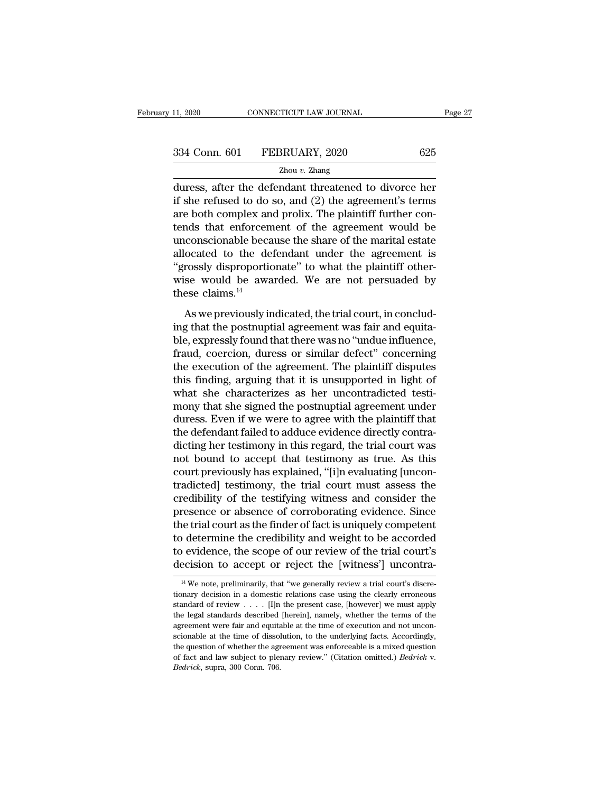11, 2020 CONNECTICUT LAW JOURNAL Page 27<br>
334 Conn. 601 FEBRUARY, 2020 625<br>
2hou v. Zhang<br>
duress, after the defendant threatened to divorce her<br>
if she refused to do so, and (2) the agreement's terms<br>
are both complex and 334 Conn. 601 FEBRUARY, 2020 625<br>  $\frac{2 \text{hou } v. \text{ Zhang}}{2 \text{hou } v. \text{ Zhang}}$ <br>
duress, after the defendant threatened to divorce her<br>
if she refused to do so, and (2) the agreement's terms<br>
are both complex and prolix. The plaintiff 334 Conn. 601 FEBRUARY, 2020 625<br>  $\frac{2 \text{hou } v. \text{ Zhang}}{\text{duress, after the defendant threatened to diverse her if she refused to do so, and (2) the agreement's terms are both complex and prolix. The plaintiff further contents that enforcement of the agreement would be unconscionsble because the share of the merital estate.$ 334 Conn. 601 FEBRUARY, 2020 625<br>  $\frac{2 \text{hou } v. \text{ Zhang}}{\text{duress, after the defendant threatened to divorce her}}$ <br>
if she refused to do so, and (2) the agreement's terms<br>
are both complex and prolix. The plaintiff further con-<br>
tends that enforcement of the agreemen  $\frac{Zhou v. Zhang}{Zhou v. Zhang}$ <br>
duress, after the defendant threatened to divorce her<br>
if she refused to do so, and (2) the agreement's terms<br>
are both complex and prolix. The plaintiff further con-<br>
tends that enforcement of the agre  $\frac{21000 \text{ } v. \text{ Zhang}}{v}$ <br>duress, after the defendant threatened to divorce her<br>if she refused to do so, and (2) the agreement's terms<br>are both complex and prolix. The plaintiff further con-<br>tends that enforcement of the a duress, after the defendant threatened to divorce her<br>if she refused to do so, and (2) the agreement's terms<br>are both complex and prolix. The plaintiff further con-<br>tends that enforcement of the agreement would be<br>unconsci if she refused to do so, and (2) the agreement's terms<br>are both complex and prolix. The plaintiff further con-<br>tends that enforcement of the agreement would be<br>unconscionable because the share of the marital estate<br>alloca are both complex an<br>tends that enforcem<br>unconscionable beca<br>allocated to the de<br>"grossly disproportic<br>wise would be awa<br>these claims.<sup>14</sup><br>As we previously ir As we previously indicated, the trial court, in concluded to the defendant under the agreement is<br>rossly disproportionate" to what the plaintiff other-<br>se would be awarded. We are not persuaded by<br>ese claims.<sup>14</sup><br>As we pr allocated to the defendant under the agreement is<br>
"grossly disproportionate" to what the plaintiff other-<br>
wise would be awarded. We are not persuaded by<br>
these claims.<sup>14</sup><br>
As we previously indicated, the trial court, i

"grossly disproportionate" to what the plaintiff otherwise would be awarded. We are not persuaded by these claims.<sup>14</sup><br>As we previously indicated, the trial court, in conclud-<br>ing that the postnuptial agreement was fair a wise would be awarded. We are not persuaded by<br>these claims.<sup>14</sup><br>As we previously indicated, the trial court, in conclud-<br>ing that the postnuptial agreement was fair and equita-<br>ble, expressly found that there was no "und these claims.<sup>14</sup><br>
As we previously indicated, the trial court, in conclud-<br>
ing that the postnuptial agreement was fair and equita-<br>
ble, expressly found that there was no "undue influence,<br>
fraud, coercion, duress or si As we previously indicated, the trial court, in conclud-<br>ing that the postnuptial agreement was fair and equita-<br>ble, expressly found that there was no "undue influence,<br>fraud, coercion, duress or similar defect" concernin As we previously indicated, the trial court, in concluding that the postnuptial agreement was fair and equita-<br>ble, expressly found that there was no "undue influence,<br>fraud, coercion, duress or similar defect" concerning<br> ing that the postnuptial agreement was fair and equita-<br>ble, expressly found that there was no "undue influence,<br>fraud, coercion, duress or similar defect" concerning<br>the execution of the agreement. The plaintiff disputes<br> ble, expressly found that there was no "undue influence,<br>fraud, coercion, duress or similar defect" concerning<br>the execution of the agreement. The plaintiff disputes<br>this finding, arguing that it is unsupported in light of fraud, coercion, duress or similar defect" concerning<br>the execution of the agreement. The plaintiff disputes<br>this finding, arguing that it is unsupported in light of<br>what she characterizes as her uncontradicted testi-<br>mony the execution of the agreement. The plaintiff disputes<br>this finding, arguing that it is unsupported in light of<br>what she characterizes as her uncontradicted testi-<br>mony that she signed the postnuptial agreement under<br>dures this finding, arguing that it is unsupported in light of<br>what she characterizes as her uncontradicted testi-<br>mony that she signed the postnuptial agreement under<br>duress. Even if we were to agree with the plaintiff that<br>the what she characterizes as her uncontradicted testi-<br>mony that she signed the postnuptial agreement under<br>duress. Even if we were to agree with the plaintiff that<br>the defendant failed to adduce evidence directly contra-<br>dic mony that she signed the postnuptial agreement under<br>duress. Even if we were to agree with the plaintiff that<br>the defendant failed to adduce evidence directly contra-<br>dicting her testimony in this regard, the trial court w duress. Even if we were to agree with the plaintiff that<br>the defendant failed to adduce evidence directly contra-<br>dicting her testimony in this regard, the trial court was<br>not bound to accept that testimony as true. As thi the defendant failed to adduce evidence directly contradicting her testimony in this regard, the trial court was<br>not bound to accept that testimony as true. As this<br>court previously has explained, "[i]n evaluating [uncon-<br> dicting her testimony in this regard, the trial court was<br>not bound to accept that testimony as true. As this<br>court previously has explained, "[i]n evaluating [uncon-<br>tradicted] testimony, the trial court must assess the<br>c not bound to accept that testimony as true. As this<br>court previously has explained, "[i]n evaluating [uncon-<br>tradicted] testimony, the trial court must assess the<br>credibility of the testifying witness and consider the<br>pres court previously has explained, "[i]n evaluating [uncontradicted] testimony, the trial court must assess the credibility of the testifying witness and consider the presence or absence of corroborating evidence. Since the t tradicted] testimony, the trial court must assess the credibility of the testifying witness and consider the presence or absence of corroborating evidence. Since the trial court as the finder of fact is uniquely competent 14 We note, preliminarily, that "we generally review a trial court's ecision to accept or reject the [witness'] uncontraction to accept or reject the [witness'] uncontrative was trial court's discre-<br><sup>14</sup> We note, prelimi to determine the credibility and weight to be accorded<br>to evidence, the scope of our review of the trial court's<br>decision to accept or reject the [witness'] uncontra-<br><sup>14</sup> We note, preliminarily, that "we generally review

to evidence, the scope of our review of the trial court's decision to accept or reject the [witness'] uncontra-<br> $\frac{14}{14}$ We note, preliminarily, that "we generally review a trial court's discretionary decision in a dome decision to accept or reject the [witness'] uncontra-<br>
<sup>14</sup> We note, preliminarily, that "we generally review a trial court's discretionary decision in a domestic relations case using the clearly erroneous standard of rev  $\frac{14}{14}$  We note, preliminarily, that "we generally review a trial court's discretionary decision in a domestic relations case using the clearly erroneous standard of review . . . . [I]n the present case, [however] we <sup>14</sup> We note, preliminarily, that "we generally review a trial court's discretionary decision in a domestic relations case using the clearly erroneous standard of review  $\ldots$ . [I]n the present case, [however] we must app tionary decision in a domestic relations case using the clearly erroneous standard of review . . . . [I]n the present case, [however] we must apply the legal standards described [herein], namely, whether the terms of the because of review..... [I]n the present case, [however] we must apply<br>the legal standards described [herein], namely, whether the terms of the<br>agreement were fair and equitable at the time of execution and not uncon-<br>scion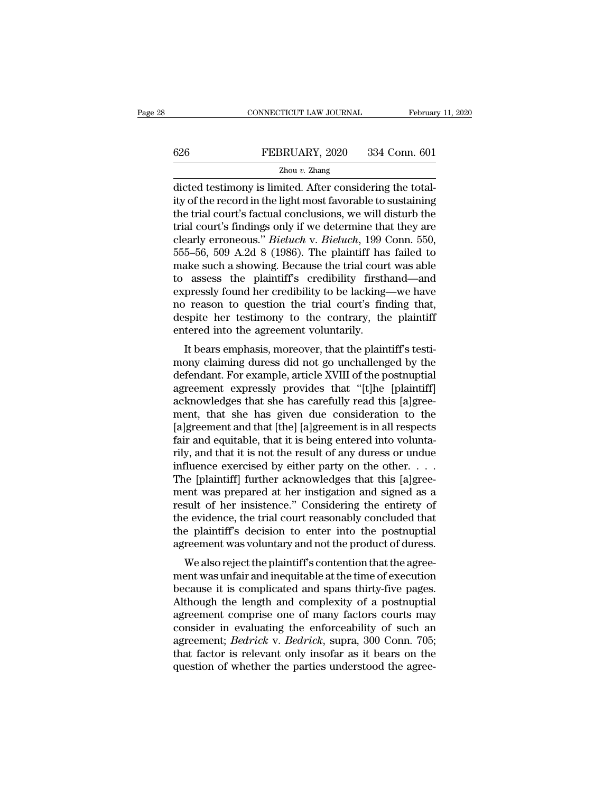# EXECUTE CONNECTICUT LAW JOURNAL February 11, 2020<br>
FEBRUARY, 2020 334 Conn. 601<br>
Zhou v. Zhang

### Zhou *v.* Zhang

CONNECTICUT LAW JOURNAL Februar<br>
626 FEBRUARY, 2020 334 Conn. 601<br>
<sup>Zhou v.</sup> Zhang<br>
dicted testimony is limited. After considering the total-<br>
ity of the record in the light most favorable to sustaining<br>
the trial court's  $\begin{array}{r} \text{626} & \text{FEBRUARY, 2020} & \text{334 Conn. 601} \\ \text{2hou } v. \text{ Zhang} \end{array}$ <br>dicted testimony is limited. After considering the totality of the record in the light most favorable to sustaining the trial court's factual conclusions, w  $\begin{tabular}{ll} \multicolumn{1}{l}{{\bf \textcolor{red}{\bf SEBRUARY, 2020}}} & \multicolumn{1}{l}{334}\>\n \, & \multicolumn{1}{l}{\bf \textcolor{red}{\bf \textcolor{red}{\bf \textcolor{red}{\bf \textcolor{red}{\bf \textcolor{red}{\bf \textcolor{red}{\bf \textcolor{red}{\bf \textcolor{red}{\bf \textcolor{red}{\bf \textcolor{red}{\bf \textcolor{red}{\bf \textcolor{red}{\bf \textcolor{red}{\bf \textcolor{red}{\bf \textcolor{red}{\bf \textcolor{red}{\bf \textcolor{red}{\bf \textcolor{red}{\bf \textcolor{red}{$ FEBRUARY, 2020 334 Conn. 601<br>  $\frac{Z_{\text{hou }v. \text{ Zhang}}}{Z_{\text{hou }v. \text{Zhang}}}$ <br>
dicted testimony is limited. After considering the total-<br>
ity of the record in the light most favorable to sustaining<br>
the trial court's factual conclusi zhou *v. Zhang*<br>Zhou *v. Zhang*<br>dicted testimony is limited. After considering the total-<br>ity of the record in the light most favorable to sustaining<br>the trial court's factual conclusions, we will disturb the<br>trial court's  $\frac{2 \text{hou } v. \text{ Zhang}}{\text{dicted testimony is limited. After considering the total-  
ity of the record in the light most favorable to sustainability  
the trial court's factual conclusions, we will disturb the  
trial court's findings only if we determine that they are  
clearly erroneous." *Bieluch* v. *Bieluch*, 199 Conn. 550,  
555–56, 509 A.2d 8 (1986). The plaintiff has failed to  
make such a showing. Because the trial court was able  
to assess the plaintiff's, credibility, firsthand, and$ dicted testimony is limited. After considering the totality of the record in the light most favorable to sustaining the trial court's factual conclusions, we will disturb the trial court's findings only if we determine tha ity of the record in the light most favorable to sustaining<br>the trial court's factual conclusions, we will disturb the<br>trial court's findings only if we determine that they are<br>clearly erroneous." *Bieluch* v. *Bieluch*, 1 the trial court's factual conclusions, we will disturb the<br>trial court's findings only if we determine that they are<br>clearly erroneous." *Bieluch* v. *Bieluch*, 199 Conn. 550,<br>555–56, 509 A.2d 8 (1986). The plaintiff has f trial court's findings only if we determine that they are clearly erroneous." *Bieluch* v. *Bieluch*, 199 Conn. 550, 555–56, 509 A.2d 8 (1986). The plaintiff has failed to make such a showing. Because the trial court was a clearly erroneous." *Bieluch* v. *Bieluch*, 199 Conn. 550, 555–56, 509 A.2d 8 (1986). The plaintiff has failed to make such a showing. Because the trial court was able to assess the plaintiff's credibility firsthand—and ex 555–56, 509 A.2d 8 (1986). The plaintiff has<br>make such a showing. Because the trial cour<br>to assess the plaintiff's credibility firsth<br>expressly found her credibility to be lacking-<br>no reason to question the trial court's f The same start a showing. Because the that court was able<br>assess the plaintiff's credibility firsthand—and<br>pressly found her credibility to be lacking—we have<br>reason to question the trial court's finding that,<br>spite her te to assess the plantin's credibility to be lacking—we have<br>no reason to question the trial court's finding that,<br>despite her testimony to the contrary, the plaintiff<br>entered into the agreement voluntarily.<br>It bears emphasis

expressly found fier credibility to be facking—we have<br>no reason to question the trial court's finding that,<br>despite her testimony to the contrary, the plaintiff<br>entered into the agreement voluntarily.<br>It bears emphasis, m agreement to the same of the contrary, the plaintiff<br>antered into the agreement voluntarily.<br>It bears emphasis, moreover, that the plaintiff's testi-<br>mony claiming duress did not go unchallenged by the<br>defendant. For examp despite that estimoly to the contrary, the plaintiff<br>entered into the agreement voluntarily.<br>It bears emphasis, moreover, that the plaintiff's testi-<br>mony claiming duress did not go unchallenged by the<br>defendant. For examp entered into the agreement voluntarily.<br>It bears emphasis, moreover, that the plaintiff's testi-<br>mony claiming duress did not go unchallenged by the<br>defendant. For example, article XVIII of the postnuptial<br>agreement expres It bears emphasis, moreover, that the plaintiff's testi-<br>mony claiming duress did not go unchallenged by the<br>defendant. For example, article XVIII of the postnuptial<br>agreement expressly provides that "[t]he [plaintiff]<br>ack mony claiming duress did not go unchallenged by the defendant. For example, article XVIII of the postnuptial agreement expressly provides that "[t]he [plaintiff] acknowledges that she has carefully read this [a]greement, t defendant. For example, article XVIII of the postnuptial<br>agreement expressly provides that "[t]he [plaintiff]<br>acknowledges that she has carefully read this [a]gree-<br>ment, that she has given due consideration to the<br>[a]gree agreement expressly provides that "[t]he [plaintiff] acknowledges that she has carefully read this [a]greement, that she has given due consideration to the [a]greement and that [the] [a]greement is in all respects fair and acknowledges that she has carefully read this [a]greement, that she has given due consideration to the [a]greement and that [the] [a]greement is in all respects fair and equitable, that it is being entered into voluntarily ment, that she has given due consideration to the [a]greement and that [the] [a]greement is in all respects fair and equitable, that it is being entered into voluntarily, and that it is not the result of any duress or und [a]greement and that [the] [a]greement is in all respects<br>fair and equitable, that it is being entered into volunta-<br>rily, and that it is not the result of any duress or undue<br>influence exercised by either party on the oth fair and equitable, that it is being entered into volunta-<br>rily, and that it is not the result of any duress or undue<br>influence exercised by either party on the other.  $\dots$ <br>The [plaintiff] further acknowledges that this [ rily, and that it is not the result of any duress or undue<br>influence exercised by either party on the other. . . .<br>The [plaintiff] further acknowledges that this [a]gree-<br>ment was prepared at her instigation and signed as influence exercised by either party on the other.  $\dots$ <br>The [plaintiff] further acknowledges that this [a]greement was prepared at her instigation and signed as a<br>result of her insistence." Considering the entirety of<br>the ret plainting further acknowledges that this [a]gree-<br>ent was prepared at her instigation and signed as a<br>sult of her insistence." Considering the entirety of<br>e evidence, the trial court reasonably concluded that<br>e plainti ment was prepared at her insugation and signed as a<br>result of her insistence." Considering the entirety of<br>the evidence, the trial court reasonably concluded that<br>the plaintiff's decision to enter into the postnuptial<br>agre

result of her insistence. Considering the entirety of<br>the evidence, the trial court reasonably concluded that<br>the plaintiff's decision to enter into the postnuptial<br>agreement was voluntary and not the product of duress.<br>We the evidence, the that court reasonably concluded that<br>the plaintiff's decision to enter into the postnuptial<br>agreement was voluntary and not the product of duress.<br>We also reject the plaintiff's contention that the agreethe plaintin's decision to enter into the postudpual<br>agreement was voluntary and not the product of duress.<br>We also reject the plaintiff's contention that the agree-<br>ment was unfair and inequitable at the time of execution agreement was voluntary and not the product of duress.<br>We also reject the plaintiff's contention that the agreement was unfair and inequitable at the time of execution<br>because it is complicated and spans thirty-five pages. We also reject the plaintiff's contention that the agreement was unfair and inequitable at the time of execution<br>because it is complicated and spans thirty-five pages.<br>Although the length and complexity of a postnuptial<br>ag ment was unfair and inequitable at the time of execution<br>because it is complicated and spans thirty-five pages.<br>Although the length and complexity of a postnuptial<br>agreement comprise one of many factors courts may<br>consider because it is complicated and spans thirty-five pages.<br>Although the length and complexity of a postnuptial<br>agreement comprise one of many factors courts may<br>consider in evaluating the enforceability of such an<br>agreement;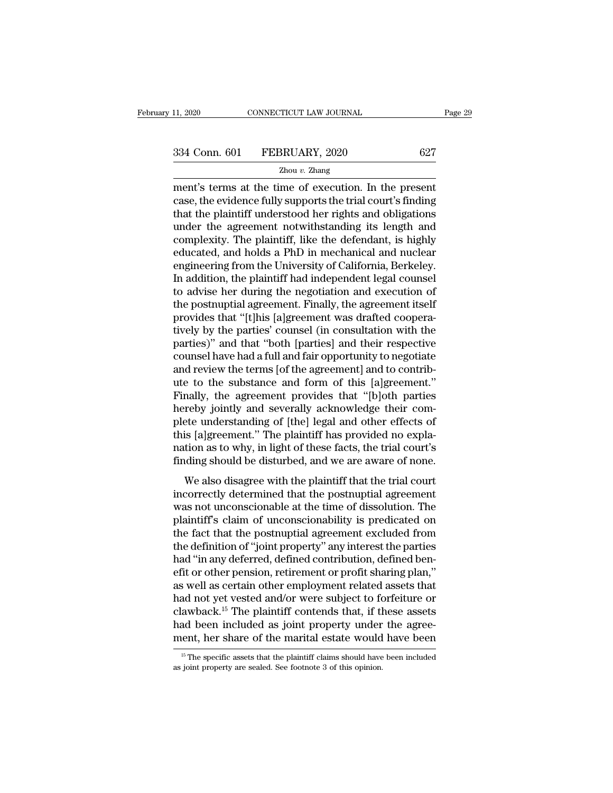EXERCT MANU THE SERIE OF THE SERIE OF THE SAME CONNECTICUT LAW JOURNAL THE SAME OF THE SAME OF THE SAME OF EXAMPLE THE SAME OF EXECUTION. In the present case, the evidence fully supports the trial court's finding that the case, the evidence fully supports the trial court's finding  $\frac{334 \text{ Conn. } 601 \qquad \text{FEBRUARY, } 2020 \qquad \qquad 627 \qquad \qquad \frac{7 \text{hou } v. \text{ Zhang}}{\text{ment's terms at the time of execution. In the present case, the evidence fully supports the trial court's finding that the plaintiff understood her rights and obligations under the agreement not withstanding its length and complexity. The plaintiff like the department is highly.$  $\frac{334 \text{ Conn. } 601 \qquad \text{FEBRUARY, } 2020 \qquad \qquad 627 \qquad \qquad \text{Zhou } v. \text{ Zhang}$ <br>
ment's terms at the time of execution. In the present case, the evidence fully supports the trial court's finding that the plaintiff understood her rights  $\frac{Zhou v. Zhang}{Zhou v. Zhang}$ <br>
ment's terms at the time of execution. In the present<br>
case, the evidence fully supports the trial court's finding<br>
that the plaintiff understood her rights and obligations<br>
under the agreement notwiths <sup>2hou v.</sup> 2hang<br>
ment's terms at the time of execution. In the present<br>
case, the evidence fully supports the trial court's finding<br>
that the plaintiff understood her rights and obligations<br>
under the agreement notwithstan ment's terms at the time of execution. In the present case, the evidence fully supports the trial court's finding that the plaintiff understood her rights and obligations under the agreement notwithstanding its length and case, the evidence fully supports the trial court's finding<br>that the plaintiff understood her rights and obligations<br>under the agreement notwithstanding its length and<br>complexity. The plaintiff, like the defendant, is high that the plaintiff understood her rights and obligations<br>under the agreement notwithstanding its length and<br>complexity. The plaintiff, like the defendant, is highly<br>educated, and holds a PhD in mechanical and nuclear<br>engin under the agreement notwithstanding its length and<br>complexity. The plaintiff, like the defendant, is highly<br>educated, and holds a PhD in mechanical and nuclear<br>engineering from the University of California, Berkeley.<br>In ad complexity. The plaintiff, like the defendant, is highly<br>educated, and holds a PhD in mechanical and nuclear<br>engineering from the University of California, Berkeley.<br>In addition, the plaintiff had independent legal counsel educated, and holds a PhD in mechanical and nuclear<br>engineering from the University of California, Berkeley.<br>In addition, the plaintiff had independent legal counsel<br>to advise her during the negotiation and execution of<br>th engineering from the University of California, Berkeley.<br>
In addition, the plaintiff had independent legal counsel<br>
to advise her during the negotiation and execution of<br>
the postnuptial agreement. Finally, the agreement i In addition, the plaintiff had independent legal counsel<br>to advise her during the negotiation and execution of<br>the postnuptial agreement. Finally, the agreement itself<br>provides that "[t]his [a]greement was drafted cooperato advise her during the negotiation and execution of<br>the postnuptial agreement. Finally, the agreement itself<br>provides that "[t]his [a]greement was drafted coopera-<br>tively by the parties' counsel (in consultation with the the postnuptial agreement. Finally, the agreement itself<br>provides that "[t]his [a]greement was drafted coopera-<br>tively by the parties' counsel (in consultation with the<br>parties)" and that "both [parties] and their respecti provides that "[t]his [a]greement was drafted cooperatively by the parties' counsel (in consultation with the parties)" and that "both [parties] and their respective counsel have had a full and fair opportunity to negotiat tively by the parties' counsel (in consultation with the parties)" and that "both [parties] and their respective counsel have had a full and fair opportunity to negotiate and review the terms [of the agreement] and to cont parties)" and that "both [parties] and their respective<br>counsel have had a full and fair opportunity to negotiate<br>and review the terms [of the agreement] and to contrib-<br>ute to the substance and form of this [a]greement."<br> counsel have had a full and fair opportunity to negotiate<br>and review the terms [of the agreement] and to contrib-<br>ute to the substance and form of this [a]greement."<br>Finally, the agreement provides that "[b]oth parties<br>her and review the terms [of the agreement] and to contribute to the substance and form of this [a]greement."<br>Finally, the agreement provides that "[b]oth parties<br>hereby jointly and severally acknowledge their com-<br>plete under ute to the substance and form of this [a]greement."<br>Finally, the agreement provides that "[b]oth parties<br>hereby jointly and severally acknowledge their com-<br>plete understanding of [the] legal and other effects of<br>this [a]g many, are agreement provides and a plyon parties<br>reby jointly and severally acknowledge their com-<br>ete understanding of [the] legal and other effects of<br>is [a]greement." The plaintiff has provided no expla-<br>tion as to why, rectely jointly and severally achitometige their complete understanding of [the] legal and other effects of this [a]greement." The plaintiff has provided no explanation as to why, in light of these facts, the trial court's

place and stading of [die] legal and other effects of<br>this [a]greement." The plaintiff has provided no expla-<br>nation as to why, in light of these facts, the trial court's<br>finding should be disturbed, and we are aware of no ration as to why, in light of these facts, the trial court's<br>finding should be disturbed, and we are aware of none.<br>We also disagree with the plaintiff that the trial court<br>incorrectly determined that the postnuptial agree that that is to write, in fight of these races, the that courts<br>finding should be disturbed, and we are aware of none.<br>We also disagree with the plaintiff that the trial court<br>incorrectly determined that the postnuptial ag We also disagree with the plaintiff that the trial court<br>incorrectly determined that the postnuptial agreement<br>was not unconscionable at the time of dissolution. The<br>plaintiff's claim of unconscionability is predicated on<br> We also disagree with the plaintiff that the trial court<br>incorrectly determined that the postnuptial agreement<br>was not unconscionable at the time of dissolution. The<br>plaintiff's claim of unconscionability is predicated on<br> incorrectly determined that the postnuptial agreement<br>was not unconscionable at the time of dissolution. The<br>plaintiff's claim of unconscionability is predicated on<br>the fact that the postnuptial agreement excluded from<br>the was not unconscionable at the time of dissolution. The<br>plaintiff's claim of unconscionability is predicated on<br>the fact that the postnuptial agreement excluded from<br>the definition of "joint property" any interest the parti plaintiff's claim of unconscionability is predicated on<br>the fact that the postnuptial agreement excluded from<br>the definition of "joint property" any interest the parties<br>had "in any deferred, defined contribution, defined the fact that the postnuptial agreement excluded from<br>the definition of "joint property" any interest the parties<br>had "in any deferred, defined contribution, defined ben-<br>efit or other pension, retirement or profit sharing the definition of "joint property" any interest the parties<br>had "in any deferred, defined contribution, defined ben-<br>efit or other pension, retirement or profit sharing plan,"<br>as well as certain other employment related as had "in any deferred, defined contribution, defined ben-<br>efit or other pension, retirement or profit sharing plan,"<br>as well as certain other employment related assets that<br>had not yet vested and/or were subject to forfeitu had not yet vested and/or were subject to forfeiture or clawback.<sup>15</sup> The plaintiff contends that, if these assets had been included as joint property under the agreement, her share of the marital estate would have been had been included as joint property under the agree-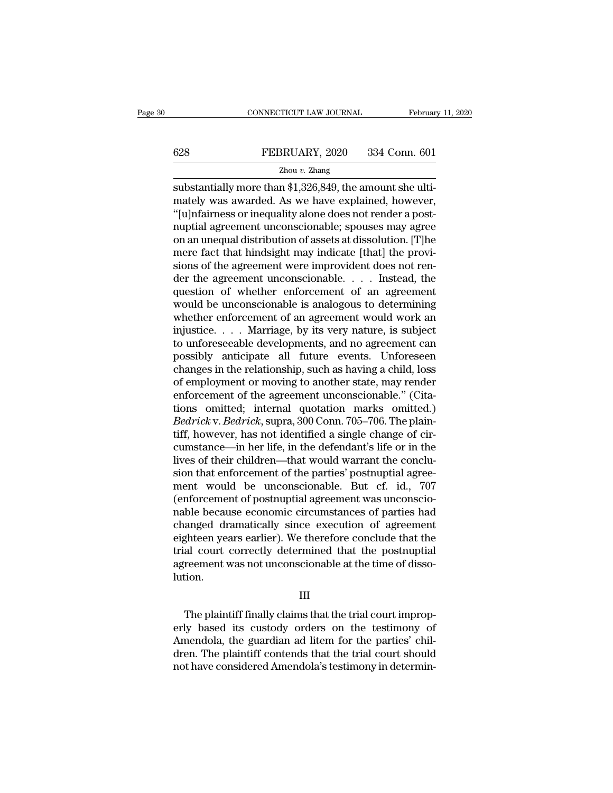# EXECUTE CONNECTICUT LAW JOURNAL February 11, 2020<br>
FEBRUARY, 2020 334 Conn. 601<br>
Zhou v. Zhang

### Zhou *v.* Zhang

CONNECTICUT LAW JOURNAL Februar<br>
SUBSERVERT 2020 334 Conn. 601<br>
Thou v. Zhang<br>
Substantially more than \$1,326,849, the amount she ulti-<br>
Than the amount she ulti-<br>
Substantially more than \$1,326,849, the amount she ulti-<br> 628 FEBRUARY, 2020 334 Conn. 601<br>  $\frac{Z_{\text{hou }v. \text{ Zhang}}}{Z_{\text{hou }v. \text{Zhang}}}$ <br>
substantially more than \$1,326,849, the amount she ultimately was awarded. As we have explained, however,<br>
"[u]nfairness or inequality alone does not  $\begin{array}{r} \n 628 \quad \text{FEBRUARY, } 2020 \quad 334 \text{ Conn. } 601 \n \hline \n \text{Zhou } v. \text{ Zhang} \n \end{array}$ <br>
substantially more than \$1,326,849, the amount she ultimately was awarded. As we have explained, however, "[u]nfairness or inequality alone does FEBRUARY, 2020 334 Conn. 601<br>  $\frac{Z_{\text{hou } v. \text{ Zhang}}}{Z_{\text{hou } v. \text{Zhang}}}$ <br>
substantially more than \$1,326,849, the amount she ulti-<br>
mately was awarded. As we have explained, however,<br>
"[u]nfairness or inequality alone does not r  $\frac{Zhouv. Zhang}{Zhouv. Zhang}$ <br>
substantially more than \$1,326,849, the amount she ulti-<br>
mately was awarded. As we have explained, however,<br>
"[u]nfairness or inequality alone does not render a post-<br>
nuptial agreement unconscionable;  $\frac{2 \text{hou } v. \text{ Zhang}}{\text{substantially more than $1,326,849, the amount she ultimately was awarded. As we have explained, however, "[u]nfairness or inequality alone does not render a post-nuptial agreement unconscionale; spouses may agree on an unequal distribution of assets at dissolution. [T]he mere fact that hindsight may indicate [that] the provisions of the agreement were improvement does not render the agreement were improved. Instead, the effect is not necessary to be a more accurate in the next case, and the effect is not necessary.$ substantially more than \$1,326,849, the amount she ultimately was awarded. As we have explained, however, "[u]nfairness or inequality alone does not render a post-<br>nuptial agreement unconscionable; spouses may agree on an mately was awarded. As we have explained, however,<br>"[u]nfairness or inequality alone does not render a post-<br>nuptial agreement unconscionable; spouses may agree<br>on an unequal distribution of assets at dissolution. [T]he<br>me "[u]nfairness or inequality alone does not render a post-<br>nuptial agreement unconscionable; spouses may agree<br>on an unequal distribution of assets at dissolution. [T]he<br>mere fact that hindsight may indicate [that] the pro nuptial agreement unconscionable; spouses may agree<br>on an unequal distribution of assets at dissolution. [T]he<br>mere fact that hindsight may indicate [that] the provi-<br>sions of the agreement were improvident does not ren-<br>d on an unequal distribution of assets at dissolution. [T]he<br>mere fact that hindsight may indicate [that] the provi-<br>sions of the agreement were improvident does not ren-<br>der the agreement unconscionable.... Instead, the<br>que mere fact that hindsight may indicate [that] the provisions of the agreement were improvident does not render the agreement unconscionable. . . . Instead, the question of whether enforcement of an agreement would be uncons sions of the agreement were improvident does not render the agreement unconscionable. . . . Instead, the question of whether enforcement of an agreement would work an injustice. . . . Marriage, by its very nature, is subj der the agreement unconscionable. . . . . Instead, the<br>question of whether enforcement of an agreement<br>would be unconscionable is analogous to determining<br>whether enforcement of an agreement would work an<br>injustice. . . . question of whether enforcement of an agreement<br>would be unconscionable is analogous to determining<br>whether enforcement of an agreement would work an<br>injustice.... Marriage, by its very nature, is subject<br>to unforeseeable would be unconscionable is analogous to determining<br>whether enforcement of an agreement would work an<br>injustice.... Marriage, by its very nature, is subject<br>to unforeseeable developments, and no agreement can<br>possibly ant whether enforcement of an agreement would work an injustice.... Marriage, by its very nature, is subject<br>to unforeseeable developments, and no agreement can<br>possibly anticipate all future events. Unforeseen<br>changes in the injustice. . . . . Marriage, by its very nature, is subject<br>to unforeseeable developments, and no agreement can<br>possibly anticipate all future events. Unforeseen<br>changes in the relationship, such as having a child, loss<br>of to unforeseeable developments, and no agreement can<br>possibly anticipate all future events. Unforeseen<br>changes in the relationship, such as having a child, loss<br>of employment or moving to another state, may render<br>enforceme possibly anticipate all future events. Unforeseen<br>changes in the relationship, such as having a child, loss<br>of employment or moving to another state, may render<br>enforcement of the agreement unconscionable." (Cita-<br>tions om changes in the relationship, such as having a child, loss<br>of employment or moving to another state, may render<br>enforcement of the agreement unconscionable." (Cita-<br>tions omitted; internal quotation marks omitted.)<br>Bedrick of employment or moving to another state, may render<br>enforcement of the agreement unconscionable." (Cita-<br>tions omitted; internal quotation marks omitted.)<br>Bedrick v. Bedrick, supra, 300 Conn. 705–706. The plain-<br>tiff, how enforcement of the agreement unconscionable." (Citations omitted; internal quotation marks omitted.)<br>Bedrick v. Bedrick, supra, 300 Conn. 705–706. The plain-<br>tiff, however, has not identified a single change of cir-<br>cumsta tions omitted; internal quotation marks omitted.)<br> *Bedrick* v. *Bedrick*, supra, 300 Conn. 705–706. The plain-<br>
tiff, however, has not identified a single change of cir-<br>
cumstance—in her life, in the defendant's life or *Bedrick* v. *Bedrick*, supra, 300 Conn. 705–706. The plaintiff, however, has not identified a single change of circumstance—in her life, in the defendant's life or in the lives of their children—that would warrant the con tiff, however, has not identified a single change of circumstance—in her life, in the defendant's life or in the lives of their children—that would warrant the conclusion that enforcement of the parties' postnuptial agreem cumstance—in her life, in the defendant's life or in the<br>lives of their children—that would warrant the conclu-<br>sion that enforcement of the parties' postnuptial agreement<br>would be unconscionable. But cf. id., 707<br>(enforce lives of their children—that would warrant the conclusion that enforcement of the parties' postnuptial agreement<br>ment would be unconscionable. But cf. id., 707<br>(enforcement of postnuptial agreement was unconscionable becau sion that enforcement of the parties' postnuptial agreement would be unconscionable. But cf. id., 707 (enforcement of postnuptial agreement was unconscionable because economic circumstances of parties had changed dramatica ment would be unconscionable. But cf. id., 707<br>(enforcement of postnuptial agreement was unconscio-<br>nable because economic circumstances of parties had<br>changed dramatically since execution of agreement<br>eighteen years earli lution. Fighteen years earlier). We therefore conclude that the<br>al-court-correctly determined that the postnuptial<br>reement was not unconscionable at the time of disso-<br>tion.<br>III<br>The plaintiff finally claims that the trial court im

### III

trial court correctly determined that the postnuptial<br>agreement was not unconscionable at the time of disso-<br>lution.<br>III<br>The plaintiff finally claims that the trial court improp-<br>erly based its custody orders on the testim agreement was not unconscionable at the time of dissolution.<br>
III<br>
The plaintiff finally claims that the trial court improperly<br>
based its custody orders on the testimony of<br>
Amendola, the guardian ad litem for the parties III<br>III<br>The plaintiff finally claims that the trial court improp-<br>erly based its custody orders on the testimony of<br>Amendola, the guardian ad litem for the parties' chil-<br>dren. The plaintiff contends that the trial court s III<br>The plaintiff finally claims that the trial court improp-<br>erly based its custody orders on the testimony of<br>Amendola, the guardian ad litem for the parties' chil-<br>dren. The plaintiff contends that the trial court shoul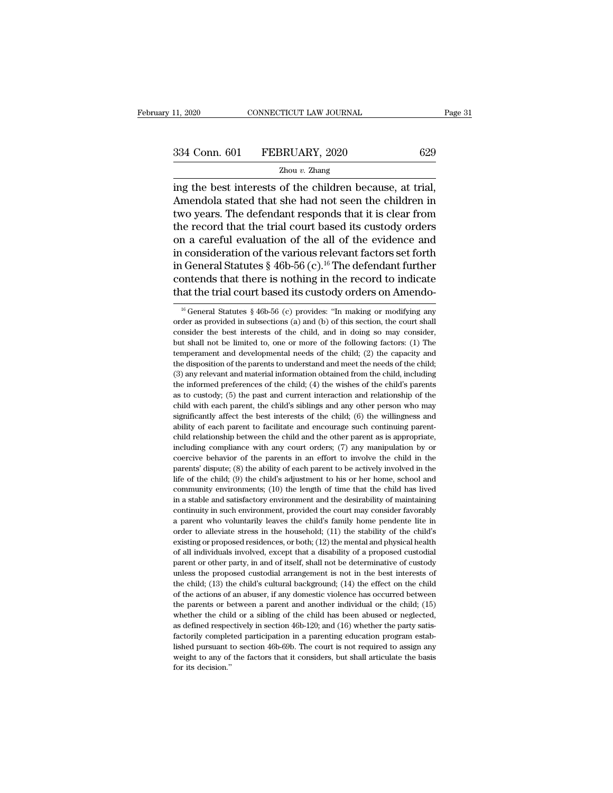11, 2020 CONNECTICUT LAW JOURNAL Page<br>  $\frac{334 \text{ Conn. } 601 \qquad \text{FEBRUARY, } 2020}{\text{Zhou } v. \text{ Zhang}}$ <br>  $\frac{204 \text{ in the best interests of the children because, at trial, } }{\text{Amendola stated that she had not seen the children in}}$  $\frac{334 \text{ Conn. } 601 \qquad \text{FEBRUARY, } 2020 \qquad \qquad 629}$ <br>  $\frac{2 \text{hou } v. \text{ Zhang}}{2 \text{hou } v. \text{ Zhang}}$ <br>
Amendola stated that she had not seen the children in<br>
two years. The defendant responds that it is clear from<br>
the record that the trial c 334 Conn. 601 FEBRUARY, 2020 629<br>  $\frac{Z_{\text{hou } v. Z_{\text{hang}}}{Z_{\text{hou } v. Z_{\text{hang}}}}$ <br>
ing the best interests of the children because, at trial,<br>
Amendola stated that she had not seen the children in<br>
two years. The defendant respond 334 Conn. 601 FEBRUARY, 2020 629<br>  $\frac{2 \text{hou } v. \text{ Zhang}}{2 \text{hou } v. \text{ Zhang}}$ <br>
ing the best interests of the children because, at trial,<br>
Amendola stated that she had not seen the children in<br>
two years. The defendant responds that Zhou *v*. Zhang<br>
Zhou *v*. Zhang<br>
Ing the best interests of the children because, at trial,<br>
Amendola stated that she had not seen the children in<br>
two years. The defendant responds that it is clear from<br>
the record that <sup>2hou v.</sup> <sup>2hou v. 2hang<br>
ing the best interests of the children because, at trial,<br>
Amendola stated that she had not seen the children in<br>
two years. The defendant responds that it is clear from<br>
the record that the tria</sup> ing the best interests of the children because, at trial,<br>Amendola stated that she had not seen the children in<br>two years. The defendant responds that it is clear from<br>the record that the trial court based its custody orde Amendola stated that she had not seen the children in<br>two years. The defendant responds that it is clear from<br>the record that the trial court based its custody orders<br>on a careful evaluation of the all of the evidence and<br> two years. The defendant responds that it is clear from<br>the record that the trial court based its custody orders<br>on a careful evaluation of the all of the evidence and<br>in consideration of the various relevant factors set in consideration of the various relevant factors set forth<br>in General Statutes § 46b-56 (c).<sup>16</sup> The defendant further<br>contends that there is nothing in the record to indicate<br>that the trial court based its custody orders in General Statutes § 46b-56 (c).<sup>16</sup> The defendant further contends that there is nothing in the record to indicate that the trial court based its custody orders on Amendo-<br><sup>16</sup> General Statutes § 46b-56 (c) provides: "I

contends that there is nothing in the record to indicate that the trial court based its custody orders on Amendo-<br><sup>16</sup> General Statutes  $\frac{8}{6}$  46b-56 (c) provides: "In making or modifying any order as provided in subse that the trial court based its custody orders on Amendo-<br>
<sup>16</sup> General Statutes § 46b-56 (c) provides: "In making or modifying any<br>
order as provided in subsections (a) and (b) of this section, the court shall<br>
consider t <sup>16</sup> General Statutes § 46b-56 (c) provides: "In making or modifying any order as provided in subsections (a) and (b) of this section, the court shall consider the best interests of the child, and in doing so may consider <sup>16</sup> General Statutes § 46b-56 (c) provides: "In making or modifying any order as provided in subsections (a) and (b) of this section, the court shall consider the best interests of the child, and in doing so may consider order as provided in subsections (a) and (b) of this section, the court shall consider the best interests of the child, and in doing so may consider, but shall not be limited to, one or more of the following factors: (1) consider the best interests of the child, and in doing so may consider, but shall not be limited to, one or more of the following factors: (1) The temperament and developmental needs of the child; (2) the capacity and the but shall not be limited to, one or more of the following factors: (1) The temperament and developmental needs of the child; (2) the capacity and the disposition of the parents to understand and meet the needs of the chil child with each parent, the child with each parent and developmental needs of the child; (2) the capacity and the disposition of the parents to understand and meet the needs of the child; (3) any relevant and material inf the disposition of the parents to understand and meet the needs of the child; (3) any relevant and material information obtained from the child, including the informed preferences of the child; (4) the wishes of the child (3) any relevant and material information obtained from the child, including the informed preferences of the child; (4) the wishes of the child's parents as to custody; (5) the past and current interaction and relationshi (b) any control are interested on the child; (4) the wishes of the child's parents as to custody; (5) the past and current interaction and relationship of the child with each parent, the child's siblings and any other per as to custody; (5) the past and current interaction and relationship of the child with each parent, the child's siblings and any other person who may significantly affect the best interests of the child; (6) the willingne coercive behavior of the parents in an effort to involve the child with each parent, the child's siblings and any other person who may significantly affect the best interests of the child; (6) the willingness and ability o estignificantly affect the best interests of the child; (6) the willingness and ability of each parent to facilitate and encourage such continuing parent-child relationship between the child and the other parent as is app ability of each parent to facilitate and encourage such continuing parent-<br>child relationship between the child and the other parent as is appropriate,<br>including compliance with any court orders; (7) any manipulation by o child relationship between the child and the other parent as is appropriate, including compliance with any court orders; (7) any manipulation by or coercive behavior of the parents in an effort to involve the child in the including compliance with any court orders;  $(7)$  any manipulation by or coercive behavior of the parents in an effort to involve the child in the parents' dispute;  $(8)$  the ability of each parent to be actively involved coercive behavior of the parents in an effort to involve the child in the parents' dispute; (8) the ability of each parent to be actively involved in the parents' dispute; (8) the child's adjustment to his or her home, sc parents' dispute; (8) the ability of each parent to be actively involved in the life of the child; (9) the child's adjustment to his or her home, school and community environments; (10) the length of time that the child h Further and the child's adjustment to his or her home, school and community environments; (10) the length of time that the child has lived in a stable and satisfactory environment and the desirability of maintaining conti community environments; (10) the length of time that the child has lived<br>in a stable and satisfactory environment and the desirability of maintaining<br>continuity in such environment, provided the court may consider favorabl in a stable and satisfactory environment and the desirability of maintaining continuity in such environment, provided the court may consider favorably a parent who voluntarily leaves the child's family home pendente lite mortinuity in such environment, provided the court may consider favorably<br>a parent who voluntarily leaves the child's family home pendente lite in<br>order to alleviate stress in the household; (11) the stability of the child a parent who voluntarily leaves the child's family home pendente lite in order to alleviate stress in the household; (11) the stability of the child's existing or proposed residences, or both; (12) the mental and physical order to alleviate stress in the household; (11) the stability of the child's existing or proposed residences, or both; (12) the mental and physical health of all individuals involved, except that a disability of a propose existing or proposed residences, or both; (12) the mental and physical health of all individuals involved, except that a disability of a proposed custodial parent or other party, in and of itself, shall not be determinati or all individuals involved, except that a disability of a proposed custodial parent or other party, in and of itself, shall not be determinative of custody unless the proposed custodial arrangement is not in the best int parent or other party, in and of itself, shall not be determinative of custody unless the proposed custodial arrangement is not in the best interests of the child; (13) the child's cultural background; (14) the effect on pulless the proposed custodial arrangement is not in the best interests of the child; (13) the child's cultural background; (14) the effect on the child of the actions of an abuser, if any domestic violence has occurred be the child; (13) the child's cultural background; (14) the effect on the child<br>of the actions of an abuser, if any domestic violence has occurred between<br>the parents or between a parent and another individual or the child; and the actions of an abuser, if any domestic violence has occurred between the parents or between a parent and another individual or the child; (15) whether the child or a sibling of the child has been abused or neglecte of the actions of an abuser, if any domestic violence has occurred between the parents or between a parent and another individual or the child; (15) whether the child or a sibling of the child has been abused or neglected whether the child or a sibling of the child has been abused or neglected,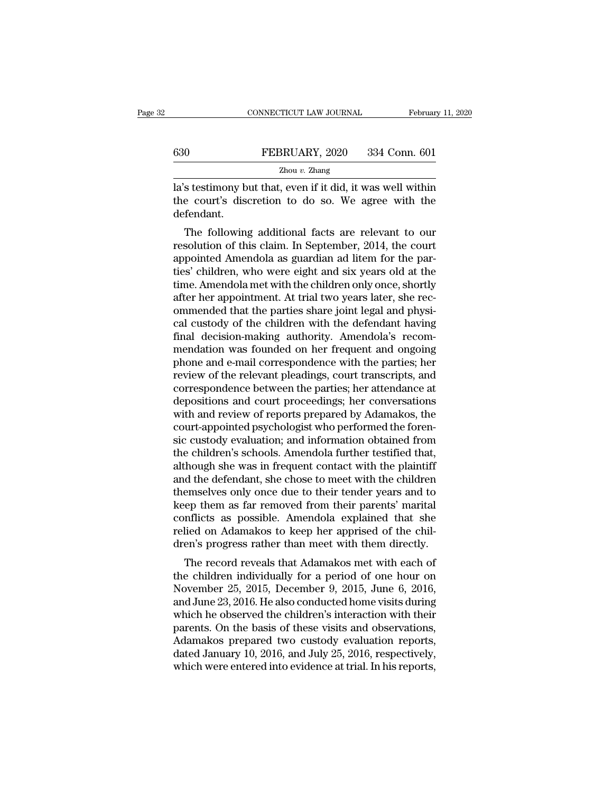|     | CONNECTICUT LAW JOURNAL | February 11, 2020 |
|-----|-------------------------|-------------------|
|     |                         |                   |
| 630 | FEBRUARY, 2020          | 334 Conn. 601     |
|     | Zhou $v$ . Zhang        |                   |

CONNECTICUT LAW JOURNAL February 11, 2020<br>
FEBRUARY, 2020 334 Conn. 601<br>
Zhou v. Zhang<br>
Ia's testimony but that, even if it did, it was well within<br>
the court's discretion to do so. We agree with the the court's discretion to do so. We agree with the defendant. defendant. The FEBRUARY, 2020 334 Conn. 601<br>  $\frac{Z_{\text{hou }v. \text{ Zhang}}}{Z_{\text{hou }v. \text{Zhang}}}$ <br>
s testimony but that, even if it did, it was well within<br>
e court's discretion to do so. We agree with the<br>
fendant.<br>
The following additional facts a

 $\frac{Z_{\text{hou } v. Z_{\text{hang}}}{Z_{\text{hou } v. Z_{\text{hang}}}}$ <br>
Ia's testimony but that, even if it did, it was well within<br>
the court's discretion to do so. We agree with the<br>
defendant.<br>
The following additional facts are relevant to our<br>
res la's testimony but that, even if it did, it was well within<br>the court's discretion to do so. We agree with the<br>defendant.<br>The following additional facts are relevant to our<br>resolution of this claim. In September, 2014, the the court's discretion to do so. We agree with the<br>defendant.<br>The following additional facts are relevant to our<br>resolution of this claim. In September, 2014, the court<br>appointed Amendola as guardian ad litem for the par-<br> the court's uscretion to too so. We agree with the defendant.<br>The following additional facts are relevant to our resolution of this claim. In September, 2014, the court<br>appointed Amendola as guardian ad litem for the par-<br> The following additional facts are relevant to our<br>resolution of this claim. In September, 2014, the court<br>appointed Amendola as guardian ad litem for the par-<br>ties' children, who were eight and six years old at the<br>time. The following additional facts are relevant to our<br>resolution of this claim. In September, 2014, the court<br>appointed Amendola as guardian ad litem for the par-<br>ties' children, who were eight and six years old at the<br>time. resolution of this claim. In September, 2014, the court<br>appointed Amendola as guardian ad litem for the par-<br>ties' children, who were eight and six years old at the<br>time. Amendola met with the children only once, shortly<br>a appointed Amendola as guardian ad litem for the parties' children, who were eight and six years old at the time. Amendola met with the children only once, shortly after her appointment. At trial two years later, she recomm ties' children, who were eight and six years old at the<br>time. Amendola met with the children only once, shortly<br>after her appointment. At trial two years later, she rec-<br>ommended that the parties share joint legal and phys time. Amendola met with the children only once, shortly<br>after her appointment. At trial two years later, she rec-<br>ommended that the parties share joint legal and physi-<br>cal custody of the children with the defendant having after her appointment. At trial two years later, she rec-<br>ommended that the parties share joint legal and physi-<br>cal custody of the children with the defendant having<br>final decision-making authority. Amendola's recom-<br>mend ommended that the parties share joint legal and physical custody of the children with the defendant having<br>final decision-making authority. Amendola's recom-<br>mendation was founded on her frequent and ongoing<br>phone and e-ma cal custody of the children with the defendant having<br>final decision-making authority. Amendola's recom-<br>mendation was founded on her frequent and ongoing<br>phone and e-mail correspondence with the parties; her<br>review of the final decision-making authority. Amendola's recommendation was founded on her frequent and ongoing<br>phone and e-mail correspondence with the parties; her<br>review of the relevant pleadings, court transcripts, and<br>corresponden mendation was founded on her frequent and ongoing<br>phone and e-mail correspondence with the parties; her<br>review of the relevant pleadings, court transcripts, and<br>correspondence between the parties; her attendance at<br>deposit phone and e-mail correspondence with the parties; her<br>review of the relevant pleadings, court transcripts, and<br>correspondence between the parties; her attendance at<br>depositions and court proceedings; her conversations<br>with review of the relevant pleadings, court transcripts, and<br>correspondence between the parties; her attendance at<br>depositions and court proceedings; her conversations<br>with and review of reports prepared by Adamakos, the<br>court correspondence between the parties; her attendance at depositions and court proceedings; her conversations with and review of reports prepared by Adamakos, the court-appointed psychologist who performed the forensic custod depositions and court proceedings; her conversations<br>with and review of reports prepared by Adamakos, the<br>court-appointed psychologist who performed the foren-<br>sic custody evaluation; and information obtained from<br>the chil with and review of reports prepared by Adamakos, the<br>court-appointed psychologist who performed the foren-<br>sic custody evaluation; and information obtained from<br>the children's schools. Amendola further testified that,<br>alth court-appointed psychologist who performed the foren-<br>sic custody evaluation; and information obtained from<br>the children's schools. Amendola further testified that,<br>although she was in frequent contact with the plaintiff<br>a sic custody evaluation; and information obtained from<br>the children's schools. Amendola further testified that,<br>although she was in frequent contact with the plaintiff<br>and the defendant, she chose to meet with the children<br> the children's schools. Amendola further testified that, although she was in frequent contact with the plaintiff<br>and the defendant, she chose to meet with the children<br>themselves only once due to their tender years and to<br> although she was in frequent contact with the plaintiff<br>and the defendant, she chose to meet with the children<br>themselves only once due to their tender years and to<br>keep them as far removed from their parents' marital<br>conf of the detendant, she chose to meet with the children<br>emselves only once due to their tender years and to<br>ep them as far removed from their parents' marital<br>nflicts as possible. Amendola explained that she<br>lied on Adamakos themselves only once due to their tender years and to<br>keep them as far removed from their parents' marital<br>conflicts as possible. Amendola explained that she<br>relied on Adamakos to keep her apprised of the chil-<br>dren's prog

Reep them as far removed from their parents marked conflicts as possible. Amendola explained that she relied on Adamakos to keep her apprised of the children's progress rather than meet with them directly.<br>The record revea columets as possible. Altentional explained that she<br>relied on Adamakos to keep her apprised of the chil-<br>dren's progress rather than meet with them directly.<br>The record reveals that Adamakos met with each of<br>the children rened on Adamakos to keep ner apprised or the children's progress rather than meet with them directly.<br>The record reveals that Adamakos met with each of<br>the children individually for a period of one hour on<br>November 25, 20 The record reveals that Adamakos met with each of<br>the children individually for a period of one hour on<br>November 25, 2015, December 9, 2015, June 6, 2016,<br>and June 23, 2016. He also conducted home visits during<br>which he ob The record reveals that Adamakos met with each of<br>the children individually for a period of one hour on<br>November 25, 2015, December 9, 2015, June 6, 2016,<br>and June 23, 2016. He also conducted home visits during<br>which he ob the children individually for a period of one hour on<br>November 25, 2015, December 9, 2015, June 6, 2016,<br>and June 23, 2016. He also conducted home visits during<br>which he observed the children's interaction with their<br>paren November 25, 2015, December 9, 2015, June 6, 2016, and June 23, 2016. He also conducted home visits during which he observed the children's interaction with their parents. On the basis of these visits and observations, Ada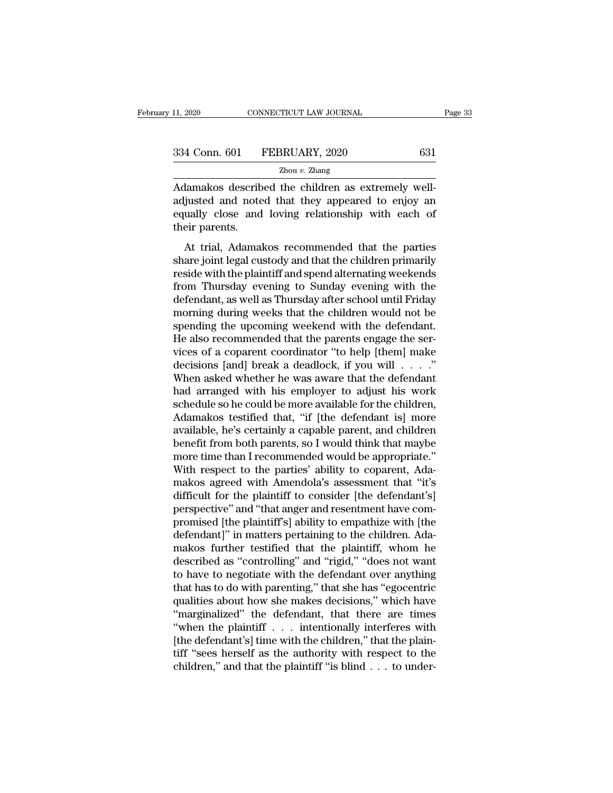EXERCTRED AN INTERNATION CONNECTICUT LAW JOURNAL<br>
The children as extremely well-<br>
Adamakos described the children as extremely well-<br>
Adamakos described the children as extremely well-<br>
adjusted and noted that they appear 334 Conn. 601 FEBRUARY, 2020 631<br>
<sup>2hou v. Zhang</sup><br>
Adamakos described the children as extremely well-<br>
adjusted and noted that they appeared to enjoy an<br>
equally close and loving relationship with each of<br>
their paramets  $\begin{tabular}{ll} \multicolumn{1}{l}{{334}\,\,Conn.\,\,601} & FEBRUARY,\,2020 & \hspace{1.5cm}631 \\ \hline \multicolumn{1}{l}{Zhou\,v.\,\,Zhang} \\ \hline \multicolumn{1}{l}{Adamakos described the children as extremely well-adjusted and noted that they appeared to enjoy an equally close and loving relationship with each of their parents.} \end{tabular}$ 334 Conn. 601<br>
<br>
Adamakos describ<br>
adjusted and note<br>
equally close and<br>
their parents.<br>
At trial, Adama  $\frac{Z_{\text{hou } v. \text{ Zhang}}}{Z_{\text{H}}Z_{\text{H}}Z}$ <br>
At trial, and noted that they appeared to enjoy and ually close and loving relationship with each of<br>
eir parents.<br>
At trial, Adamakos recommended that the parties<br>
are joint legal cu Adamakos described the children as extremely well-<br>adjusted and noted that they appeared to enjoy an<br>equally close and loving relationship with each of<br>their parents.<br>At trial, Adamakos recommended that the parties<br>share j

Zhou *v.* Zhang

redating the children as extremely were<br>adjusted and noted that they appeared to enjoy an<br>equally close and loving relationship with each of<br>their parents.<br>At trial, Adamakos recommended that the parties<br>share joint legal from Thursday and Doving relationship with each of<br>their parents.<br>At trial, Adamakos recommended that the parties<br>share joint legal custody and that the children primarily<br>reside with the plaintiff and spend alternating we definity close and formy relationship with each of<br>their parents.<br>At trial, Adamakos recommended that the parties<br>share joint legal custody and that the children primarily<br>reside with the plaintiff and spend alternating we At trial, Adamakos recommended that the parties<br>share joint legal custody and that the children primarily<br>reside with the plaintiff and spend alternating weekends<br>from Thursday evening to Sunday evening with the<br>defendant, At trial, Adamakos recommended that the parties<br>share joint legal custody and that the children primarily<br>reside with the plaintiff and spend alternating weekends<br>from Thursday evening to Sunday evening with the<br>defendant, share joint legal custody and that the children primarily<br>reside with the plaintiff and spend alternating weekends<br>from Thursday evening to Sunday evening with the<br>defendant, as well as Thursday after school until Friday<br>m reside with the plaintiff and spend alternating weekends<br>from Thursday evening to Sunday evening with the<br>defendant, as well as Thursday after school until Friday<br>morning during weeks that the children would not be<br>spendin from Thursday evening to Sunday evening with the defendant, as well as Thursday after school until Friday morning during weeks that the children would not be spending the upcoming weekend with the defendant. He also recom defendant, as well as Thursday after school until Friday<br>morning during weeks that the children would not be<br>spending the upcoming weekend with the defendant.<br>He also recommended that the parents engage the ser-<br>vices of a morning during weeks that the children would not be<br>spending the upcoming weekend with the defendant.<br>He also recommended that the parents engage the ser-<br>vices of a coparent coordinator "to help [them] make<br>decisions [an spending the upcoming weekend with the defendant.<br>He also recommended that the parents engage the services of a coparent coordinator "to help [them] make<br>decisions [and] break a deadlock, if you will . . . ."<br>When asked wh He also recommended that the parents engage the services of a coparent coordinator "to help [them] make decisions [and] break a deadlock, if you will  $\ldots$ ."<br>When asked whether he was aware that the defendant had arranged vices of a coparent coordinator "to help [them] make<br>decisions [and] break a deadlock, if you will  $\ldots$ ."<br>When asked whether he was aware that the defendant<br>had arranged with his employer to adjust his work<br>schedule so h decisions [and] break a deadlock, if you will . . . ."<br>When asked whether he was aware that the defendant<br>had arranged with his employer to adjust his work<br>schedule so he could be more available for the children,<br>Adamakos When asked whether he was aware that the defendant<br>had arranged with his employer to adjust his work<br>schedule so he could be more available for the children,<br>Adamakos testified that, "if [the defendant is] more<br>available, had arranged with his employer to adjust his work<br>schedule so he could be more available for the children,<br>Adamakos testified that, "if [the defendant is] more<br>available, he's certainly a capable parent, and children<br>benef schedule so he could be more available for the children,<br>Adamakos testified that, "if [the defendant is] more<br>available, he's certainly a capable parent, and children<br>benefit from both parents, so I would think that maybe<br> Adamakos testified that, "if [the defendant is] more<br>available, he's certainly a capable parent, and children<br>benefit from both parents, so I would think that maybe<br>more time than I recommended would be appropriate."<br>With available, he's certainly a capable parent, and children<br>benefit from both parents, so I would think that maybe<br>more time than I recommended would be appropriate."<br>With respect to the parties' ability to coparent, Ada-<br>mak benefit from both parents, so I would think that maybe<br>more time than I recommended would be appropriate."<br>With respect to the parties' ability to coparent, Ada-<br>makos agreed with Amendola's assessment that "it's<br>difficult more time than I recommended would be appropriate."<br>With respect to the parties' ability to coparent, Adamakos agreed with Amendola's assessment that "it's<br>difficult for the plaintiff to consider [the defendant's]<br>perspect With respect to the parties' ability to coparent, Adamakos agreed with Amendola's assessment that "it's difficult for the plaintiff to consider [the defendant's] perspective" and "that anger and resentment have compromised makos agreed with Amendola's assessment that "it's<br>difficult for the plaintiff to consider [the defendant's]<br>perspective" and "that anger and resentment have com-<br>promised [the plaintiff's] ability to empathize with [the<br>d difficult for the plaintiff to consider [the defendant's]<br>perspective" and "that anger and resentment have com-<br>promised [the plaintiff's] ability to empathize with [the<br>defendant]" in matters pertaining to the children. A perspective" and "that anger and resentment have compromised [the plaintiff's] ability to empathize with [the defendant]" in matters pertaining to the children. Adamakos further testified that the plaintiff, whom he descri promised [the plaintiff's] ability to empathize with [the defendant]" in matters pertaining to the children. Adamakos further testified that the plaintiff, whom he described as "controlling" and "rigid," "does not want to defendant]" in matters pertaining to the children. Adamakos further testified that the plaintiff, whom he described as "controlling" and "rigid," "does not want to have to negotiate with the defendant over anything that ha makos further testified that the plaintiff, whom he<br>described as "controlling" and "rigid," "does not want<br>to have to negotiate with the defendant over anything<br>that has to do with parenting," that she has "egocentric<br>qual described as "controlling" and "rigid," "does not want<br>to have to negotiate with the defendant over anything<br>that has to do with parenting," that she has "egocentric<br>qualities about how she makes decisions," which have<br>"ma to have to negotiate with the defendant over anything<br>that has to do with parenting," that she has "egocentric<br>qualities about how she makes decisions," which have<br>"marginalized" the defendant, that there are times<br>"when that has to do with parenting," that she has "egocentric qualities about how she makes decisions," which have "marginalized" the defendant, that there are times "when the plaintiff  $\ldots$  intentionally interferes with [the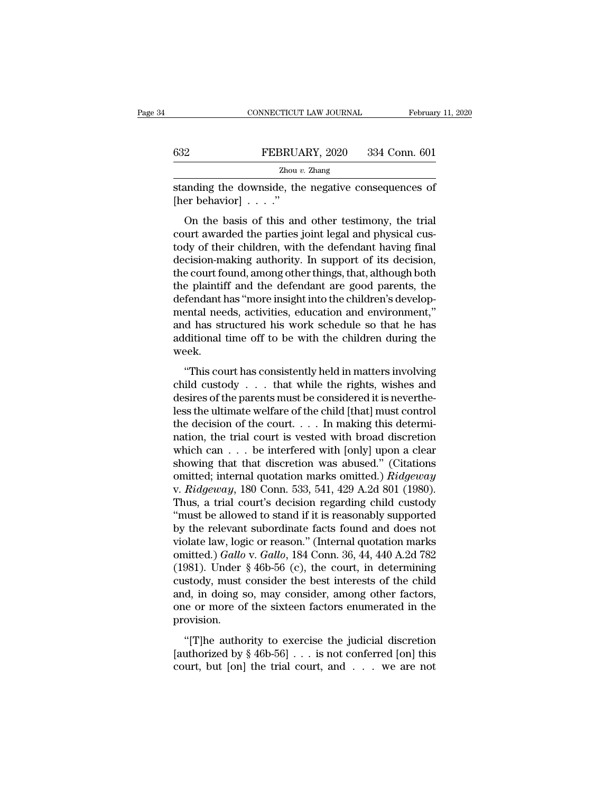|     | CONNECTICUT LAW JOURNAL | February 11, 2020 |
|-----|-------------------------|-------------------|
|     |                         |                   |
| 632 | FEBRUARY, 2020          | 334 Conn. 601     |
|     | Zhou $v$ . Zhang        |                   |

standing the downside, the negative consequences of FEBRUA<br>
Zhou a<br>
standing the downside, the<br>
[her behavior] . . . ."<br>
On the basis of this and

PEBRUARY, 2020 334 Conn. 601<br>
Zhou v. Zhang<br>
anding the downside, the negative consequences of<br>
er behavior] . . . ."<br>
On the basis of this and other testimony, the trial<br>
urt awarded the parties joint legal and physical EEBRUARY, 2020 334 Conn. 601<br>  $\frac{Z_{\text{hou }v. \text{ Zhang}}}{Z_{\text{hou }v. \text{Zhang}}}$ <br>
standing the downside, the negative consequences of<br>
[her behavior] . . . ."<br>
On the basis of this and other testimony, the trial<br>
court awarded the parti  $Z$ hou  $v$ . Zhang<br>
standing the downside, the negative consequences of<br>
[her behavior]  $\ldots$ ."<br>
On the basis of this and other testimony, the trial<br>
court awarded the parties joint legal and physical cus-<br>
tody of their c standing the downside, the negative consequences of<br>
[her behavior]  $\ldots$ ."<br>
On the basis of this and other testimony, the trial<br>
court awarded the parties joint legal and physical cus-<br>
tody of their children, with the d From the basis of this and other testimony, the trial<br>court awarded the parties joint legal and physical cus-<br>tody of their children, with the defendant having final<br>decision-making authority. In support of its decision,<br> On the basis of this and other testimony, the trial<br>court awarded the parties joint legal and physical cus-<br>tody of their children, with the defendant having final<br>decision-making authority. In support of its decision,<br>th On the basis of this and other testimony, the trial<br>court awarded the parties joint legal and physical cus-<br>tody of their children, with the defendant having final<br>decision-making authority. In support of its decision,<br>the court awarded the parties joint legal and physical custody of their children, with the defendant having final<br>decision-making authority. In support of its decision,<br>the court found, among other things, that, although both<br> tody of their children, with the defendant having final<br>decision-making authority. In support of its decision,<br>the court found, among other things, that, although both<br>the plaintiff and the defendant are good parents, the<br> decision-making authority. In support of its decision,<br>the court found, among other things, that, although both<br>the plaintiff and the defendant are good parents, the<br>defendant has "more insight into the children's developweek. Fendant has "more insight into the children's develop-<br>
ental needs, activities, education and environment,"<br>
d has structured his work schedule so that he has<br>
ditional time off to be with the children during the<br>
eek.<br> decreasing and the right and end end of the rights,<br>and has structured his work schedule so that he has<br>additional time off to be with the children during the<br>week.<br>"This court has consistently held in matters involving<br>ch

desired in the parents must be considered in the children during the week.<br>
"This court has consistently held in matters involving<br>
child custody . . . that while the rights, wishes and<br>
desires of the parents must be cons and has satured his work senerate so that he has<br>additional time off to be with the children during the<br>week.<br>"This court has consistently held in matters involving<br>child custody . . . that while the rights, wishes and<br>de week.<br>
"This court has consistently held in matters involving<br>
child custody . . . that while the rights, wishes and<br>
desires of the parents must be considered it is neverthe-<br>
less the ultimate welfare of the child [that "This court has consistently held in matters involving<br>child custody . . . that while the rights, wishes and<br>desires of the parents must be considered it is neverthe-<br>less the ultimate welfare of the child [that] must con "This court has consistently held in matters involving<br>child custody . . . that while the rights, wishes and<br>desires of the parents must be considered it is neverthe-<br>less the ultimate welfare of the child [that] must con child custody . . . that while the rights, wishes and<br>desires of the parents must be considered it is neverthe-<br>less the ultimate welfare of the child [that] must control<br>the decision of the court. . . . In making this de desires of the parents must be considered it is nevertheless the ultimate welfare of the child [that] must control<br>the decision of the court.... In making this determi-<br>nation, the trial court is vested with broad discret less the ultimate welfare of the child [that] must control<br>the decision of the court. . . . In making this determi-<br>nation, the trial court is vested with broad discretion<br>which can . . . be interfered with [only] upon a c the decision of the court. . . . In making this determination, the trial court is vested with broad discretion which can . . . be interfered with [only] upon a clear showing that that discretion was abused." (Citations om nation, the trial court is vested with broad discretion<br>
which can  $\ldots$  be interfered with [only] upon a clear<br>
showing that that discretion was abused." (Citations<br>
omitted; internal quotation marks omitted.)  $Ridgeway$ <br>
v. which can . . . be interfered with [only] upon a clear<br>showing that that discretion was abused." (Citations<br>omitted; internal quotation marks omitted.) *Ridgeway*<br>v. *Ridgeway*, 180 Conn. 533, 541, 429 A.2d 801 (1980).<br>Th showing that that discretion was abused." (Citations<br>omitted; internal quotation marks omitted.) *Ridgeway*<br>v. *Ridgeway*, 180 Conn. 533, 541, 429 A.2d 801 (1980).<br>Thus, a trial court's decision regarding child custody<br>"mu omitted; internal quotation marks omitted.) *Ridgeway*<br>v. *Ridgeway*, 180 Conn. 533, 541, 429 A.2d 801 (1980).<br>Thus, a trial court's decision regarding child custody<br>"must be allowed to stand if it is reasonably supported<br> v. *Ridgeway*, 180 Conn. 533, 541, 429 A.2d 801 (1980).<br>Thus, a trial court's decision regarding child custody<br>"must be allowed to stand if it is reasonably supported<br>by the relevant subordinate facts found and does not<br>v Thus, a trial court's decision regarding child custody<br>
"must be allowed to stand if it is reasonably supported<br>
by the relevant subordinate facts found and does not<br>
violate law, logic or reason." (Internal quotation mar "must be allowed to stand if it is reasonably supported<br>by the relevant subordinate facts found and does not<br>violate law, logic or reason." (Internal quotation marks<br>omitted.) *Gallo* v. *Gallo*, 184 Conn. 36, 44, 440 A.2 by the relevant subordinate facts found and does not<br>violate law, logic or reason." (Internal quotation marks<br>omitted.) *Gallo* v. *Gallo*, 184 Conn. 36, 44, 440 A.2d 782<br>(1981). Under § 46b-56 (c), the court, in determini provision. (1811). Under § 46b-56 (c), the court, in determining<br>stody, must consider the best interests of the child<br>d, in doing so, may consider, among other factors,<br>e or more of the sixteen factors enumerated in the<br>ovision.<br>"[T (1601). Chack  $\frac{1}{3}$  165 56 (c), are court, in determining<br>custody, must consider the best interests of the child<br>and, in doing so, may consider, among other factors,<br>one or more of the sixteen factors enumerated in th calcody, mast consider are seen interests of the emiderated and, in doing so, may consider, among other factors, one or more of the sixteen factors enumerated in the provision.<br>"[T]he authority to exercise the judicial di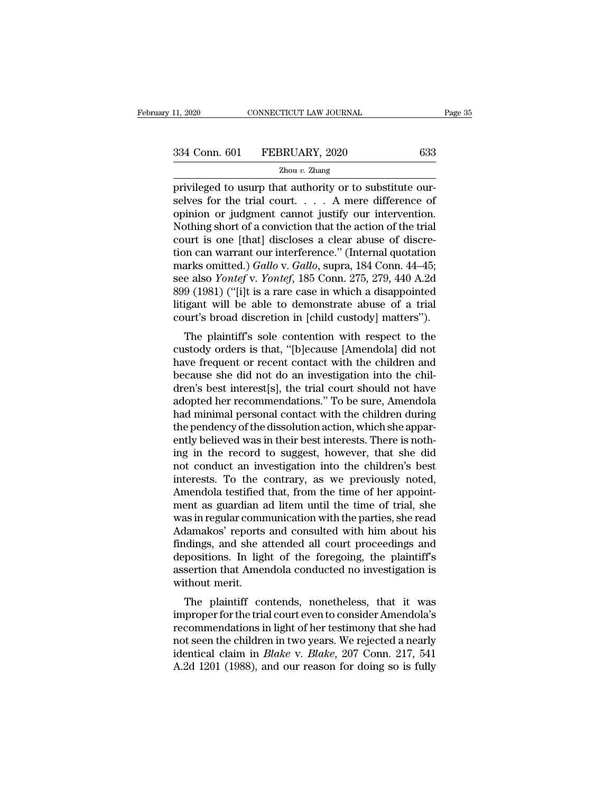privileged to usurp that authority or to substitute our-<br>grade to usurp that authority or to substitute our-<br>selves for the trial court.... A mere difference of<br>enjoined or judgment cannot justify our intervation  $\begin{array}{r} \text{334 Conn. 601} \quad \text{FEBRUARY, 2020} \quad \text{633} \ \text{2hou } v. \text{ Zhang} \ \text{2.21} \quad \text{2.22} \quad \text{2.33} \end{array}$ 334 Conn. 601 FEBRUARY, 2020 633<br>  $\frac{Zhou v. Zhang}{Zhou v. Zhang}$ <br>
privileged to usurp that authority or to substitute our-<br>
selves for the trial court.... A mere difference of<br>
opinion or judgment cannot justify our intervention.<br>
Not  $334$  Conn. 601 FEBRUARY, 2020 633<br>  $\frac{2 \text{hou } v. \text{ Zhang}}{2 \text{hou } v. \text{Zhang}}$ <br>
privileged to usurp that authority or to substitute our-<br>
selves for the trial court. . . . . A mere difference of<br>
opinion or judgment cannot justify  $\frac{Zhou v. Zhang}{2hou v. Zhang}$ <br>
privileged to usurp that authority or to substitute our-<br>
selves for the trial court.... A mere difference of<br>
opinion or judgment cannot justify our intervention.<br>
Nothing short of a conviction that th 2hou v. Zhang<br>
privileged to usurp that authority or to substitute our-<br>
selves for the trial court.... A mere difference of<br>
opinion or judgment cannot justify our intervention.<br>
Nothing short of a conviction that the ac privileged to usurp that authority or to substitute our-<br>selves for the trial court. . . . . A mere difference of<br>opinion or judgment cannot justify our intervention.<br>Nothing short of a conviction that the action of the tr selves for the trial court. . . . A mere difference of<br>opinion or judgment cannot justify our intervention.<br>Nothing short of a conviction that the action of the trial<br>court is one [that] discloses a clear abuse of discre-<br> opinion or judgment cannot justify our intervention.<br>Nothing short of a conviction that the action of the trial<br>court is one [that] discloses a clear abuse of discre-<br>tion can warrant our interference." (Internal quotation Nothing short of a conviction that the action of the trial<br>court is one [that] discloses a clear abuse of discre-<br>tion can warrant our interference." (Internal quotation<br>marks omitted.) *Gallo* v. *Gallo*, supra, 184 Conn. court is one [that] discloses a clear abuse of discretion can warrant our interference." (Internal quotation marks omitted.) *Gallo* v. *Gallo*, supra, 184 Conn. 44–45; see also *Yontef* v. *Yontef*, 185 Conn. 275, 279, 44 In Carl warrant our interference. (internal quotation<br>arks omitted.) Gallo v. Gallo, supra, 184 Conn. 44–45;<br>e also *Yontef* v. *Yontef*, 185 Conn. 275, 279, 440 A.2d<br>9 (1981) ("[i]t is a rare case in which a disappointed<br> marks onlined.) Gallo v. Gallo, supra, 184 Collii. 44–45,<br>see also *Yontef* v. *Yontef*, 185 Conn. 275, 279, 440 A.2d<br>899 (1981) ("[i]t is a rare case in which a disappointed<br>litigant will be able to demonstrate abuse of

see also Tomey v. Tomey, 165 Coluit. 275, 279, 440 A.2d<br>899 (1981) ("[i]t is a rare case in which a disappointed<br>litigant will be able to demonstrate abuse of a trial<br>court's broad discretion in [child custody] matters").<br>  $\frac{1}{100}$  ( $\frac{1}{100}$  is a rate case in which a disappointed litigant will be able to demonstrate abuse of a trial court's broad discretion in [child custody] matters").<br>The plaintiff's sole contention with respect to Integant will be able to definitiate abuse of a trial<br>court's broad discretion in [child custody] matters").<br>The plaintiff's sole contention with respect to the<br>custody orders is that, "[b]ecause [Amendola] did not<br>have fr The plaintiff's sole contention with respect to the<br>custody orders is that, "[b]ecause [Amendola] did not<br>have frequent or recent contact with the children and<br>because she did not do an investigation into the chil-<br>dren's The plaintiff's sole contention with respect to the<br>custody orders is that, "[b]ecause [Amendola] did not<br>have frequent or recent contact with the children and<br>because she did not do an investigation into the chil-<br>dren's custody orders is that, "[b]ecause [Amendola] did not<br>have frequent or recent contact with the children and<br>because she did not do an investigation into the chil-<br>dren's best interest[s], the trial court should not have<br>ad have frequent or recent contact with the children and<br>because she did not do an investigation into the chil-<br>dren's best interest[s], the trial court should not have<br>adopted her recommendations." To be sure, Amendola<br>had m because she did not do an investigation into the children's best interest[s], the trial court should not have adopted her recommendations." To be sure, Amendola had minimal personal contact with the children during the pen dren's best interest[s], the trial court should not have<br>adopted her recommendations." To be sure, Amendola<br>had minimal personal contact with the children during<br>the pendency of the dissolution action, which she appar-<br>ent adopted her recommendations." To be sure, Amendola<br>had minimal personal contact with the children during<br>the pendency of the dissolution action, which she appar-<br>ently believed was in their best interests. There is noth-<br>i had minimal personal contact with the children during<br>the pendency of the dissolution action, which she appar-<br>ently believed was in their best interests. There is noth-<br>ing in the record to suggest, however, that she did<br> the pendency of the dissolution action, which she apparently believed was in their best interests. There is nothing in the record to suggest, however, that she did not conduct an investigation into the children's best inte ently believed was in their best interests. There is nothing in the record to suggest, however, that she did<br>not conduct an investigation into the children's best<br>interests. To the contrary, as we previously noted,<br>Amendol ing in the record to suggest, however, that she did<br>not conduct an investigation into the children's best<br>interests. To the contrary, as we previously noted,<br>Amendola testified that, from the time of her appoint-<br>ment as g not conduct an investigation into the children's best<br>interests. To the contrary, as we previously noted,<br>Amendola testified that, from the time of her appoint-<br>ment as guardian ad litem until the time of trial, she<br>was in interests. To the contrary, as we previously noted,<br>Amendola testified that, from the time of her appoint-<br>ment as guardian ad litem until the time of trial, she<br>was in regular communication with the parties, she read<br>Adam Amendola testified that, from the time of her appoint-<br>ment as guardian ad litem until the time of trial, she<br>was in regular communication with the parties, she read<br>Adamakos' reports and consulted with him about his<br>findi ment as guardian a<br>was in regular comn<br>Adamakos' reports<br>findings, and she a<br>depositions. In light<br>assertion that Amer<br>without merit.<br>The plaintiff co as in regular communication with the parties, she read<br>lamakos' reports and consulted with him about his<br>idings, and she attended all court proceedings and<br>positions. In light of the foregoing, the plaintiff's<br>sertion that Adamakos Teports and consulted with film about his<br>findings, and she attended all court proceedings and<br>depositions. In light of the foregoing, the plaintiff's<br>assertion that Amendola conducted no investigation is<br>without

recommendations in light of the foregoing, the plaintiff's<br>assertion that Amendola conducted no investigation is<br>without merit.<br>The plaintiff contends, nonetheless, that it was<br>improper for the trial court even to conside depositions. In fight of the foregoing, the plaintin's<br>assertion that Amendola conducted no investigation is<br>without merit.<br>The plaintiff contends, nonetheless, that it was<br>improper for the trial court even to consider Ame identical claim in *Blake* v. *Blake*, 207 Conn. 217, 541<br>A.2d 1201 (1988), and our reason for consider Amendola's<br>recommendations in light of her testimony that she had<br>not seen the children in two years. We rejected a ne The plaintiff contends, nonetheless, that it was<br>improper for the trial court even to consider Amendola's<br>recommendations in light of her testimony that she had<br>not seen the children in two years. We rejected a nearly<br>iden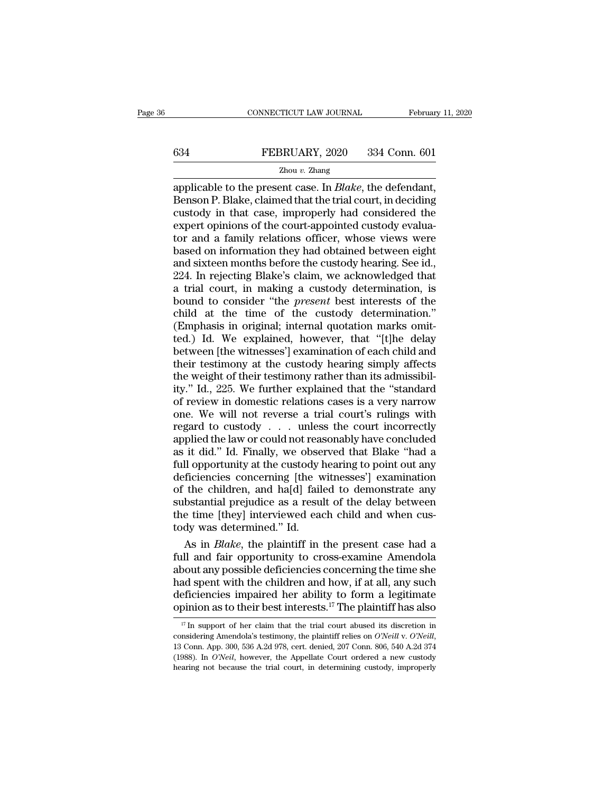# EXECUTE CONNECTICUT LAW JOURNAL February 11, 2020<br>
FEBRUARY, 2020 334 Conn. 601<br>
Zhou v. Zhang

### Zhou *v.* Zhang

CONNECTICUT LAW JOURNAL February 11, 20<br>
FEBRUARY, 2020 334 Conn. 601<br>
Zhou v. Zhang<br>
applicable to the present case. In *Blake*, the defendant,<br>
Benson P. Blake, claimed that the trial court, in deciding<br>
custody in that  $\begin{array}{r} \text{634} & \text{FEBRUARY, 2020} & \text{334 Conn. 601} \\ \text{2hou } v. \text{ Zhang} \end{array}$ <br>applicable to the present case. In *Blake*, the defendant, Benson P. Blake, claimed that the trial court, in deciding custody in that case, improperly had c EXERUARY, 2020 334 Conn. 601<br>
<u>Zhou v. Zhang</u><br>
applicable to the present case. In *Blake*, the defendant,<br>
Benson P. Blake, claimed that the trial court, in deciding<br>
custody in that case, improperly had considered the<br>
e EXPED SALE FOR THE CONFIDENT OF THE CONFIDENT OF THE ANDREW THE APPOINT OF THE APPROXIMATE COURT APPROXIMATE CUSTOM CONTRACT OF THE COURT OF THE COURT OF THE COURT OF THE COURT OF THE COURT OF THE COURT OF THE COURT OF TH  $\frac{Z_{\text{hou }v. \text{ Zhang}}}{Z_{\text{hou }v. \text{ Zhang}}}$ <br>
applicable to the present case. In *Blake*, the defendant,<br>
Benson P. Blake, claimed that the trial court, in deciding<br>
custody in that case, improperly had considered the<br>
expert opini  $Zhou v. Zhang$ <br>
applicable to the present case. In *Blake*, the defendant,<br>
Benson P. Blake, claimed that the trial court, in deciding<br>
custody in that case, improperly had considered the<br>
expert opinions of the court-appointed applicable to the present case. In *Blake*, the defendant,<br>Benson P. Blake, claimed that the trial court, in deciding<br>custody in that case, improperly had considered the<br>expert opinions of the court-appointed custody evalu Benson P. Blake, claimed that the trial court, in deciding<br>custody in that case, improperly had considered the<br>expert opinions of the court-appointed custody evalua-<br>tor and a family relations officer, whose views were<br>bas custody in that case, improperly had considered the<br>expert opinions of the court-appointed custody evalua-<br>tor and a family relations officer, whose views were<br>based on information they had obtained between eight<br>and sixte expert opinions of the court-appointed custody evaluator and a family relations officer, whose views were based on information they had obtained between eight and sixteen months before the custody hearing. See id., 224. In tor and a family relations officer, whose views were<br>based on information they had obtained between eight<br>and sixteen months before the custody hearing. See id.,<br>224. In rejecting Blake's claim, we acknowledged that<br>a tria based on information they had obtained between eight<br>and sixteen months before the custody hearing. See id.,<br>224. In rejecting Blake's claim, we acknowledged that<br>a trial court, in making a custody determination, is<br>bound and sixteen months before the custody hearing. See id.,<br>224. In rejecting Blake's claim, we acknowledged that<br>a trial court, in making a custody determination, is<br>bound to consider "the *present* best interests of the<br>chil 224. In rejecting Blake's claim, we acknowledged that<br>a trial court, in making a custody determination, is<br>bound to consider "the *present* best interests of the<br>child at the time of the custody determination."<br>(Emphasis i a trial court, in making a custody determination, is<br>bound to consider "the *present* best interests of the<br>child at the time of the custody determination."<br>(Emphasis in original; internal quotation marks omit-<br>ted.) Id. W bound to consider "the *present* best interests of the child at the time of the custody determination."<br>(Emphasis in original; internal quotation marks omitted.) Id. We explained, however, that "[t]he delay between [the wi child at the time of the custody determination."<br>
(Emphasis in original; internal quotation marks omit-<br>
ted.) Id. We explained, however, that "[t]he delay<br>
between [the witnesses'] examination of each child and<br>
their tes (Emphasis in original; internal quotation marks omitted.) Id. We explained, however, that "[t]he delay between [the witnesses'] examination of each child and their testimony at the custody hearing simply affects the weight ted.) Id. We explained, however, that "[t]he delay<br>between [the witnesses'] examination of each child and<br>their testimony at the custody hearing simply affects<br>the weight of their testimony rather than its admissibil-<br>ity between [the witnesses'] examination of each child and<br>their testimony at the custody hearing simply affects<br>the weight of their testimony rather than its admissibil-<br>ity.'' Id., 225. We further explained that the "standar their testimony at the custody hearing simply affects<br>the weight of their testimony rather than its admissibil-<br>ity." Id., 225. We further explained that the "standard<br>of review in domestic relations cases is a very narrow the weight of their testimony rather than its admissibility." Id., 225. We further explained that the "standard of review in domestic relations cases is a very narrow one. We will not reverse a trial court's rulings with r ity." Id., 225. We further explained that the "standard<br>of review in domestic relations cases is a very narrow<br>one. We will not reverse a trial court's rulings with<br>regard to custody . . . unless the court incorrectly<br>appl of review in domestic relations cases is a very narrow<br>one. We will not reverse a trial court's rulings with<br>regard to custody  $\ldots$  unless the court incorrectly<br>applied the law or could not reasonably have concluded<br>as i one. We will not reverse a trial court's rulings with<br>regard to custody  $\ldots$  unless the court incorrectly<br>applied the law or could not reasonably have concluded<br>as it did." Id. Finally, we observed that Blake "had a<br>full regard to custody . . . . unless the court incorrectly<br>applied the law or could not reasonably have concluded<br>as it did." Id. Finally, we observed that Blake "had a<br>full opportunity at the custody hearing to point out any<br> applied the law or could not reasonably have concluded<br>as it did." Id. Finally, we observed that Blake "had a<br>full opportunity at the custody hearing to point out any<br>deficiencies concerning [the witnesses'] examination<br>of as it did." Id. Finally, we obset<br>full opportunity at the custody  $\theta$ <br>deficiencies concerning [the word the children, and ha[d] faile<br>substantial prejudice as a result<br>the time [they] interviewed ead<br>tody was determined. Il opportunity at the custody hearing to point out any<br>ficiencies concerning [the witnesses'] examination<br>the children, and ha[d] failed to demonstrate any<br>bstantial prejudice as a result of the delay between<br>e time [they] deficiencies concerning [the witnesses'] examination<br>of the children, and ha[d] failed to demonstrate any<br>substantial prejudice as a result of the delay between<br>the time [they] interviewed each child and when cus-<br>tody wa

of the children, and ha[d] failed to demonstrate any<br>substantial prejudice as a result of the delay between<br>the time [they] interviewed each child and when cus-<br>tody was determined." Id.<br>As in *Blake*, the plaintiff in th substantial prejudice as a result of the delay between<br>the time [they] interviewed each child and when cus-<br>tody was determined." Id.<br>As in *Blake*, the plaintiff in the present case had a<br>full and fair opportunity to cro the time [they] interviewed each child and when custody was determined." Id.<br>
As in *Blake*, the plaintiff in the present case had a<br>
full and fair opportunity to cross-examine Amendola<br>
about any possible deficiencies co tody was determined." Id.<br>
As in *Blake*, the plaintiff in the present case had a<br>
full and fair opportunity to cross-examine Amendola<br>
about any possible deficiencies concerning the time she<br>
had spent with the children boot any possible deficiencies concerning the time she<br>ad spent with the children and how, if at all, any such<br>eficiencies impaired her ability to form a legitimate<br>pinion as to their best interests.<sup>17</sup> The plaintiff has

had spent with the children and how, if at all, any such deficiencies impaired her ability to form a legitimate opinion as to their best interests.<sup>17</sup> The plaintiff has also  $\frac{17}{17}$  In support of her claim that the tr (1988). In *O'Neil*, however, the Appellate Court ordered a new custody hearing on because the trial court abused its discretion in considering Amendola's testimony, the plaintiff relies on *O'Neill* v. *O'Neill*, 13 Conn. <sup>17</sup> In support of her claim that the trial court abused its discretion in considering Amendola's testimony, the plaintiff relies on  $O'Neill$ ,  $O'Neill$ ,  $13$  Conn. App. 300, 536 A.2d 978, cert. denied, 207 Conn. 806, 540 A.2d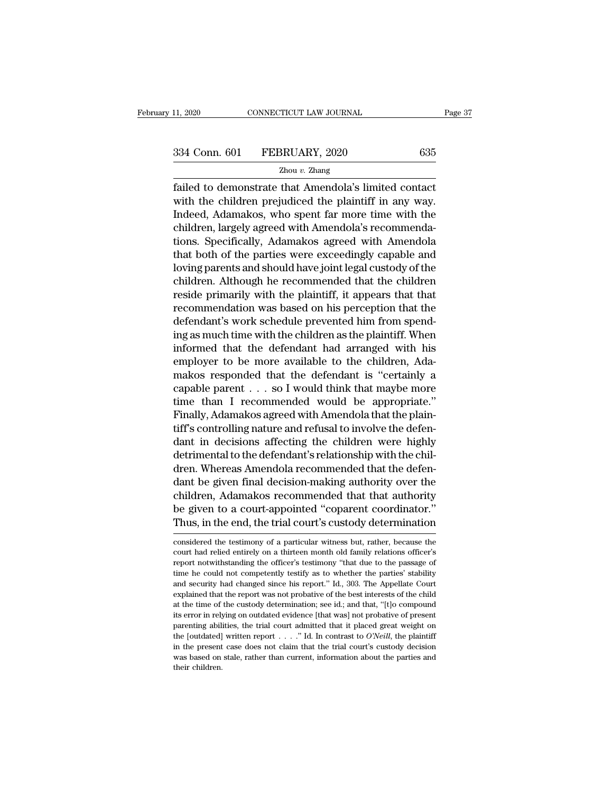Fage 3<br>
Failed to demonstrate that Amendola's limited contact<br>
Failed to demonstrate that Amendola's limited contact<br>
with the children prejudiced the plaintiff in any way.<br>
Fadeed Ademaluse who smant for more time with th  $334$  Conn. 601 FEBRUARY, 2020 635<br>  $\frac{Z_{\text{hou }v. \text{ Zhang}}}{Z_{\text{hou }v. \text{Zhang}}}$ <br>
failed to demonstrate that Amendola's limited contact<br>
with the children prejudiced the plaintiff in any way.<br>
Indeed, Adamakos, who spent far more  $\frac{334 \text{ Conn. } 601 \qquad \text{FEBRUARY, } 2020 \qquad \qquad 635}$ <br>  $\frac{7 \text{hou } v. \text{ Zhang}}{1 \text{ failed to demonstrate that Amendola's limited contact}}$ <br>
with the children prejudiced the plaintiff in any way.<br>
Indeed, Adamakos, who spent far more time with the children, largely agreed with  $\frac{334 \text{ Conn. } 601 \qquad \text{FEBRUARY, } 2020 \qquad \qquad 635 \qquad \qquad \text{Zhou } v. \text{ Zhang}}$ <br>
failed to demonstrate that Amendola's limited contact<br>
with the children prejudiced the plaintiff in any way.<br>
Indeed, Adamakos, who spent far more time wi  $Zhou$   $v$ . Zhang<br>
failed to demonstrate that Amendola's limited contact<br>
with the children prejudiced the plaintiff in any way.<br>
Indeed, Adamakos, who spent far more time with the<br>
children, largely agreed with Amendola's Exide to demonstrate that Amendola's limited contact<br>with the children prejudiced the plaintiff in any way.<br>Indeed, Adamakos, who spent far more time with the<br>children, largely agreed with Amendola's recommenda-<br>tions. Spe failed to demonstrate that Amendola's limited contact<br>with the children prejudiced the plaintiff in any way.<br>Indeed, Adamakos, who spent far more time with the<br>children, largely agreed with Amendola's recommenda-<br>tions. Sp with the children prejudiced the plaintiff in any way.<br>Indeed, Adamakos, who spent far more time with the<br>children, largely agreed with Amendola's recommenda-<br>tions. Specifically, Adamakos agreed with Amendola<br>that both of Indeed, Adamakos, who spent far more time with the<br>children, largely agreed with Amendola's recommenda-<br>tions. Specifically, Adamakos agreed with Amendola<br>that both of the parties were exceedingly capable and<br>loving parent children, largely agreed with Amendola's recommendations. Specifically, Adamakos agreed with Amendola<br>that both of the parties were exceedingly capable and<br>loving parents and should have joint legal custody of the<br>children tions. Specifically, Adamakos agreed with Amendola<br>that both of the parties were exceedingly capable and<br>loving parents and should have joint legal custody of the<br>children. Although he recommended that the children<br>reside that both of the parties were exceedingly capable and<br>loving parents and should have joint legal custody of the<br>children. Although he recommended that the children<br>reside primarily with the plaintiff, it appears that that<br> loving parents and should have joint legal custody of the<br>children. Although he recommended that the children<br>reside primarily with the plaintiff, it appears that that<br>recommendation was based on his perception that the<br>de children. Although he recommended that the children<br>reside primarily with the plaintiff, it appears that that<br>recommendation was based on his perception that the<br>defendant's work schedule prevented him from spend-<br>ing as m reside primarily with the plaintiff, it appears that that<br>recommendation was based on his perception that the<br>defendant's work schedule prevented him from spend-<br>ing as much time with the children as the plaintiff. When<br>i recommendation was based on his perception that the<br>defendant's work schedule prevented him from spend-<br>ing as much time with the children as the plaintiff. When<br>informed that the defendant had arranged with his<br>employer t defendant's work schedule prevented him from spending as much time with the children as the plaintiff. When<br>informed that the defendant had arranged with his<br>employer to be more available to the children, Ada-<br>makos respon ing as much time with the children as the plaintiff. When<br>informed that the defendant had arranged with his<br>employer to be more available to the children, Ada-<br>makos responded that the defendant is "certainly a<br>capable par informed that the defendant had arranged with his<br>employer to be more available to the children, Ada-<br>makos responded that the defendant is "certainly a<br>capable parent . . . so I would think that maybe more<br>time than I rec employer to be more available to the children, Adamakos responded that the defendant is "certainly a capable parent  $\dots$  so I would think that maybe more time than I recommended would be appropriate."<br>Finally, Adamakos ag makos responded that the defendant is "certainly a<br>capable parent  $\dots$  so I would think that maybe more<br>time than I recommended would be appropriate."<br>Finally, Adamakos agreed with Amendola that the plain-<br>tiff's controll capable parent  $\dots$  so I would think that maybe more<br>time than I recommended would be appropriate."<br>Finally, Adamakos agreed with Amendola that the plain-<br>tiff's controlling nature and refusal to involve the defen-<br>dant i time than I recommended would be appropriate."<br>Finally, Adamakos agreed with Amendola that the plain-<br>tiff's controlling nature and refusal to involve the defen-<br>dant in decisions affecting the children were highly<br>detrime Finally, Adamakos agreed with Amendola that the plaintiff's controlling nature and refusal to involve the defendant in decisions affecting the children were highly detrimental to the defendant's relationship with the child tiff's controlling nature and refusal to involve the defendant in decisions affecting the children were highly detrimental to the defendant's relationship with the children. Whereas Amendola recommended that the defendant dant in decisions affecting the children were highly<br>detrimental to the defendant's relationship with the chil-<br>dren. Whereas Amendola recommended that the defen-<br>dant be given final decision-making authority over the<br>chil dant be given final decision-making authority over the children, Adamakos recommended that that authority be given to a court-appointed "coparent coordinator." Thus, in the end, the trial court's custody determination cons children, Adamakos recommended that that authority<br>be given to a court-appointed "coparent coordinator."<br>Thus, in the end, the trial court's custody determination<br>considered the testimony of a particular witness but, rathe

be given to a court-appointed "coparent coordinator."<br>Thus, in the end, the trial court's custody determination<br>considered the testimony of a particular witness but, rather, because the<br>court had relied entirely on a thirt Thus, in the end, the trial court's custody determination<br>considered the testimony of a particular witness but, rather, because the<br>court had relied entirely on a thirteen month old family relations officer's<br>report notwit and security had changed since his report.'' If the best interest is reported the testimony of a particular witness but, rather, because the court had relied entirely on a thirteen month old family relations officer's repo considered the testimony of a particular witness but, rather, because the court had relied entirely on a thirteen month old family relations officer's report notwithstanding the officer's testimony "that due to the passage court had relied entirely on a thirteen month old family relations officer's report notwithstanding the officer's testimony "that due to the passage of time he could not competently testify as to whether the parties' stabi report notwithstanding the officer's testimony "that due to the passage of time he could not competently testify as to whether the parties' stability and security had changed since his report." Id., 303. The Appellate Cour Figure 1. The could not competently testify as to whether the parties' stability and security had changed since his report." Id., 303. The Appellate Court explained that the report was not probative of the best interests and security had changed since his report." Id., 303. The Appellate Court explained that the report was not probative of the best interests of the child at the time of the custody determination; see id.; and that, "[t]o c explained that the report was not probative of the best interests of the child<br>at the time of the custody determination; see id.; and that, "[t]o compound<br>its error in relying on outdated evidence [that was] not probative at the time of the custody determination; see id.; and that, "[t]o compound its error in relying on outdated evidence [that was] not probative of present parenting abilities, the trial court admitted that it placed great its error in relying on outdated evidence [that was] not probative of present parenting abilities, the trial court admitted that it placed great weight on the [outdated] written report  $\dots$ ." Id. In contrast to  $O'Neill$ , th